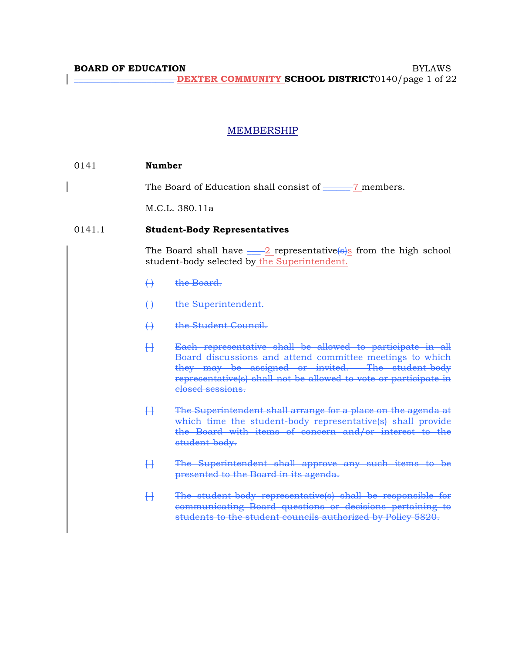# MEMBERSHIP

# 0141 **Number**

The Board of Education shall consist of ——7 members.

M.C.L. 380.11a

# 0141.1 **Student-Body Representatives**

The Board shall have  $\frac{1}{2}$  representative s from the high school student-body selected by the Superintendent.

- $\theta$  the Board.
- () the Superintendent.
- () the Student Council.
- H Each representative shall be allowed to participate in all Board discussions and attend committee meetings to which they may be assigned or invited. The student-body representative(s) shall not be allowed to vote or participate in closed sessions.
- [ ] The Superintendent shall arrange for a place on the agenda at which time the student-body representative(s) shall provide the Board with items of concern and/or interest to the student-body.
- [ ] The Superintendent shall approve any such items to be presented to the Board in its agenda.
- [ ] The student-body representative(s) shall be responsible for communicating Board questions or decisions pertaining to students to the student councils authorized by Policy 5820.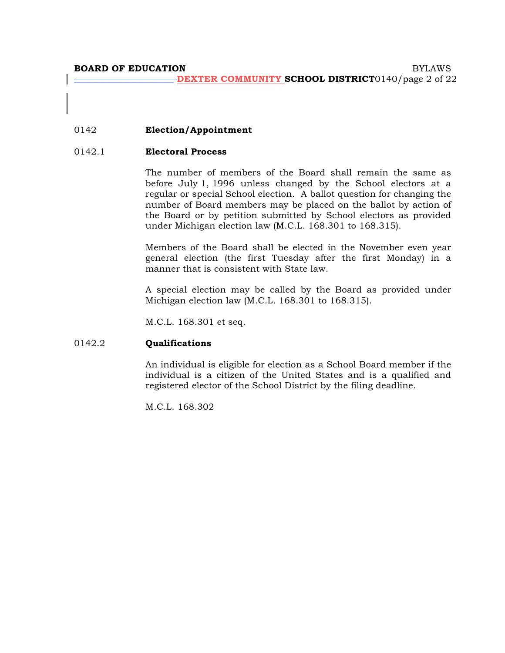### **BOARD OF EDUCATION** BYLAWS

**\_\_\_\_\_\_\_\_\_\_\_\_\_\_\_\_\_\_\_\_\_\_ DEXTER COMMUNITY SCHOOL DISTRICT**0140/page 2 of 22

## 0142 **Election/Appointment**

### 0142.1 **Electoral Process**

The number of members of the Board shall remain the same as before July 1, 1996 unless changed by the School electors at a regular or special School election. A ballot question for changing the number of Board members may be placed on the ballot by action of the Board or by petition submitted by School electors as provided under Michigan election law (M.C.L. 168.301 to 168.315).

Members of the Board shall be elected in the November even year general election (the first Tuesday after the first Monday) in a manner that is consistent with State law.

A special election may be called by the Board as provided under Michigan election law (M.C.L. 168.301 to 168.315).

M.C.L. 168.301 et seq.

### 0142.2 **Qualifications**

An individual is eligible for election as a School Board member if the individual is a citizen of the United States and is a qualified and registered elector of the School District by the filing deadline.

M.C.L. 168.302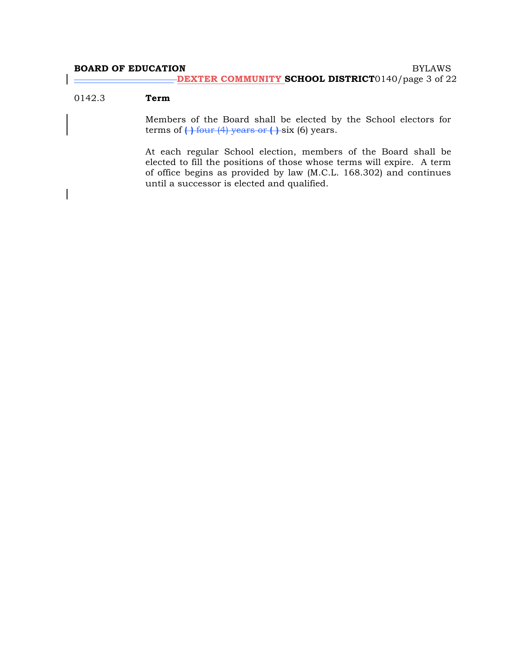# **BOARD OF EDUCATION** BYLAWS **DEXTER COMMUNITY SCHOOL DISTRICT**0140/page 3 of 22

### 0142.3 **Term**

Members of the Board shall be elected by the School electors for terms of  $\left\{\right\}$  four  $\left\{\right\}$  years or  $\left\{\right\}$  six  $\left(6\right)$  years.

At each regular School election, members of the Board shall be elected to fill the positions of those whose terms will expire. A term of office begins as provided by law (M.C.L. 168.302) and continues until a successor is elected and qualified.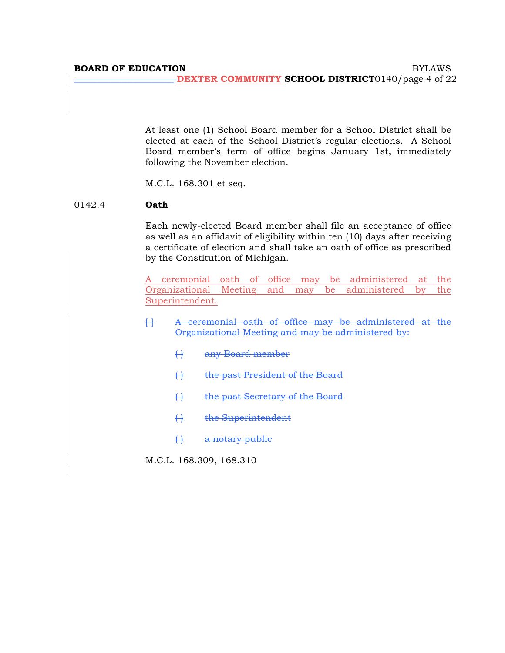At least one (1) School Board member for a School District shall be elected at each of the School District's regular elections. A School Board member's term of office begins January 1st, immediately following the November election.

M.C.L. 168.301 et seq.

# 0142.4 **Oath**

Each newly-elected Board member shall file an acceptance of office as well as an affidavit of eligibility within ten (10) days after receiving a certificate of election and shall take an oath of office as prescribed by the Constitution of Michigan.

A ceremonial oath of office may be administered at the Organizational Meeting and may be administered by the Superintendent.

- [ ] A ceremonial oath of office may be administered at the Organizational Meeting and may be administered by:
	- ( ) any Board member
	- () the past President of the Board
	- () the past Secretary of the Board
	- () the Superintendent
	- $\theta$  a notary public

M.C.L. 168.309, 168.310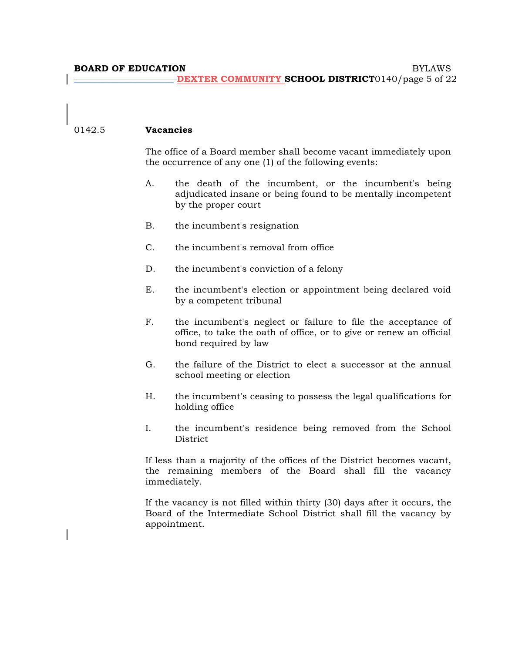### **BOARD OF EDUCATION** BYLAWS

**\_\_\_\_\_\_\_\_\_\_\_\_\_\_\_\_\_\_\_\_\_\_ DEXTER COMMUNITY SCHOOL DISTRICT**0140/page 5 of 22

# 0142.5 **Vacancies**

The office of a Board member shall become vacant immediately upon the occurrence of any one (1) of the following events:

- A. the death of the incumbent, or the incumbent's being adjudicated insane or being found to be mentally incompetent by the proper court
- B. the incumbent's resignation
- C. the incumbent's removal from office
- D. the incumbent's conviction of a felony
- E. the incumbent's election or appointment being declared void by a competent tribunal
- F. the incumbent's neglect or failure to file the acceptance of office, to take the oath of office, or to give or renew an official bond required by law
- G. the failure of the District to elect a successor at the annual school meeting or election
- H. the incumbent's ceasing to possess the legal qualifications for holding office
- I. the incumbent's residence being removed from the School District

If less than a majority of the offices of the District becomes vacant, the remaining members of the Board shall fill the vacancy immediately.

If the vacancy is not filled within thirty (30) days after it occurs, the Board of the Intermediate School District shall fill the vacancy by appointment.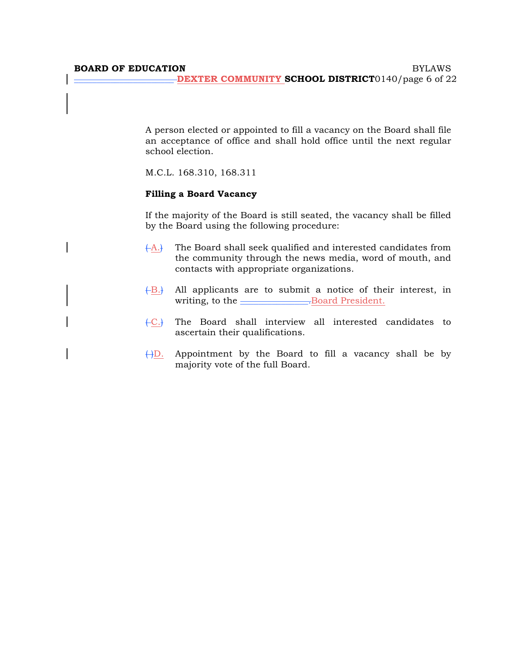A person elected or appointed to fill a vacancy on the Board shall file an acceptance of office and shall hold office until the next regular school election.

M.C.L. 168.310, 168.311

## **Filling a Board Vacancy**

If the majority of the Board is still seated, the vacancy shall be filled by the Board using the following procedure:

- $(A.)$  The Board shall seek qualified and interested candidates from the community through the news media, word of mouth, and contacts with appropriate organizations.
- $\overline{AB}$ . All applicants are to submit a notice of their interest, in writing, to the \_\_\_\_\_\_\_\_\_\_\_\_\_\_\_.Board President.
- $\leftarrow C$ .) The Board shall interview all interested candidates to ascertain their qualifications.
- $\overline{AD}$ . Appointment by the Board to fill a vacancy shall be by majority vote of the full Board.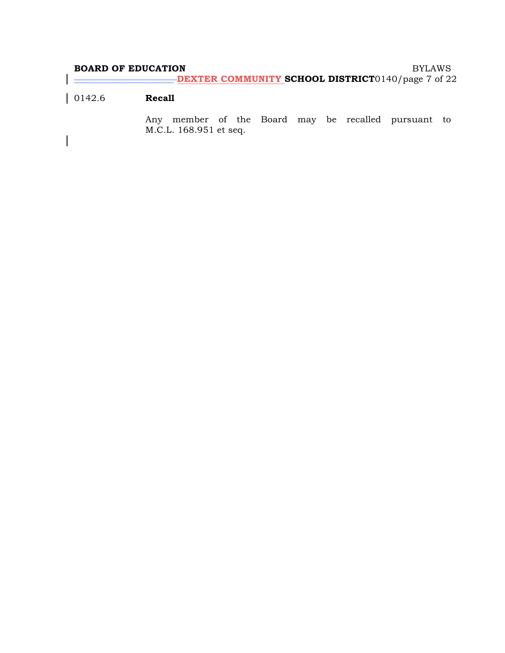# **BOARD OF EDUCATION** BYLAWS **\_\_\_\_\_\_\_\_\_\_\_\_\_\_\_\_\_\_\_\_\_\_\_\_\_\_DEXTER COMMUNITY SCHOOL DISTRICT**0140/page 7 of 22

# 0142.6 **Recall**

 $\begin{array}{c} \hline \end{array}$ 

Any member of the Board may be recalled pursuant to M.C.L. 168.951 et seq.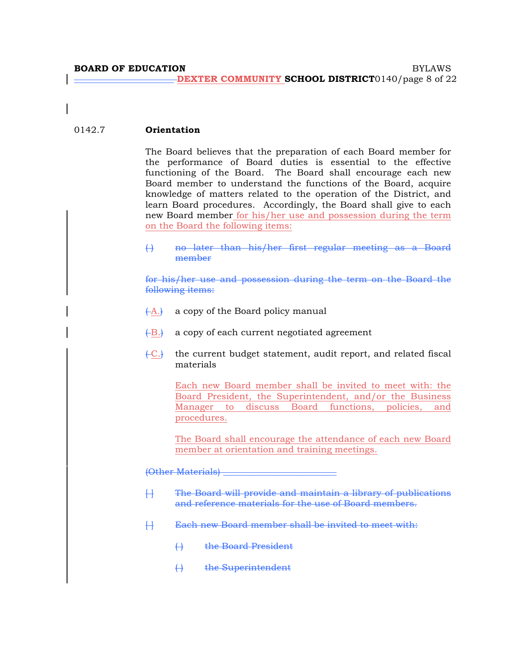# **BOARD OF EDUCATION** BYLAWS

**\_\_\_\_\_\_\_\_\_\_\_\_\_\_\_\_\_\_\_\_\_\_ DEXTER COMMUNITY SCHOOL DISTRICT**0140/page 8 of 22

# 0142.7 **Orientation**

The Board believes that the preparation of each Board member for the performance of Board duties is essential to the effective functioning of the Board. The Board shall encourage each new Board member to understand the functions of the Board, acquire knowledge of matters related to the operation of the District, and learn Board procedures. Accordingly, the Board shall give to each new Board member for his/her use and possession during the term on the Board the following items:

( ) no later than his/her first regular meeting as a Board member

for his/her use and possession during the term on the Board the following items:

- $\{A.\}$  a copy of the Board policy manual
- $\overline{AB}$ . a copy of each current negotiated agreement
- $\left\{\{-C.\right\}\right\}$  the current budget statement, audit report, and related fiscal materials

Each new Board member shall be invited to meet with: the Board President, the Superintendent, and/or the Business Manager to discuss Board functions, policies, and procedures.

The Board shall encourage the attendance of each new Board member at orientation and training meetings.

(Other Materials) \_\_\_\_\_\_\_\_\_\_\_\_\_\_\_\_\_\_\_\_\_\_\_\_\_

- $\Box$  The Board will provide and maintain a library of publications and reference materials for the use of Board members.
- H Each new Board member shall be invited to meet with:
	- (A) the Board President
	- ( ) the Superintendent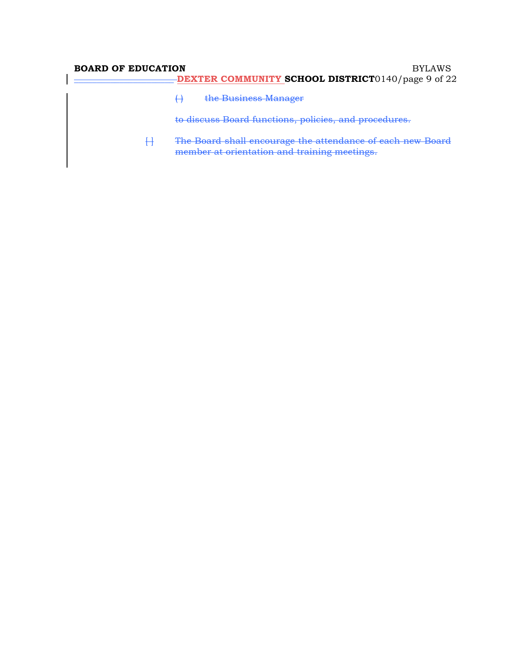() the Business Manager

to discuss Board functions, policies, and procedures.

[ ] The Board shall encourage the attendance of each new Board member at orientation and training meetings.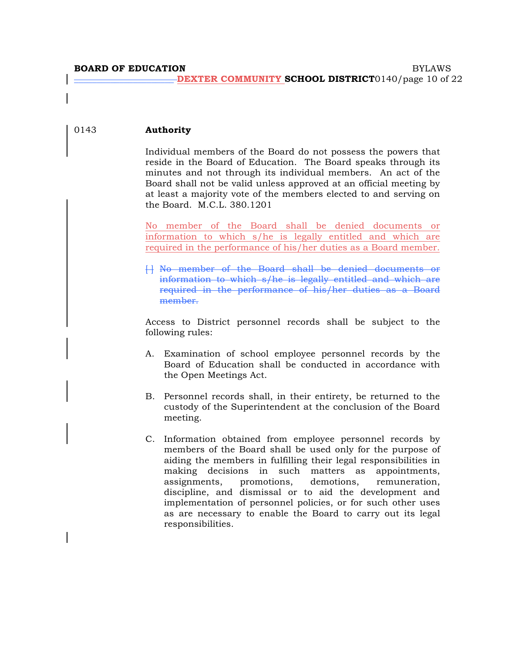**BOARD OF EDUCATION** BYLAWS **\_\_\_\_\_\_\_\_\_\_\_\_\_\_\_\_\_\_\_\_\_\_ DEXTER COMMUNITY SCHOOL DISTRICT**0140/page 10 of 22

# 0143 **Authority**

Individual members of the Board do not possess the powers that reside in the Board of Education. The Board speaks through its minutes and not through its individual members. An act of the Board shall not be valid unless approved at an official meeting by at least a majority vote of the members elected to and serving on the Board. M.C.L. 380.1201

No member of the Board shall be denied documents or information to which s/he is legally entitled and which are required in the performance of his/her duties as a Board member.

[ ] No member of the Board shall be denied documents or information to which s/he is legally entitled and which are required in the performance of his/her duties as a Board member.

Access to District personnel records shall be subject to the following rules:

- A. Examination of school employee personnel records by the Board of Education shall be conducted in accordance with the Open Meetings Act.
- B. Personnel records shall, in their entirety, be returned to the custody of the Superintendent at the conclusion of the Board meeting.
- C. Information obtained from employee personnel records by members of the Board shall be used only for the purpose of aiding the members in fulfilling their legal responsibilities in making decisions in such matters as appointments, assignments, promotions, demotions, remuneration, discipline, and dismissal or to aid the development and implementation of personnel policies, or for such other uses as are necessary to enable the Board to carry out its legal responsibilities.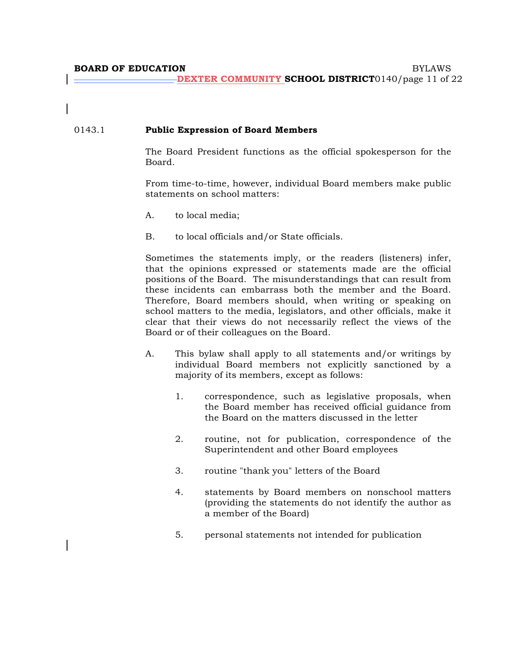**\_\_\_\_\_\_\_\_\_\_\_\_\_\_\_\_\_\_\_\_\_\_ DEXTER COMMUNITY SCHOOL DISTRICT**0140/page 11 of 22

# 0143.1 **Public Expression of Board Members**

The Board President functions as the official spokesperson for the Board.

From time-to-time, however, individual Board members make public statements on school matters:

- A. to local media;
- B. to local officials and/or State officials.

Sometimes the statements imply, or the readers (listeners) infer, that the opinions expressed or statements made are the official positions of the Board. The misunderstandings that can result from these incidents can embarrass both the member and the Board. Therefore, Board members should, when writing or speaking on school matters to the media, legislators, and other officials, make it clear that their views do not necessarily reflect the views of the Board or of their colleagues on the Board.

- A. This bylaw shall apply to all statements and/or writings by individual Board members not explicitly sanctioned by a majority of its members, except as follows:
	- 1. correspondence, such as legislative proposals, when the Board member has received official guidance from the Board on the matters discussed in the letter
	- 2. routine, not for publication, correspondence of the Superintendent and other Board employees
	- 3. routine "thank you" letters of the Board
	- 4. statements by Board members on nonschool matters (providing the statements do not identify the author as a member of the Board)
	- 5. personal statements not intended for publication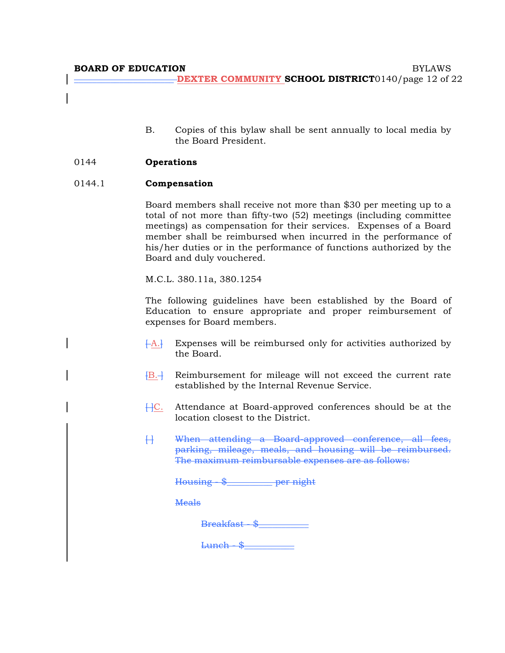B. Copies of this bylaw shall be sent annually to local media by the Board President.

## 0144 **Operations**

### 0144.1 **Compensation**

Board members shall receive not more than \$30 per meeting up to a total of not more than fifty-two (52) meetings (including committee meetings) as compensation for their services. Expenses of a Board member shall be reimbursed when incurred in the performance of his/her duties or in the performance of functions authorized by the Board and duly vouchered.

M.C.L. 380.11a, 380.1254

The following guidelines have been established by the Board of Education to ensure appropriate and proper reimbursement of expenses for Board members.

- $[A]$  Expenses will be reimbursed only for activities authorized by the Board.
- $[B, ]$  Reimbursement for mileage will not exceed the current rate established by the Internal Revenue Service.
- $\overline{HC}$ . Attendance at Board-approved conferences should be at the location closest to the District.
- [ ] When attending a Board-approved conference, all fees, parking, mileage, meals, and housing will be reimbursed. The maximum reimbursable expenses are as follows:

Housing \$\_\_\_\_\_\_\_\_\_ per night

**Meals** 

Breakfast \$

Lunch \$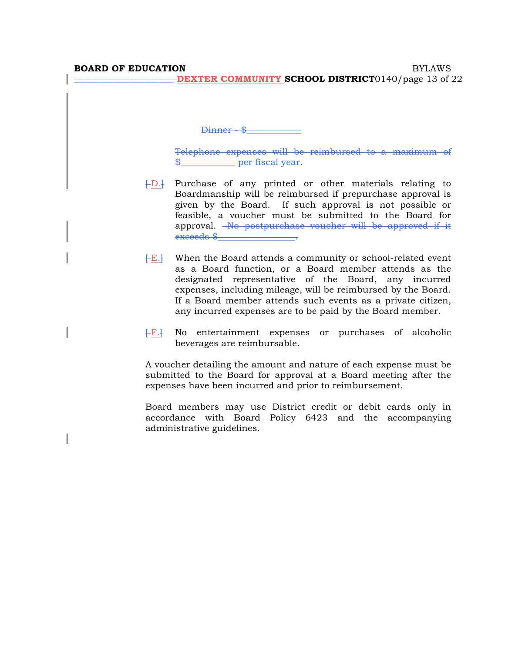### Dinner - \$\_\_\_\_\_\_\_\_\_\_\_\_

Telephone expenses will be reimbursed to a maximum of  $\longrightarrow$  per fiscal year.

- $[D.]}$  Purchase of any printed or other materials relating to Boardmanship will be reimbursed if prepurchase approval is given by the Board. If such approval is not possible or feasible, a voucher must be submitted to the Board for approval. No postpurchase voucher will be approved if it exceeds \$\_\_\_\_\_\_\_\_\_\_\_\_\_\_\_\_\_.
- $E.$  When the Board attends a community or school-related event as a Board function, or a Board member attends as the designated representative of the Board, any incurred expenses, including mileage, will be reimbursed by the Board. If a Board member attends such events as a private citizen, any incurred expenses are to be paid by the Board member.
- $\overline{F}$ . No entertainment expenses or purchases of alcoholic beverages are reimbursable.

A voucher detailing the amount and nature of each expense must be submitted to the Board for approval at a Board meeting after the expenses have been incurred and prior to reimbursement.

Board members may use District credit or debit cards only in accordance with Board Policy 6423 and the accompanying administrative guidelines.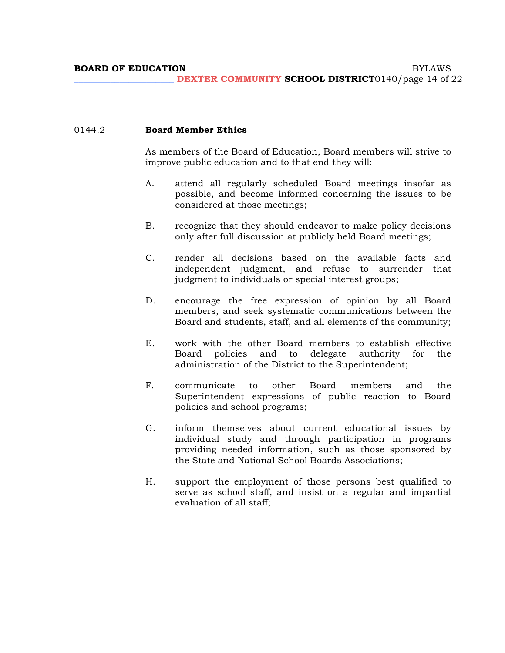**\_\_\_\_\_\_\_\_\_\_\_\_\_\_\_\_\_\_\_\_\_\_ DEXTER COMMUNITY SCHOOL DISTRICT**0140/page 14 of 22

### 0144.2 **Board Member Ethics**

As members of the Board of Education, Board members will strive to improve public education and to that end they will:

- A. attend all regularly scheduled Board meetings insofar as possible, and become informed concerning the issues to be considered at those meetings;
- B. recognize that they should endeavor to make policy decisions only after full discussion at publicly held Board meetings;
- C. render all decisions based on the available facts and independent judgment, and refuse to surrender that judgment to individuals or special interest groups;
- D. encourage the free expression of opinion by all Board members, and seek systematic communications between the Board and students, staff, and all elements of the community;
- E. work with the other Board members to establish effective Board policies and to delegate authority for the administration of the District to the Superintendent;
- F. communicate to other Board members and the Superintendent expressions of public reaction to Board policies and school programs;
- G. inform themselves about current educational issues by individual study and through participation in programs providing needed information, such as those sponsored by the State and National School Boards Associations;
- H. support the employment of those persons best qualified to serve as school staff, and insist on a regular and impartial evaluation of all staff;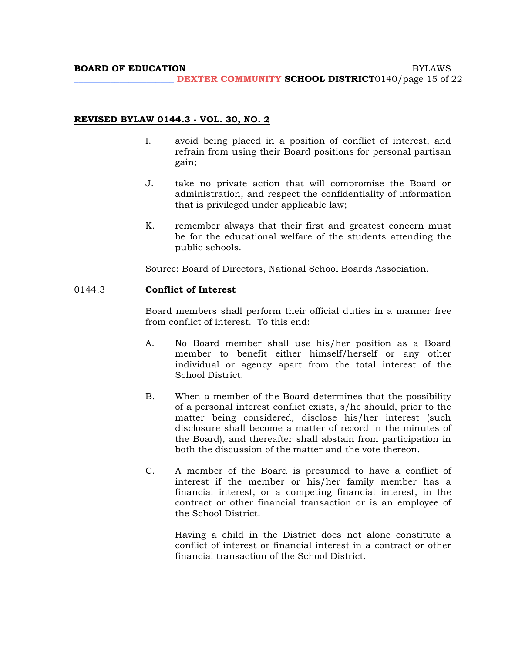### **REVISED BYLAW 0144.3 - VOL. 30, NO. 2**

- I. avoid being placed in a position of conflict of interest, and refrain from using their Board positions for personal partisan gain;
- J. take no private action that will compromise the Board or administration, and respect the confidentiality of information that is privileged under applicable law;
- K. remember always that their first and greatest concern must be for the educational welfare of the students attending the public schools.

Source: Board of Directors, National School Boards Association.

### 0144.3 **Conflict of Interest**

Board members shall perform their official duties in a manner free from conflict of interest. To this end:

- A. No Board member shall use his/her position as a Board member to benefit either himself/herself or any other individual or agency apart from the total interest of the School District.
- B. When a member of the Board determines that the possibility of a personal interest conflict exists, s/he should, prior to the matter being considered, disclose his/her interest (such disclosure shall become a matter of record in the minutes of the Board), and thereafter shall abstain from participation in both the discussion of the matter and the vote thereon.
- C. A member of the Board is presumed to have a conflict of interest if the member or his/her family member has a financial interest, or a competing financial interest, in the contract or other financial transaction or is an employee of the School District.

Having a child in the District does not alone constitute a conflict of interest or financial interest in a contract or other financial transaction of the School District.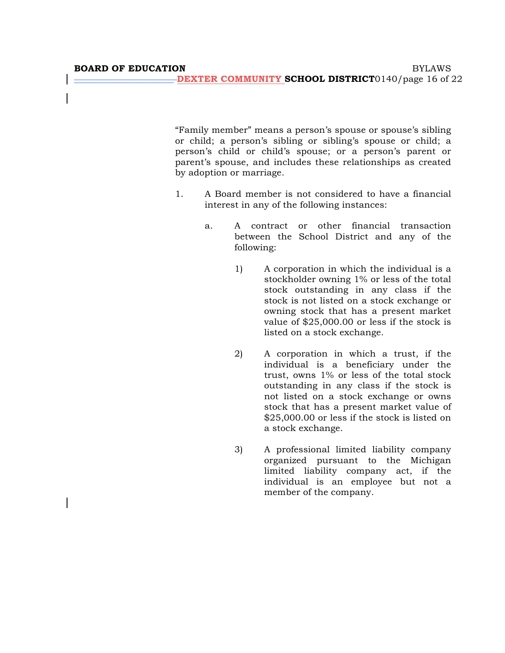"Family member" means a person's spouse or spouse's sibling or child; a person's sibling or sibling's spouse or child; a person's child or child's spouse; or a person's parent or parent's spouse, and includes these relationships as created by adoption or marriage.

- 1. A Board member is not considered to have a financial interest in any of the following instances:
	- a. A contract or other financial transaction between the School District and any of the following:
		- 1) A corporation in which the individual is a stockholder owning 1% or less of the total stock outstanding in any class if the stock is not listed on a stock exchange or owning stock that has a present market value of \$25,000.00 or less if the stock is listed on a stock exchange.
		- 2) A corporation in which a trust, if the individual is a beneficiary under the trust, owns 1% or less of the total stock outstanding in any class if the stock is not listed on a stock exchange or owns stock that has a present market value of \$25,000.00 or less if the stock is listed on a stock exchange.
		- 3) A professional limited liability company organized pursuant to the Michigan limited liability company act, if the individual is an employee but not a member of the company.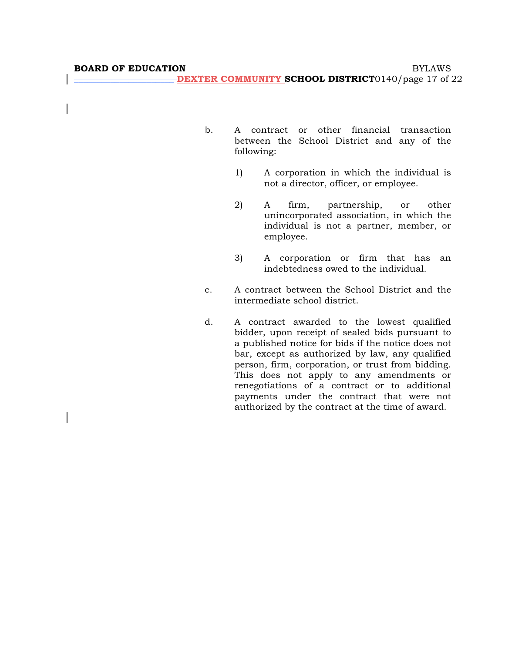- b. A contract or other financial transaction between the School District and any of the following:
	- 1) A corporation in which the individual is not a director, officer, or employee.
	- 2) A firm, partnership, or other unincorporated association, in which the individual is not a partner, member, or employee.
	- 3) A corporation or firm that has an indebtedness owed to the individual.
- c. A contract between the School District and the intermediate school district.
- d. A contract awarded to the lowest qualified bidder, upon receipt of sealed bids pursuant to a published notice for bids if the notice does not bar, except as authorized by law, any qualified person, firm, corporation, or trust from bidding. This does not apply to any amendments or renegotiations of a contract or to additional payments under the contract that were not authorized by the contract at the time of award.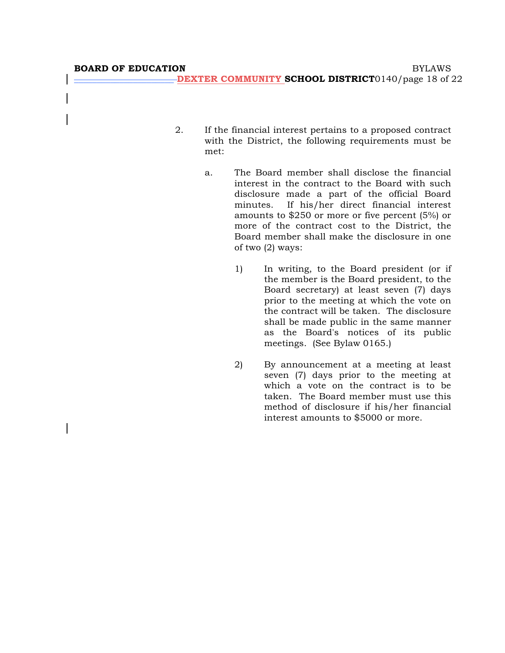- 2. If the financial interest pertains to a proposed contract with the District, the following requirements must be met:
	- a. The Board member shall disclose the financial interest in the contract to the Board with such disclosure made a part of the official Board minutes. If his/her direct financial interest amounts to \$250 or more or five percent (5%) or more of the contract cost to the District, the Board member shall make the disclosure in one of two (2) ways:
		- 1) In writing, to the Board president (or if the member is the Board president, to the Board secretary) at least seven (7) days prior to the meeting at which the vote on the contract will be taken. The disclosure shall be made public in the same manner as the Board's notices of its public meetings. (See Bylaw 0165.)
		- 2) By announcement at a meeting at least seven (7) days prior to the meeting at which a vote on the contract is to be taken. The Board member must use this method of disclosure if his/her financial interest amounts to \$5000 or more.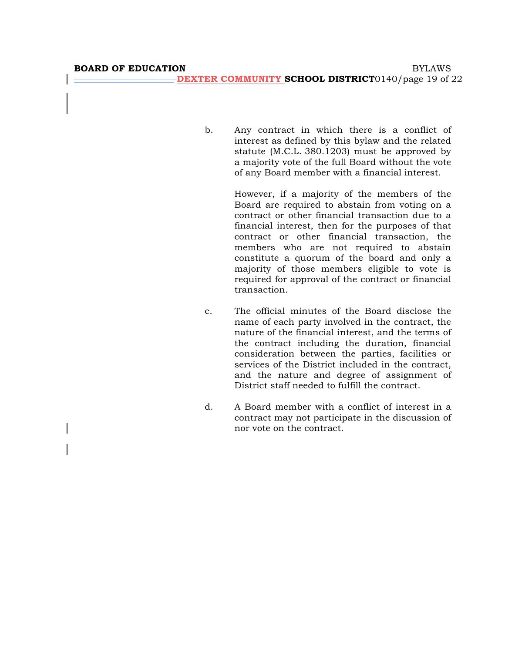b. Any contract in which there is a conflict of interest as defined by this bylaw and the related statute (M.C.L. 380.1203) must be approved by a majority vote of the full Board without the vote of any Board member with a financial interest.

> However, if a majority of the members of the Board are required to abstain from voting on a contract or other financial transaction due to a financial interest, then for the purposes of that contract or other financial transaction, the members who are not required to abstain constitute a quorum of the board and only a majority of those members eligible to vote is required for approval of the contract or financial transaction.

- c. The official minutes of the Board disclose the name of each party involved in the contract, the nature of the financial interest, and the terms of the contract including the duration, financial consideration between the parties, facilities or services of the District included in the contract, and the nature and degree of assignment of District staff needed to fulfill the contract.
- d. A Board member with a conflict of interest in a contract may not participate in the discussion of nor vote on the contract.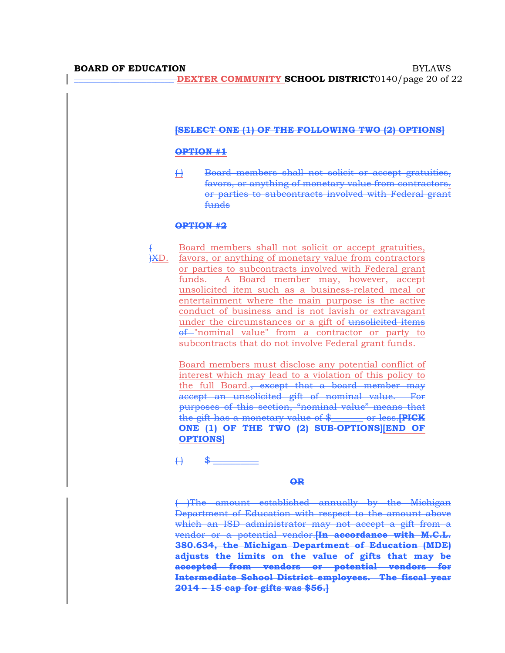**\_\_\_\_\_\_\_\_\_\_\_\_\_\_\_\_\_\_\_\_\_\_ DEXTER COMMUNITY SCHOOL DISTRICT**0140/page 20 of 22

### **[SELECT ONE (1) OF THE FOLLOWING TWO (2) OPTIONS]**

#### **OPTION #1**

( ) Board members shall not solicit or accept gratuities, favors, or anything of monetary value from contractors. or parties to subcontracts involved with Federal grant **funds** 

#### **OPTION #2**

 $\ddot{+}$ 

)XD. favors, or anything of monetary value from contractors Board members shall not solicit or accept gratuities, or parties to subcontracts involved with Federal grant funds. A Board member may, however, accept unsolicited item such as a business-related meal or entertainment where the main purpose is the active conduct of business and is not lavish or extravagant under the circumstances or a gift of unsolicited items of "nominal value" from a contractor or party to subcontracts that do not involve Federal grant funds.

> Board members must disclose any potential conflict of interest which may lead to a violation of this policy to the full Board., except that a board member may accept an unsolicited gift of nominal value. For purposes of this section, "nominal value" means that the gift has a monetary value of \$\_\_\_\_\_\_\_ or less.**[PICK ONE (1) OF THE TWO (2) SUB-OPTIONS][END OF OPTIONS]**

 $\leftrightarrow$   $\rightarrow$ 

#### **OR**

( )The amount established annually by the Michigan Department of Education with respect to the amount above which an ISD administrator may not accept a gift from a vendor or a potential vendor.**[In accordance with M.C.L. 380.634, the Michigan Department of Education (MDE) adjusts the limits on the value of gifts that may be accepted from vendors or potential vendors for Intermediate School District employees. The fiscal year 2014 – 15 cap for gifts was \$56.]**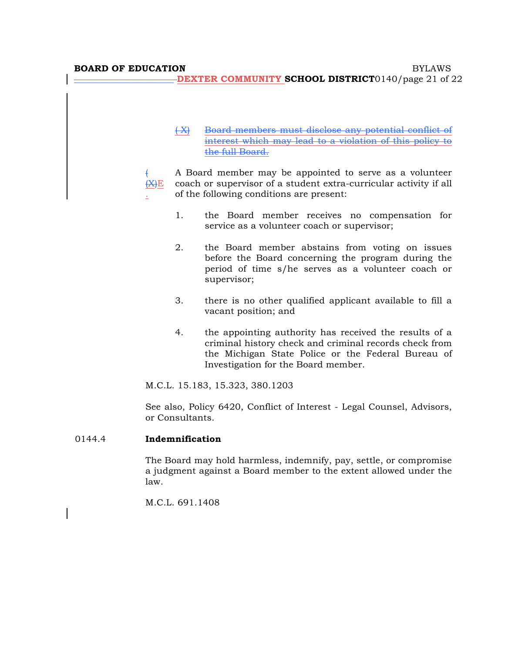$\overline{f}$ 

.

( X) Board members must disclose any potential conflict of interest which may lead to a violation of this policy to the full Board.

 $\overline{\text{A}}$ E A Board member may be appointed to serve as a volunteer coach or supervisor of a student extra-curricular activity if all of the following conditions are present:

- 1. the Board member receives no compensation for service as a volunteer coach or supervisor;
- 2. the Board member abstains from voting on issues before the Board concerning the program during the period of time s/he serves as a volunteer coach or supervisor;
- 3. there is no other qualified applicant available to fill a vacant position; and
- 4. the appointing authority has received the results of a criminal history check and criminal records check from the Michigan State Police or the Federal Bureau of Investigation for the Board member.

M.C.L. 15.183, 15.323, 380.1203

See also, Policy 6420, Conflict of Interest - Legal Counsel, Advisors, or Consultants.

### 0144.4 **Indemnification**

The Board may hold harmless, indemnify, pay, settle, or compromise a judgment against a Board member to the extent allowed under the law.

M.C.L. 691.1408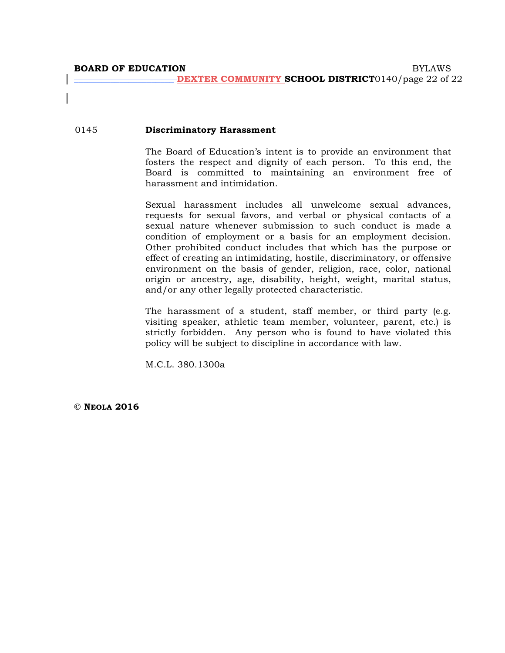### 0145 **Discriminatory Harassment**

The Board of Education's intent is to provide an environment that fosters the respect and dignity of each person. To this end, the Board is committed to maintaining an environment free of harassment and intimidation.

Sexual harassment includes all unwelcome sexual advances, requests for sexual favors, and verbal or physical contacts of a sexual nature whenever submission to such conduct is made a condition of employment or a basis for an employment decision. Other prohibited conduct includes that which has the purpose or effect of creating an intimidating, hostile, discriminatory, or offensive environment on the basis of gender, religion, race, color, national origin or ancestry, age, disability, height, weight, marital status, and/or any other legally protected characteristic.

The harassment of a student, staff member, or third party (e.g. visiting speaker, athletic team member, volunteer, parent, etc.) is strictly forbidden. Any person who is found to have violated this policy will be subject to discipline in accordance with law.

M.C.L. 380.1300a

**© NEOLA 2016**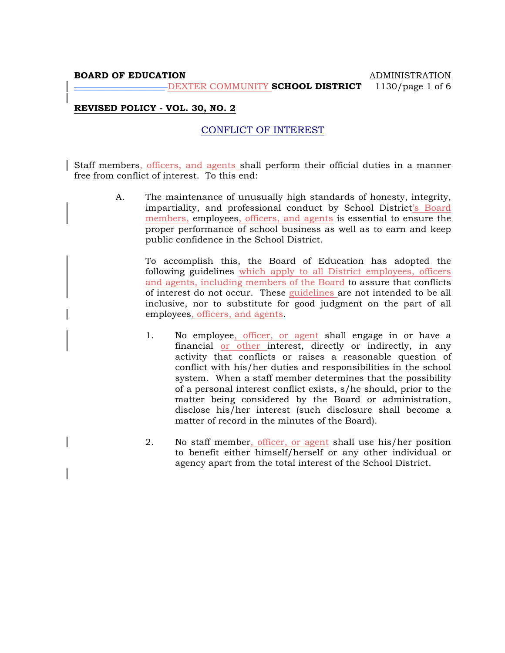**BOARD OF EDUCATION** ADMINISTRATION

# **REVISED POLICY - VOL. 30, NO. 2**

# CONFLICT OF INTEREST

Staff members, officers, and agents shall perform their official duties in a manner free from conflict of interest. To this end:

> A. The maintenance of unusually high standards of honesty, integrity, impartiality, and professional conduct by School District's Board members, employees, officers, and agents is essential to ensure the proper performance of school business as well as to earn and keep public confidence in the School District.

To accomplish this, the Board of Education has adopted the following guidelines which apply to all District employees, officers and agents, including members of the Board to assure that conflicts of interest do not occur. These guidelines are not intended to be all inclusive, nor to substitute for good judgment on the part of all employees, officers, and agents.

- 1. No employee, officer, or agent shall engage in or have a financial or other interest, directly or indirectly, in any activity that conflicts or raises a reasonable question of conflict with his/her duties and responsibilities in the school system. When a staff member determines that the possibility of a personal interest conflict exists, s/he should, prior to the matter being considered by the Board or administration, disclose his/her interest (such disclosure shall become a matter of record in the minutes of the Board).
- 2. No staff member, officer, or agent shall use his/her position to benefit either himself/herself or any other individual or agency apart from the total interest of the School District.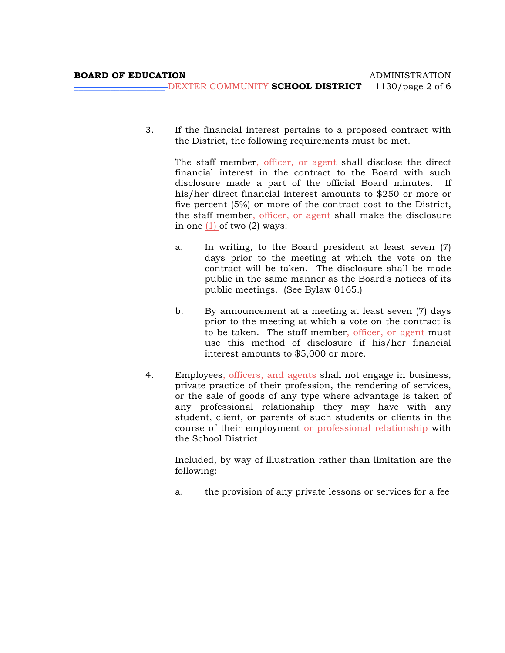3. If the financial interest pertains to a proposed contract with the District, the following requirements must be met.

> The staff member, officer, or agent shall disclose the direct financial interest in the contract to the Board with such disclosure made a part of the official Board minutes. If his/her direct financial interest amounts to \$250 or more or five percent (5%) or more of the contract cost to the District, the staff member, officer, or agent shall make the disclosure in one  $(1)$  of two  $(2)$  ways:

- a. In writing, to the Board president at least seven (7) days prior to the meeting at which the vote on the contract will be taken. The disclosure shall be made public in the same manner as the Board's notices of its public meetings. (See Bylaw 0165.)
- b. By announcement at a meeting at least seven (7) days prior to the meeting at which a vote on the contract is to be taken. The staff member, officer, or agent must use this method of disclosure if his/her financial interest amounts to \$5,000 or more.
- 4. Employees, officers, and agents shall not engage in business, private practice of their profession, the rendering of services, or the sale of goods of any type where advantage is taken of any professional relationship they may have with any student, client, or parents of such students or clients in the course of their employment or professional relationship with the School District.

Included, by way of illustration rather than limitation are the following:

a. the provision of any private lessons or services for a fee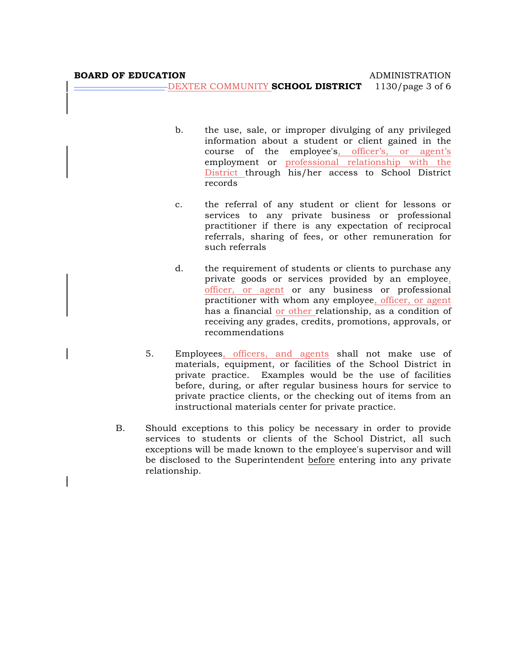#### **BOARD OF EDUCATION** ADMINISTRATION

# \_\_\_\_\_\_\_\_\_\_\_\_\_\_\_\_\_\_\_\_ DEXTER COMMUNITY **SCHOOL DISTRICT** 1130/page 3 of 6

- b. the use, sale, or improper divulging of any privileged information about a student or client gained in the course of the employee's, officer's, or agent's employment or professional relationship with the District through his/her access to School District records
- c. the referral of any student or client for lessons or services to any private business or professional practitioner if there is any expectation of reciprocal referrals, sharing of fees, or other remuneration for such referrals
- d. the requirement of students or clients to purchase any private goods or services provided by an employee, officer, or agent or any business or professional practitioner with whom any employee, officer, or agent has a financial or other relationship, as a condition of receiving any grades, credits, promotions, approvals, or recommendations
- 5. Employees, officers, and agents shall not make use of materials, equipment, or facilities of the School District in private practice. Examples would be the use of facilities before, during, or after regular business hours for service to private practice clients, or the checking out of items from an instructional materials center for private practice.
- B. Should exceptions to this policy be necessary in order to provide services to students or clients of the School District, all such exceptions will be made known to the employee's supervisor and will be disclosed to the Superintendent before entering into any private relationship.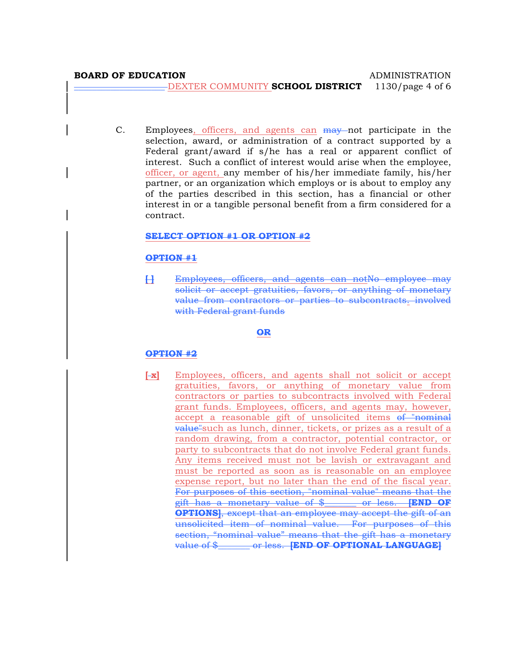**BOARD OF EDUCATION** ADMINISTRATION -DEXTER COMMUNITY **SCHOOL DISTRICT** 1130/page 4 of 6

> C. Employees, officers, and agents can may not participate in the selection, award, or administration of a contract supported by a Federal grant/award if s/he has a real or apparent conflict of interest. Such a conflict of interest would arise when the employee, officer, or agent, any member of his/her immediate family, his/her partner, or an organization which employs or is about to employ any of the parties described in this section, has a financial or other interest in or a tangible personal benefit from a firm considered for a contract.

### **SELECT OPTION #1 OR OPTION #2**

### **OPTION #1**

**[ ]** Employees, officers, and agents can notNo employee may solicit or accept gratuities, favors, or anything of monetary value from contractors or parties to subcontracts. involved with Federal grant funds

### **OR**

# **OPTION #2**

[-x] Employees, officers, and agents shall not solicit or accept gratuities, favors, or anything of monetary value from contractors or parties to subcontracts involved with Federal grant funds. Employees, officers, and agents may, however, accept a reasonable gift of unsolicited items of "nominal value"such as lunch, dinner, tickets, or prizes as a result of a random drawing, from a contractor, potential contractor, or party to subcontracts that do not involve Federal grant funds. Any items received must not be lavish or extravagant and must be reported as soon as is reasonable on an employee expense report, but no later than the end of the fiscal year. For purposes of this section, "nominal value" means that the gift has a monetary value of \$\_\_\_\_\_\_\_ or less. **[END OF OPTIONS**], except that an employee may accept the gift of an unsolicited item of nominal value. For purposes of this section, "nominal value" means that the gift has a monetary value of \$\_\_\_\_\_\_\_ or less. **[END OF OPTIONAL LANGUAGE]**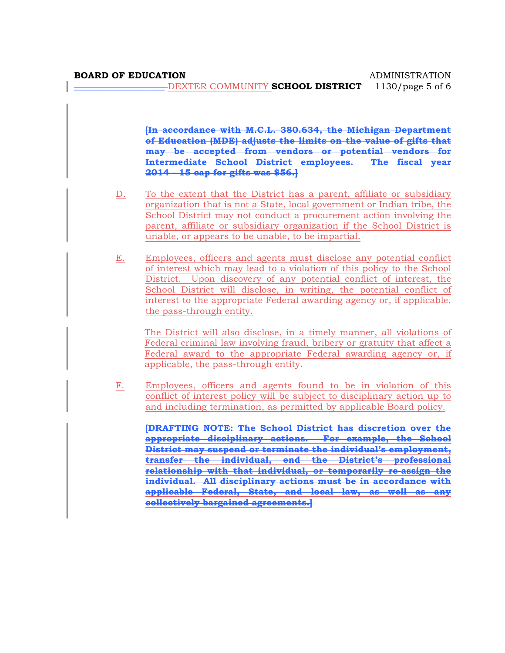#### **BOARD OF EDUCATION ADMINISTRATION**

\_\_\_\_\_\_\_\_\_\_\_\_\_\_\_\_\_\_\_\_ DEXTER COMMUNITY **SCHOOL DISTRICT** 1130/page 5 of 6

**[In accordance with M.C.L. 380.634, the Michigan Department of Education (MDE) adjusts the limits on the value of gifts that may be accepted from vendors or potential vendors for Intermediate School District employees. The fiscal year 2014 - 15 cap for gifts was \$56.]**

- D. To the extent that the District has a parent, affiliate or subsidiary organization that is not a State, local government or Indian tribe, the School District may not conduct a procurement action involving the parent, affiliate or subsidiary organization if the School District is unable, or appears to be unable, to be impartial.
- E. Employees, officers and agents must disclose any potential conflict of interest which may lead to a violation of this policy to the School District. Upon discovery of any potential conflict of interest, the School District will disclose, in writing, the potential conflict of interest to the appropriate Federal awarding agency or, if applicable, the pass-through entity.

The District will also disclose, in a timely manner, all violations of Federal criminal law involving fraud, bribery or gratuity that affect a Federal award to the appropriate Federal awarding agency or, if applicable, the pass-through entity.

F. Employees, officers and agents found to be in violation of this conflict of interest policy will be subject to disciplinary action up to and including termination, as permitted by applicable Board policy.

**[DRAFTING NOTE: The School District has discretion over the appropriate disciplinary actions. For example, the School District may suspend or terminate the individual's employment, transfer the individual, end the District's professional relationship with that individual, or temporarily re-assign the individual. All disciplinary actions must be in accordance with applicable Federal, State, and local law, as well as any collectively bargained agreements.]**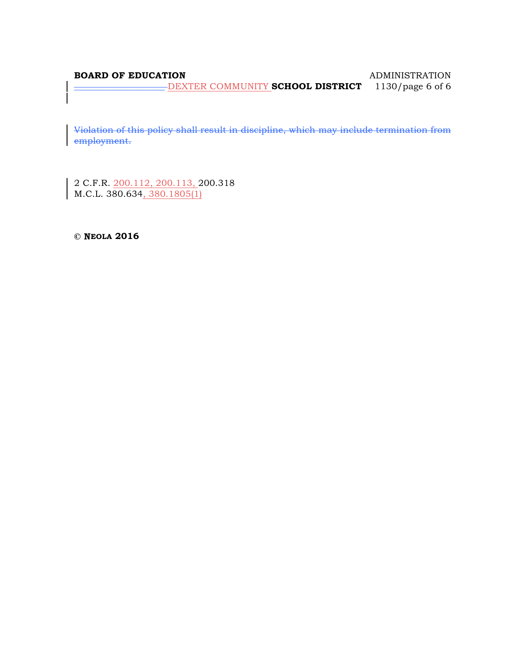**BOARD OF EDUCATION** ADMINISTRATION \_\_\_\_\_\_\_\_\_\_\_\_\_\_\_\_\_\_\_\_ DEXTER COMMUNITY **SCHOOL DISTRICT** 1130/page 6 of 6

Violation of this policy shall result in discipline, which may include termination from employment.

2 C.F.R. 200.112, 200.113, 200.318 M.C.L. 380.634, 380.1805(1)

**© NEOLA 2016**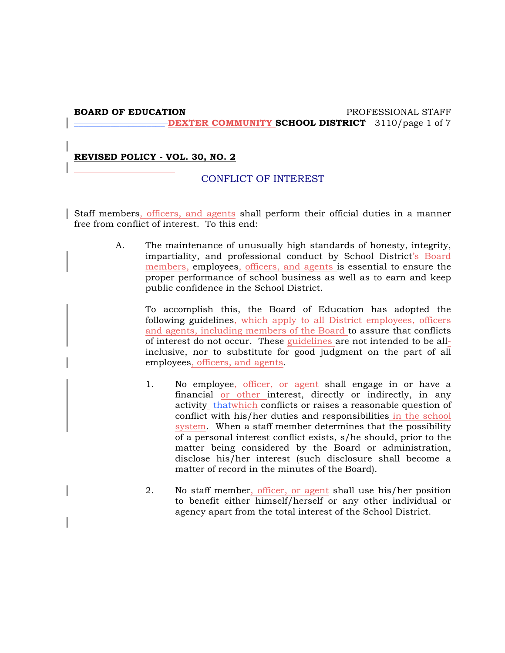#### **BOARD OF EDUCATION EXECUTE:** PROFESSIONAL STAFF **DEXTER COMMUNITY SCHOOL DISTRICT** 3110/page 1 of 7

# **REVISED POLICY - VOL. 30, NO. 2**

# CONFLICT OF INTEREST

Staff members, officers, and agents shall perform their official duties in a manner free from conflict of interest. To this end:

> A. The maintenance of unusually high standards of honesty, integrity, impartiality, and professional conduct by School District's Board members, employees, officers, and agents is essential to ensure the proper performance of school business as well as to earn and keep public confidence in the School District.

To accomplish this, the Board of Education has adopted the following guidelines, which apply to all District employees, officers and agents, including members of the Board to assure that conflicts of interest do not occur. These guidelines are not intended to be allinclusive, nor to substitute for good judgment on the part of all employees, officers, and agents.

- 1. No employee, officer, or agent shall engage in or have a financial or other interest, directly or indirectly, in any activity thatwhich conflicts or raises a reasonable question of conflict with his/her duties and responsibilities in the school system. When a staff member determines that the possibility of a personal interest conflict exists, s/he should, prior to the matter being considered by the Board or administration, disclose his/her interest (such disclosure shall become a matter of record in the minutes of the Board).
- 2. No staff member, officer, or agent shall use his/her position to benefit either himself/herself or any other individual or agency apart from the total interest of the School District.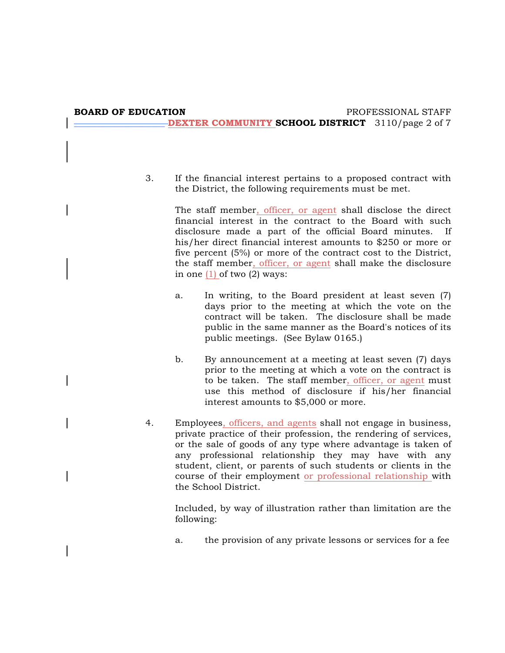3. If the financial interest pertains to a proposed contract with the District, the following requirements must be met.

> The staff member, officer, or agent shall disclose the direct financial interest in the contract to the Board with such disclosure made a part of the official Board minutes. If his/her direct financial interest amounts to \$250 or more or five percent (5%) or more of the contract cost to the District, the staff member, officer, or agent shall make the disclosure in one  $(1)$  of two  $(2)$  ways:

- a. In writing, to the Board president at least seven (7) days prior to the meeting at which the vote on the contract will be taken. The disclosure shall be made public in the same manner as the Board's notices of its public meetings. (See Bylaw 0165.)
- b. By announcement at a meeting at least seven (7) days prior to the meeting at which a vote on the contract is to be taken. The staff member, officer, or agent must use this method of disclosure if his/her financial interest amounts to \$5,000 or more.
- 4. Employees, officers, and agents shall not engage in business, private practice of their profession, the rendering of services, or the sale of goods of any type where advantage is taken of any professional relationship they may have with any student, client, or parents of such students or clients in the course of their employment or professional relationship with the School District.

Included, by way of illustration rather than limitation are the following:

a. the provision of any private lessons or services for a fee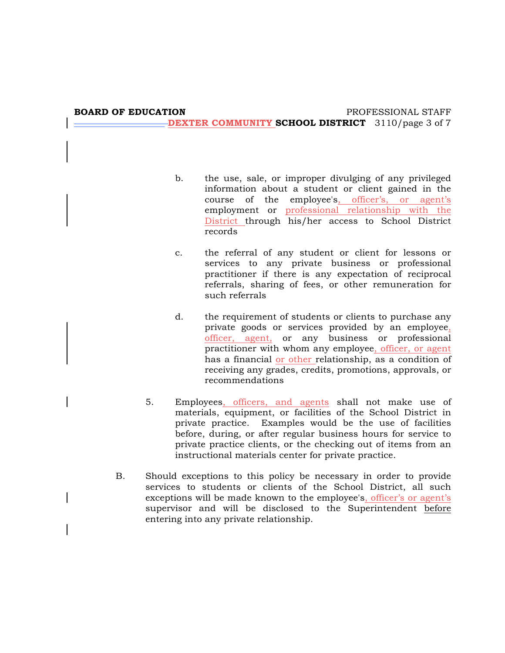- b. the use, sale, or improper divulging of any privileged information about a student or client gained in the course of the employee's, officer's, or agent's employment or professional relationship with the District through his/her access to School District records
- c. the referral of any student or client for lessons or services to any private business or professional practitioner if there is any expectation of reciprocal referrals, sharing of fees, or other remuneration for such referrals
- d. the requirement of students or clients to purchase any private goods or services provided by an employee, officer, agent, or any business or professional practitioner with whom any employee, officer, or agent has a financial or other relationship, as a condition of receiving any grades, credits, promotions, approvals, or recommendations
- 5. Employees, officers, and agents shall not make use of materials, equipment, or facilities of the School District in private practice. Examples would be the use of facilities before, during, or after regular business hours for service to private practice clients, or the checking out of items from an instructional materials center for private practice.
- B. Should exceptions to this policy be necessary in order to provide services to students or clients of the School District, all such exceptions will be made known to the employee's, officer's or agent's supervisor and will be disclosed to the Superintendent before entering into any private relationship.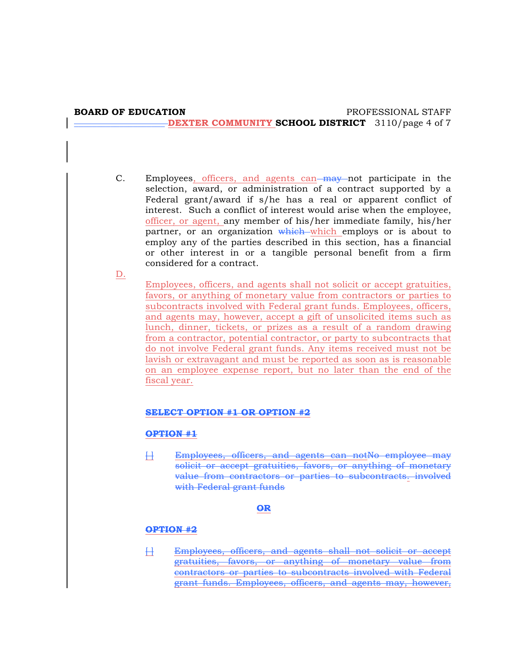#### **BOARD OF EDUCATION EXECUTE:** PROFESSIONAL STAFF **DEXTER COMMUNITY SCHOOL DISTRICT** 3110/page 4 of 7

- C. Employees, officers, and agents can may not participate in the selection, award, or administration of a contract supported by a Federal grant/award if s/he has a real or apparent conflict of interest. Such a conflict of interest would arise when the employee, officer, or agent, any member of his/her immediate family, his/her partner, or an organization which which employs or is about to employ any of the parties described in this section, has a financial or other interest in or a tangible personal benefit from a firm considered for a contract.
- D.

Employees, officers, and agents shall not solicit or accept gratuities, favors, or anything of monetary value from contractors or parties to subcontracts involved with Federal grant funds. Employees, officers, and agents may, however, accept a gift of unsolicited items such as lunch, dinner, tickets, or prizes as a result of a random drawing from a contractor, potential contractor, or party to subcontracts that do not involve Federal grant funds. Any items received must not be lavish or extravagant and must be reported as soon as is reasonable on an employee expense report, but no later than the end of the fiscal year.

# **SELECT OPTION #1 OR OPTION #2**

# **OPTION #1**

[ ] Employees, officers, and agents can notNo employee may solicit or accept gratuities, favors, or anything of monetary value from contractors or parties to subcontracts. involved with Federal grant funds

### **OR**

# **OPTION #2**

[ ] Employees, officers, and agents shall not solicit or accept gratuities, favors, or anything of monetary value from contractors or parties to subcontracts involved with Federal grant funds. Employees, officers, and agents may, however,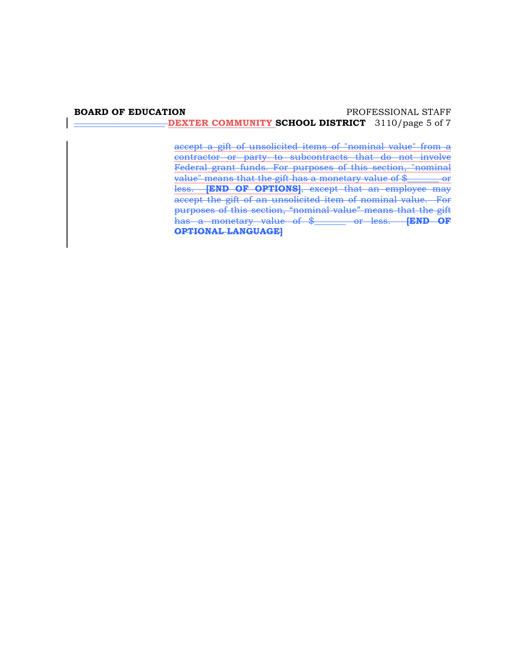# **BOARD OF EDUCATION PROFESSIONAL STAFF \_\_\_\_\_\_\_\_\_\_\_\_\_\_\_\_\_\_\_\_ DEXTER COMMUNITY SCHOOL DISTRICT** 3110/page 5 of 7

accept a gift of unsolicited items of "nominal value" from a contractor or party to subcontracts that do not involve Federal grant funds. For purposes of this section, "nominal value" means that the gift has a monetary value of \$\_\_\_\_\_\_\_ or less. **[END OF OPTIONS]**, except that an employee may accept the gift of an unsolicited item of nominal value. For purposes of this section, "nominal value" means that the gift has a monetary value of \$\_\_\_\_\_\_\_ or less. **[END OF OPTIONAL LANGUAGE]**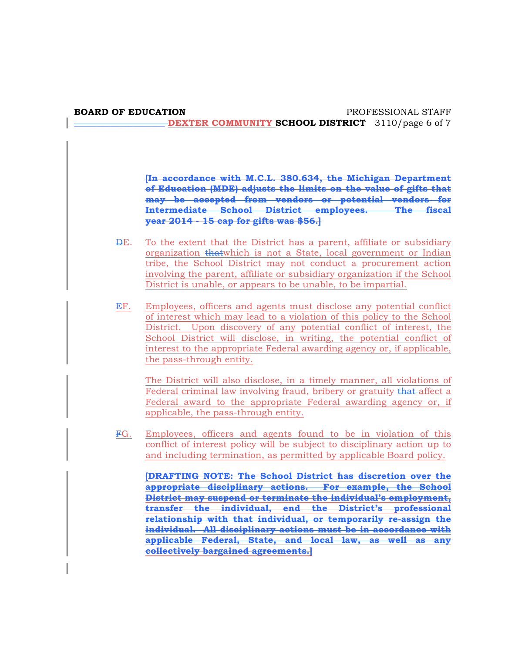**[In accordance with M.C.L. 380.634, the Michigan Department of Education (MDE) adjusts the limits on the value of gifts that may be accepted from vendors or potential vendors for Intermediate School District employees. The fiscal year 2014 - 15 cap for gifts was \$56.]**

- DE. To the extent that the District has a parent, affiliate or subsidiary organization thatwhich is not a State, local government or Indian tribe, the School District may not conduct a procurement action involving the parent, affiliate or subsidiary organization if the School District is unable, or appears to be unable, to be impartial.
- EF. Employees, officers and agents must disclose any potential conflict of interest which may lead to a violation of this policy to the School District. Upon discovery of any potential conflict of interest, the School District will disclose, in writing, the potential conflict of interest to the appropriate Federal awarding agency or, if applicable, the pass-through entity.

The District will also disclose, in a timely manner, all violations of Federal criminal law involving fraud, bribery or gratuity that affect a Federal award to the appropriate Federal awarding agency or, if applicable, the pass-through entity.

FG. Employees, officers and agents found to be in violation of this conflict of interest policy will be subject to disciplinary action up to and including termination, as permitted by applicable Board policy.

**[DRAFTING NOTE: The School District has discretion over the appropriate disciplinary actions. For example, the School District may suspend or terminate the individual's employment, transfer the individual, end the District's professional relationship with that individual, or temporarily re-assign the individual. All disciplinary actions must be in accordance with applicable Federal, State, and local law, as well as any collectively bargained agreements.]**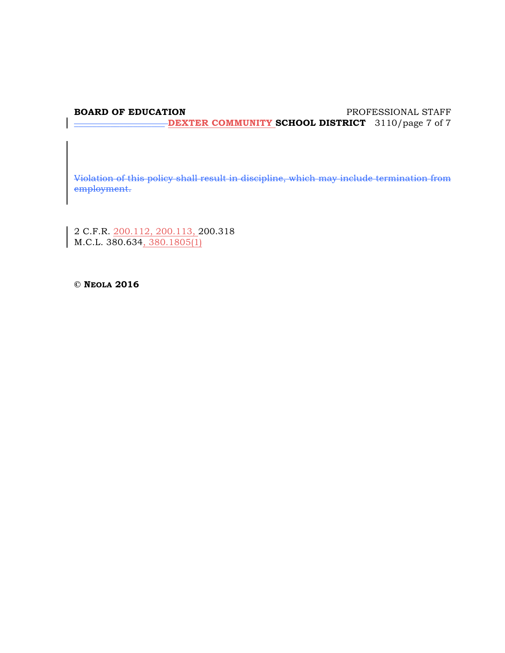# **BOARD OF EDUCATION** PROFESSIONAL STAFF **\_\_\_\_\_\_\_\_\_\_\_\_\_\_\_\_\_\_\_\_ DEXTER COMMUNITY SCHOOL DISTRICT** 3110/page 7 of 7

Violation of this policy shall result in discipline, which may include termination from employment.

2 C.F.R. 200.112, 200.113, 200.318 M.C.L. 380.634, 380.1805(1)

**© NEOLA 2016**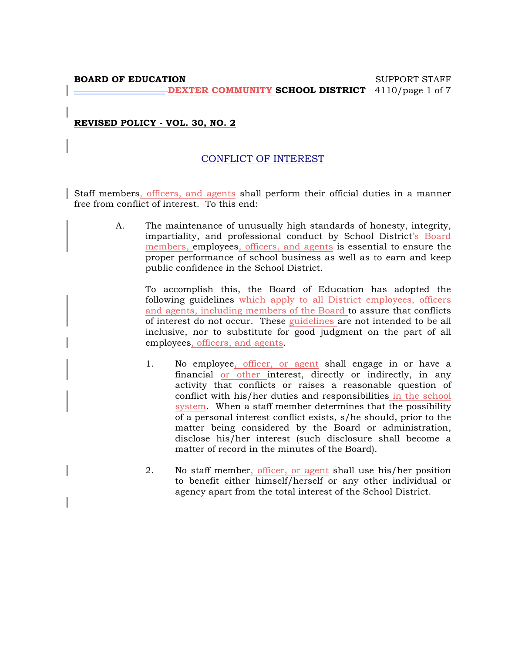**\_\_\_\_\_\_\_\_\_\_\_\_\_\_\_\_\_\_\_\_ DEXTER COMMUNITY SCHOOL DISTRICT** 4110/page 1 of 7

# **REVISED POLICY - VOL. 30, NO. 2**

# CONFLICT OF INTEREST

Staff members, officers, and agents shall perform their official duties in a manner free from conflict of interest. To this end:

> A. The maintenance of unusually high standards of honesty, integrity, impartiality, and professional conduct by School District's Board members, employees, officers, and agents is essential to ensure the proper performance of school business as well as to earn and keep public confidence in the School District.

To accomplish this, the Board of Education has adopted the following guidelines which apply to all District employees, officers and agents, including members of the Board to assure that conflicts of interest do not occur. These guidelines are not intended to be all inclusive, nor to substitute for good judgment on the part of all employees, officers, and agents.

- 1. No employee, officer, or agent shall engage in or have a financial or other interest, directly or indirectly, in any activity that conflicts or raises a reasonable question of conflict with his/her duties and responsibilities in the school system. When a staff member determines that the possibility of a personal interest conflict exists, s/he should, prior to the matter being considered by the Board or administration, disclose his/her interest (such disclosure shall become a matter of record in the minutes of the Board).
- 2. No staff member, officer, or agent shall use his/her position to benefit either himself/herself or any other individual or agency apart from the total interest of the School District.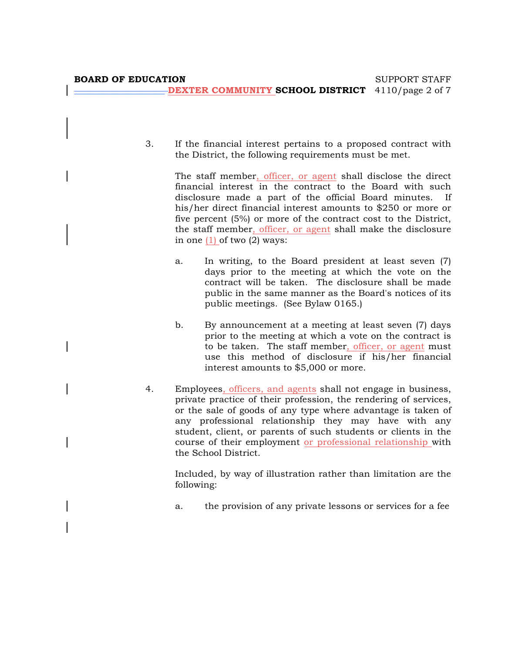3. If the financial interest pertains to a proposed contract with the District, the following requirements must be met.

> The staff member, officer, or agent shall disclose the direct financial interest in the contract to the Board with such disclosure made a part of the official Board minutes. If his/her direct financial interest amounts to \$250 or more or five percent (5%) or more of the contract cost to the District, the staff member, officer, or agent shall make the disclosure in one  $(1)$  of two  $(2)$  ways:

- a. In writing, to the Board president at least seven (7) days prior to the meeting at which the vote on the contract will be taken. The disclosure shall be made public in the same manner as the Board's notices of its public meetings. (See Bylaw 0165.)
- b. By announcement at a meeting at least seven (7) days prior to the meeting at which a vote on the contract is to be taken. The staff member, officer, or agent must use this method of disclosure if his/her financial interest amounts to \$5,000 or more.
- 4. Employees, officers, and agents shall not engage in business, private practice of their profession, the rendering of services, or the sale of goods of any type where advantage is taken of any professional relationship they may have with any student, client, or parents of such students or clients in the course of their employment or professional relationship with the School District.

Included, by way of illustration rather than limitation are the following:

a. the provision of any private lessons or services for a fee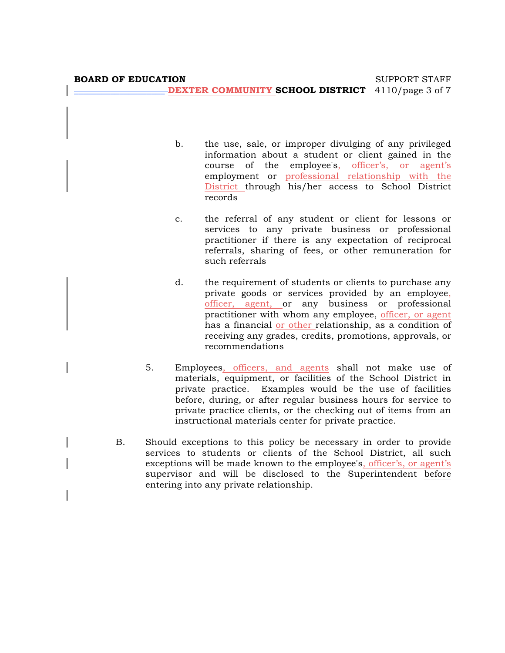**BOARD OF EDUCATION** SUPPORT STAFF **\_\_\_\_\_\_\_\_\_\_\_\_\_\_\_\_\_\_\_\_ DEXTER COMMUNITY SCHOOL DISTRICT** 4110/page 3 of 7

- b. the use, sale, or improper divulging of any privileged information about a student or client gained in the course of the employee's, officer's, or agent's employment or professional relationship with the District through his/her access to School District records
- c. the referral of any student or client for lessons or services to any private business or professional practitioner if there is any expectation of reciprocal referrals, sharing of fees, or other remuneration for such referrals
- d. the requirement of students or clients to purchase any private goods or services provided by an employee, officer, agent, or any business or professional practitioner with whom any employee, officer, or agent has a financial or other relationship, as a condition of receiving any grades, credits, promotions, approvals, or recommendations
- 5. Employees, officers, and agents shall not make use of materials, equipment, or facilities of the School District in private practice. Examples would be the use of facilities before, during, or after regular business hours for service to private practice clients, or the checking out of items from an instructional materials center for private practice.
- B. Should exceptions to this policy be necessary in order to provide services to students or clients of the School District, all such exceptions will be made known to the employee's, officer's, or agent's supervisor and will be disclosed to the Superintendent before entering into any private relationship.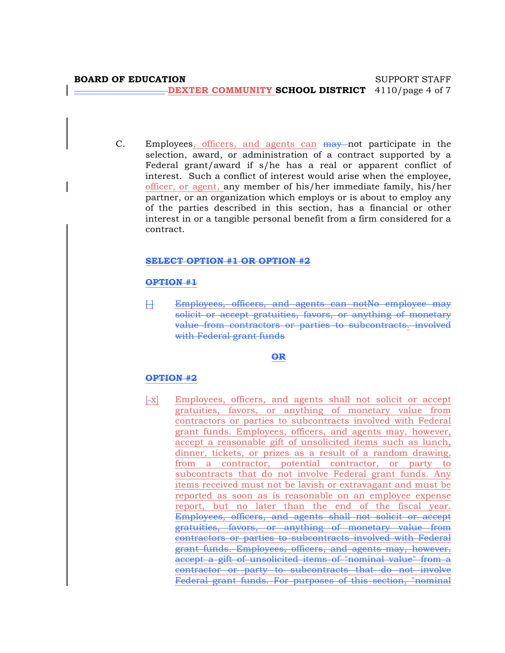# **BOARD OF EDUCATION** SUPPORT STAFF **\_DEXTER COMMUNITY SCHOOL DISTRICT** 4110/page 4 of 7

C. Employees, officers, and agents can may not participate in the selection, award, or administration of a contract supported by a Federal grant/award if s/he has a real or apparent conflict of interest. Such a conflict of interest would arise when the employee, officer, or agent, any member of his/her immediate family, his/her partner, or an organization which employs or is about to employ any of the parties described in this section, has a financial or other interest in or a tangible personal benefit from a firm considered for a contract.

### **SELECT OPTION #1 OR OPTION #2**

### **OPTION #1**

[ ] Employees, officers, and agents can notNo employee may solicit or accept gratuities, favors, or anything of monetary value from contractors or parties to subcontracts. involved with Federal grant funds

#### **OR**

### **OPTION #2**

[-x] Employees, officers, and agents shall not solicit or accept gratuities, favors, or anything of monetary value from contractors or parties to subcontracts involved with Federal grant funds. Employees, officers, and agents may, however, accept a reasonable gift of unsolicited items such as lunch, dinner, tickets, or prizes as a result of a random drawing. from a contractor, potential contractor, or party to subcontracts that do not involve Federal grant funds. Any items received must not be lavish or extravagant and must be reported as soon as is reasonable on an employee expense report, but no later than the end of the fiscal year. Employees, officers, and agents shall not solicit or accept gratuities, favors, or anything of monetary value from contractors or parties to subcontracts involved with Federal grant funds. Employees, officers, and agents may, however, accept a gift of unsolicited items of "nominal value" from a contractor or party to subcontracts that do not involve Federal grant funds. For purposes of this section, "nominal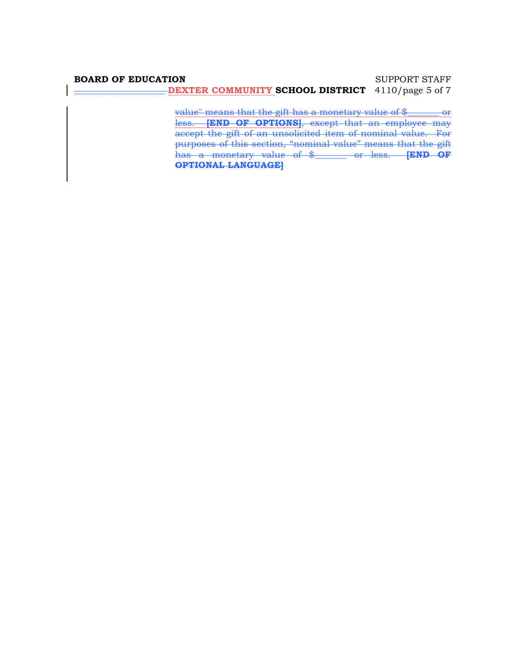#### **BOARD OF EDUCATION** SUPPORT STAFF

**EXTER COMMUNITY SCHOOL DISTRICT** 4110/page 5 of 7

value" means that the gift has a monetary value of \$\_\_\_\_\_\_\_ or less. **[END OF OPTIONS]**, except that an employee may accept the gift of an unsolicited item of nominal value. For purposes of this section, "nominal value" means that the gift has a monetary value of \$\_\_\_\_\_\_\_ or less. **[END OF OPTIONAL LANGUAGE]**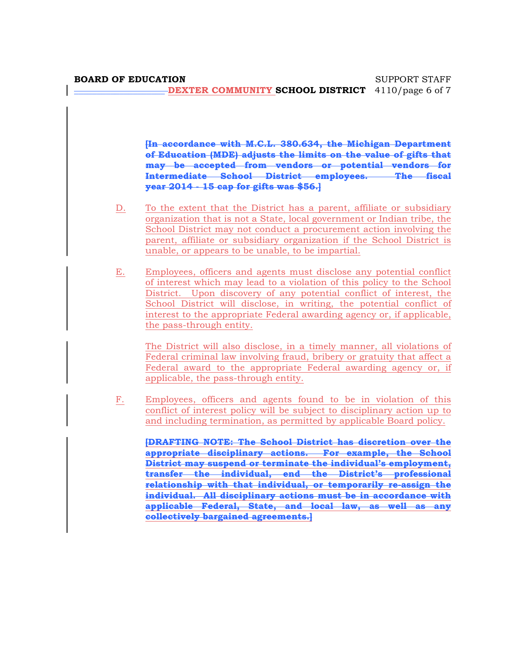**[In accordance with M.C.L. 380.634, the Michigan Department of Education (MDE) adjusts the limits on the value of gifts that may be accepted from vendors or potential vendors for Intermediate School District employees. The fiscal year 2014 - 15 cap for gifts was \$56.]**

- D. To the extent that the District has a parent, affiliate or subsidiary organization that is not a State, local government or Indian tribe, the School District may not conduct a procurement action involving the parent, affiliate or subsidiary organization if the School District is unable, or appears to be unable, to be impartial.
- E. Employees, officers and agents must disclose any potential conflict of interest which may lead to a violation of this policy to the School District. Upon discovery of any potential conflict of interest, the School District will disclose, in writing, the potential conflict of interest to the appropriate Federal awarding agency or, if applicable, the pass-through entity.

The District will also disclose, in a timely manner, all violations of Federal criminal law involving fraud, bribery or gratuity that affect a Federal award to the appropriate Federal awarding agency or, if applicable, the pass-through entity.

F. Employees, officers and agents found to be in violation of this conflict of interest policy will be subject to disciplinary action up to and including termination, as permitted by applicable Board policy.

**[DRAFTING NOTE: The School District has discretion over the appropriate disciplinary actions. For example, the School District may suspend or terminate the individual's employment, transfer the individual, end the District's professional relationship with that individual, or temporarily re-assign the individual. All disciplinary actions must be in accordance with applicable Federal, State, and local law, as well as any collectively bargained agreements.]**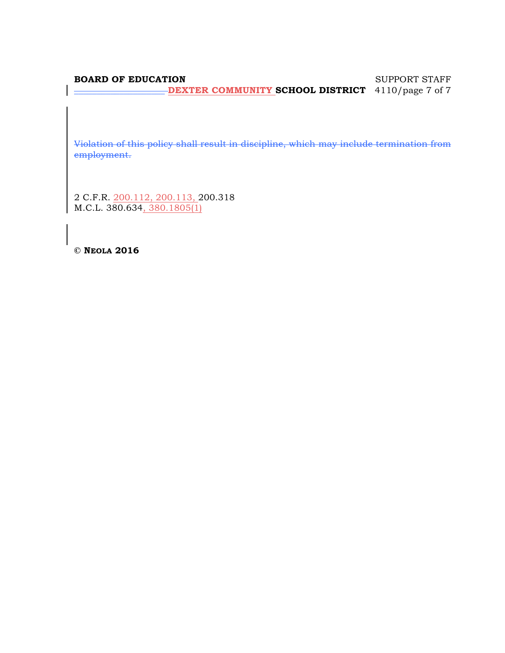**BOARD OF EDUCATION** SUPPORT STAFF **\_\_\_\_\_\_\_\_DEXTER COMMUNITY SCHOOL DISTRICT** 4110/page 7 of 7

Violation of this policy shall result in discipline, which may include termination from employment.

2 C.F.R. 200.112, 200.113, 200.318 M.C.L. 380.634, 380.1805(1)

**© NEOLA 2016**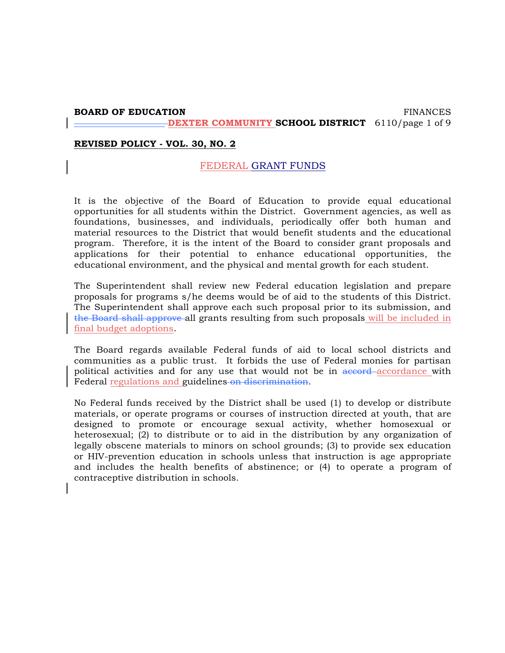# **DEXTER COMMUNITY SCHOOL DISTRICT** 6110/page 1 of 9

# **REVISED POLICY - VOL. 30, NO. 2**

#### FEDERAL GRANT FUNDS

It is the objective of the Board of Education to provide equal educational opportunities for all students within the District. Government agencies, as well as foundations, businesses, and individuals, periodically offer both human and material resources to the District that would benefit students and the educational program. Therefore, it is the intent of the Board to consider grant proposals and applications for their potential to enhance educational opportunities, the educational environment, and the physical and mental growth for each student.

The Superintendent shall review new Federal education legislation and prepare proposals for programs s/he deems would be of aid to the students of this District. The Superintendent shall approve each such proposal prior to its submission, and the Board shall approve all grants resulting from such proposals will be included in final budget adoptions.

The Board regards available Federal funds of aid to local school districts and communities as a public trust. It forbids the use of Federal monies for partisan political activities and for any use that would not be in accordance with Federal regulations and guidelines on discrimination.

No Federal funds received by the District shall be used (1) to develop or distribute materials, or operate programs or courses of instruction directed at youth, that are designed to promote or encourage sexual activity, whether homosexual or heterosexual; (2) to distribute or to aid in the distribution by any organization of legally obscene materials to minors on school grounds; (3) to provide sex education or HIV-prevention education in schools unless that instruction is age appropriate and includes the health benefits of abstinence; or (4) to operate a program of contraceptive distribution in schools.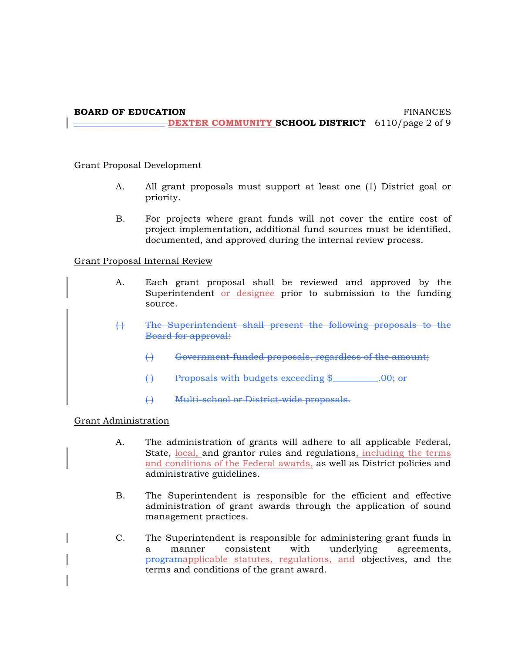**DEXTER COMMUNITY SCHOOL DISTRICT** 6110/page 2 of 9

### Grant Proposal Development

- A. All grant proposals must support at least one (1) District goal or priority.
- B. For projects where grant funds will not cover the entire cost of project implementation, additional fund sources must be identified, documented, and approved during the internal review process.

### Grant Proposal Internal Review

- A. Each grant proposal shall be reviewed and approved by the Superintendent or designee prior to submission to the funding source.
- ( ) The Superintendent shall present the following proposals to the Board for approval:
	- () Government-funded proposals, regardless of the amount;
	- ( ) Proposals with budgets exceeding \$\_\_\_\_\_\_\_\_\_\_.00; or
	- (A) Multi-school or District-wide proposals.

#### Grant Administration

- A. The administration of grants will adhere to all applicable Federal, State, local, and grantor rules and regulations, including the terms and conditions of the Federal awards, as well as District policies and administrative guidelines.
- B. The Superintendent is responsible for the efficient and effective administration of grant awards through the application of sound management practices.
- C. The Superintendent is responsible for administering grant funds in a manner consistent with underlying agreements, programapplicable statutes, regulations, and objectives, and the terms and conditions of the grant award.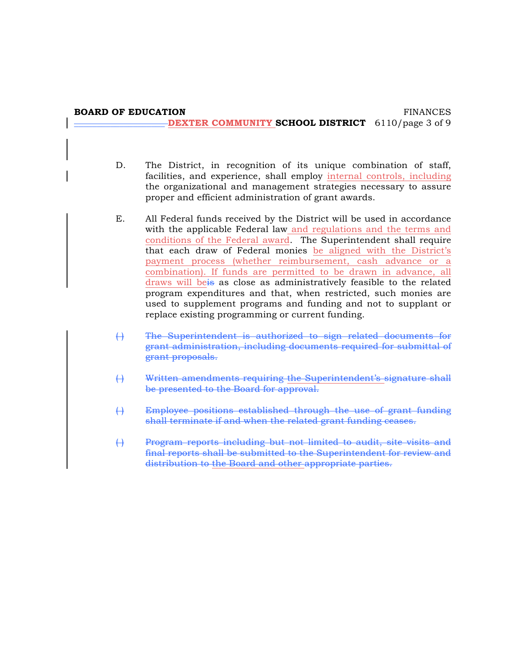#### **BOARD OF EDUCATION EXECUTE: EXECUTE: EXECUTE: EXECUTE: EXECUTE: EXECUTE: EXECUTE: EXECUTE: EXECUTE: EXECUTE: EXECUTE: EXECUTE: EXECUTE: EXECUTE: EXECUTE: EXECUTE: EXECUTE: EXECUTE: EX DEXTER COMMUNITY SCHOOL DISTRICT** 6110/page 3 of 9

- D. The District, in recognition of its unique combination of staff, facilities, and experience, shall employ internal controls, including the organizational and management strategies necessary to assure proper and efficient administration of grant awards.
- E. All Federal funds received by the District will be used in accordance with the applicable Federal law and regulations and the terms and conditions of the Federal award. The Superintendent shall require that each draw of Federal monies be aligned with the District's payment process (whether reimbursement, cash advance or a combination). If funds are permitted to be drawn in advance, all draws will beis as close as administratively feasible to the related program expenditures and that, when restricted, such monies are used to supplement programs and funding and not to supplant or replace existing programming or current funding.
- ( ) The Superintendent is authorized to sign related documents for grant administration, including documents required for submittal of grant proposals.
- $\left( \cdot \right)$  Written amendments requiring the Superintendent's signature shall be presented to the Board for approval.
- () Employee positions established through the use of grant funding shall terminate if and when the related grant funding ceases.
- ( ) Program reports including but not limited to audit, site visits and final reports shall be submitted to the Superintendent for review and distribution to the Board and other appropriate parties.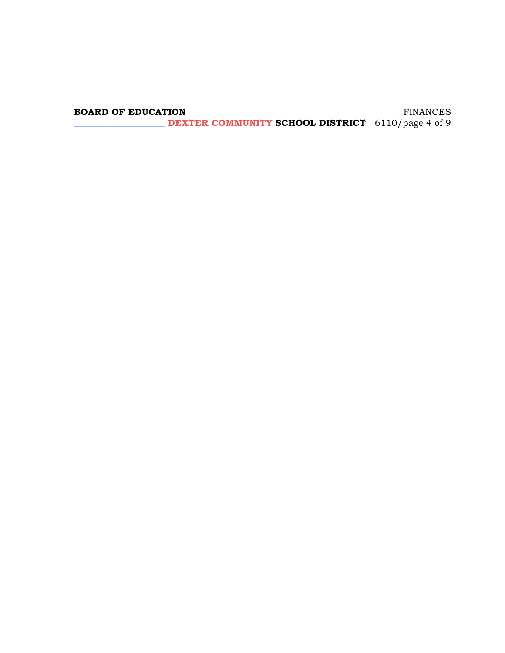#### **BOARD OF EDUCATION** FINANCES

**THE DEXTER COMMUNITY SCHOOL DISTRICT** 6110/page 4 of 9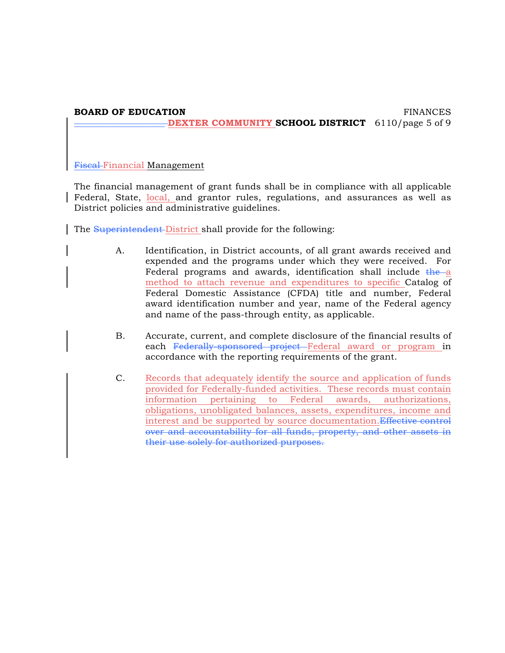**BOARD OF EDUCATION EXECUTE: EXECUTE: EXECUTE: EXECUTE: EXECUTE: EXECUTE: EXECUTE: EXECUTE: EXECUTE: EXECUTE: EXECUTE: EXECUTE: EXECUTE: EXECUTE: EXECUTE: EXECUTE: EXECUTE: EXECUTE: EX DEXTER COMMUNITY SCHOOL DISTRICT** 6110/page 5 of 9

### Fiscal Financial Management

The financial management of grant funds shall be in compliance with all applicable Federal, State, local, and grantor rules, regulations, and assurances as well as District policies and administrative guidelines.

The Superintendent-District shall provide for the following:

- A. Identification, in District accounts, of all grant awards received and expended and the programs under which they were received. For Federal programs and awards, identification shall include the a method to attach revenue and expenditures to specific Catalog of Federal Domestic Assistance (CFDA) title and number, Federal award identification number and year, name of the Federal agency and name of the pass-through entity, as applicable.
- B. Accurate, current, and complete disclosure of the financial results of each Federally sponsored project Federal award or program in accordance with the reporting requirements of the grant.
- C. Records that adequately identify the source and application of funds provided for Federally-funded activities. These records must contain information pertaining to Federal awards, authorizations, obligations, unobligated balances, assets, expenditures, income and interest and be supported by source documentation.Effective control over and accountability for all funds, property, and other assets in their use solely for authorized purposes.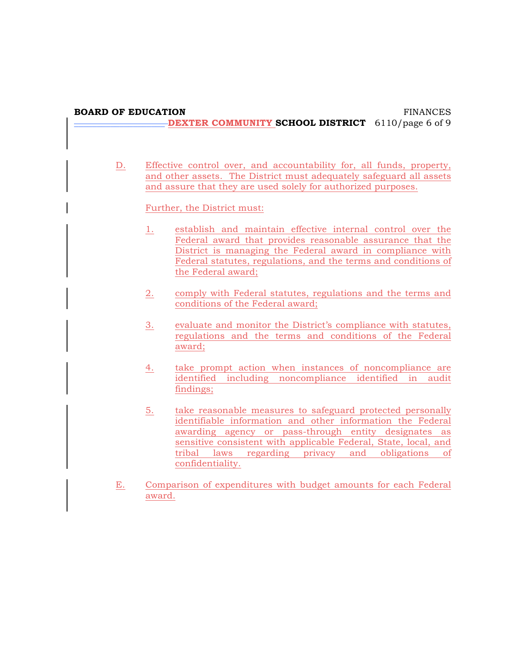D. Effective control over, and accountability for, all funds, property, and other assets. The District must adequately safeguard all assets and assure that they are used solely for authorized purposes.

Further, the District must:

- 1. establish and maintain effective internal control over the Federal award that provides reasonable assurance that the District is managing the Federal award in compliance with Federal statutes, regulations, and the terms and conditions of the Federal award;
- 2. comply with Federal statutes, regulations and the terms and conditions of the Federal award;
- 3. evaluate and monitor the District's compliance with statutes, regulations and the terms and conditions of the Federal award;
- 4. take prompt action when instances of noncompliance are identified including noncompliance identified in audit findings;
- 5. take reasonable measures to safeguard protected personally identifiable information and other information the Federal awarding agency or pass-through entity designates as sensitive consistent with applicable Federal, State, local, and tribal laws regarding privacy and obligations of confidentiality.
- E. Comparison of expenditures with budget amounts for each Federal award.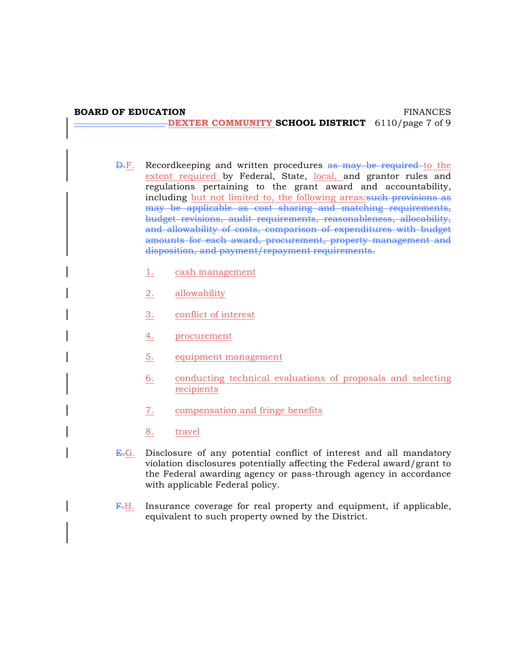#### **BOARD OF EDUCATION EXECUTE: EXECUTE: EXECUTE: EXECUTE: EXECUTE: EXECUTE: EXECUTE: EXECUTE: EXECUTE: EXECUTE: EXECUTE: EXECUTE: EXECUTE: EXECUTE: EXECUTE: EXECUTE: EXECUTE: EXECUTE: EX DEXTER COMMUNITY SCHOOL DISTRICT** 6110/page 7 of 9

- D.F. Recordkeeping and written procedures as may be required to the extent required by Federal, State, local, and grantor rules and regulations pertaining to the grant award and accountability, including but not limited to, the following areas: such provisions as may be applicable as cost sharing and matching requirements, budget revisions, audit requirements, reasonableness, allocability, and allowability of costs, comparison of expenditures with budget amounts for each award, procurement, property management and disposition, and payment/repayment requirements.
	- 1. cash management
	- 2. allowability
	- 3. conflict of interest
	- 4. procurement
	- 5. equipment management
	- 6. conducting technical evaluations of proposals and selecting recipients
	- 7. compensation and fringe benefits
	- 8. travel
- E.G. Disclosure of any potential conflict of interest and all mandatory violation disclosures potentially affecting the Federal award/grant to the Federal awarding agency or pass-through agency in accordance with applicable Federal policy.
- F.H. Insurance coverage for real property and equipment, if applicable, equivalent to such property owned by the District.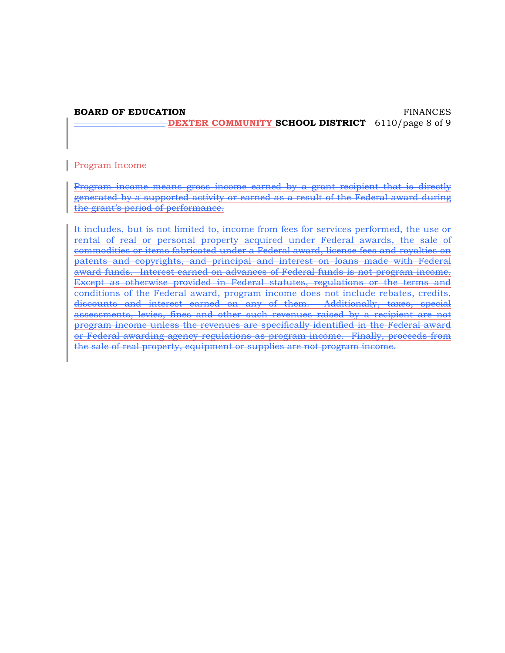#### **BOARD OF EDUCATION** FINANCES

**-DEXTER COMMUNITY SCHOOL DISTRICT** 6110/page 8 of 9

### Program Income

Program income means gross income earned by a grant recipient that is directly generated by a supported activity or earned as a result of the Federal award during the grant's period of performance.

It includes, but is not limited to, income from fees for services performed, the use or rental of real or personal property acquired under Federal awards, the sale of commodities or items fabricated under a Federal award, license fees and royalties on patents and copyrights, and principal and interest on loans made with Federal award funds. Interest earned on advances of Federal funds is not program income. Except as otherwise provided in Federal statutes, regulations or the terms and conditions of the Federal award, program income does not include rebates, credits, discounts and interest earned on any of them. Additionally, taxes, special assessments, levies, fines and other such revenues raised by a recipient are not program income unless the revenues are specifically identified in the Federal award or Federal awarding agency regulations as program income. Finally, proceeds from the sale of real property, equipment or supplies are not program income.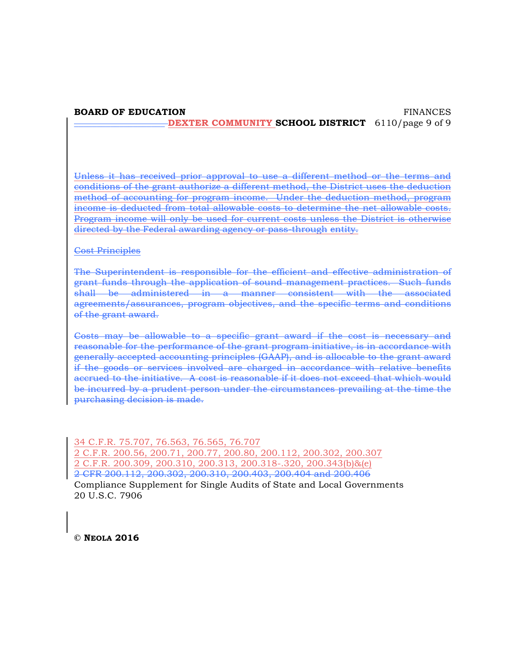### **BOARD OF EDUCATION EXECUTE: EXECUTE: EXECUTE: EXECUTE: EXECUTE: EXECUTE: EXECUTE: EXECUTE: EXECUTE: EXECUTE: EXECUTE: EXECUTE: EXECUTE: EXECUTE: EXECUTE: EXECUTE: EXECUTE: EXECUTE: EX DEXTER COMMUNITY SCHOOL DISTRICT** 6110/page 9 of 9

Unless it has received prior approval to use a different method or the terms and conditions of the grant authorize a different method, the District uses the deduction method of accounting for program income. Under the deduction method, program income is deducted from total allowable costs to determine the net allowable costs. Program income will only be used for current costs unless the District is otherwise directed by the Federal awarding agency or pass-through entity.

#### Cost Principles

The Superintendent is responsible for the efficient and effective administration of grant funds through the application of sound management practices. Such funds shall be administered in a manner consistent with the associated agreements/assurances, program objectives, and the specific terms and conditions of the grant award.

Costs may be allowable to a specific grant award if the cost is necessary and reasonable for the performance of the grant program initiative, is in accordance with generally accepted accounting principles (GAAP), and is allocable to the grant award if the goods or services involved are charged in accordance with relative benefits accrued to the initiative. A cost is reasonable if it does not exceed that which would be incurred by a prudent person under the circumstances prevailing at the time the purchasing decision is made.

34 C.F.R. 75.707, 76.563, 76.565, 76.707 2 C.F.R. 200.56, 200.71, 200.77, 200.80, 200.112, 200.302, 200.307 2 C.F.R. 200.309, 200.310, 200.313, 200.318-.320, 200.343(b)&(e) 2 CFR 200.112, 200.302, 200.310, 200.403, 200.404 and 200.406 Compliance Supplement for Single Audits of State and Local Governments 20 U.S.C. 7906

**© NEOLA 2016**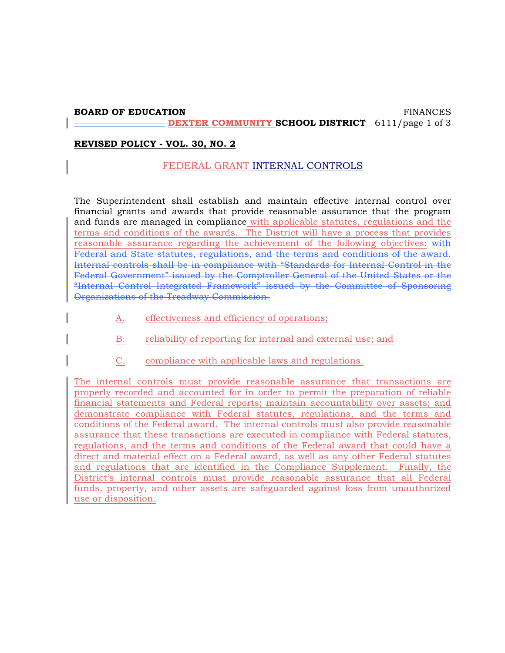#### **DEXTER COMMUNITY SCHOOL DISTRICT** 6111/page 1 of 3

#### **REVISED POLICY - VOL. 30, NO. 2**

# FEDERAL GRANT INTERNAL CONTROLS

The Superintendent shall establish and maintain effective internal control over financial grants and awards that provide reasonable assurance that the program and funds are managed in compliance with applicable statutes, regulations and the terms and conditions of the awards. The District will have a process that provides reasonable assurance regarding the achievement of the following objectives: with Federal and State statutes, regulations, and the terms and conditions of the award. Internal controls shall be in compliance with "Standards for Internal Control in the Federal Government" issued by the Comptroller General of the United States or the "Internal Control Integrated Framework" issued by the Committee of Sponsoring Organizations of the Treadway Commission.

- A. effectiveness and efficiency of operations;
- B. reliability of reporting for internal and external use; and
- C. compliance with applicable laws and regulations.

The internal controls must provide reasonable assurance that transactions are properly recorded and accounted for in order to permit the preparation of reliable financial statements and Federal reports; maintain accountability over assets; and demonstrate compliance with Federal statutes, regulations, and the terms and conditions of the Federal award. The internal controls must also provide reasonable assurance that these transactions are executed in compliance with Federal statutes, regulations, and the terms and conditions of the Federal award that could have a direct and material effect on a Federal award, as well as any other Federal statutes and regulations that are identified in the Compliance Supplement. Finally, the District's internal controls must provide reasonable assurance that all Federal funds, property, and other assets are safeguarded against loss from unauthorized use or disposition.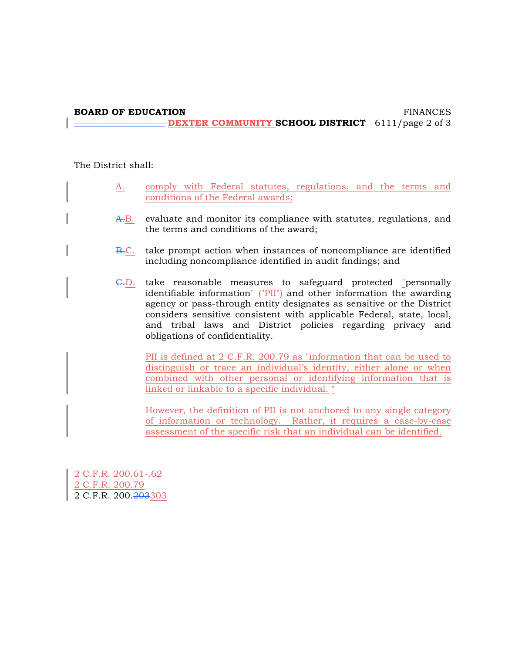The District shall:

- A. comply with Federal statutes, regulations, and the terms and conditions of the Federal awards;
- A.B. evaluate and monitor its compliance with statutes, regulations, and the terms and conditions of the award;
- B.C. take prompt action when instances of noncompliance are identified including noncompliance identified in audit findings; and
- C.D. take reasonable measures to safeguard protected "personally identifiable information" ("PII") and other information the awarding agency or pass-through entity designates as sensitive or the District considers sensitive consistent with applicable Federal, state, local, and tribal laws and District policies regarding privacy and obligations of confidentiality.

PII is defined at 2 C.F.R. 200.79 as "information that can be used to distinguish or trace an individual's identity, either alone or when combined with other personal or identifying information that is linked or linkable to a specific individual. "

However, the definition of PII is not anchored to any single category of information or technology. Rather, it requires a case-by-case assessment of the specific risk that an individual can be identified.

2 C.F.R. 200.61-.62 2 C.F.R. 200.79 2 C.F.R. 200.203303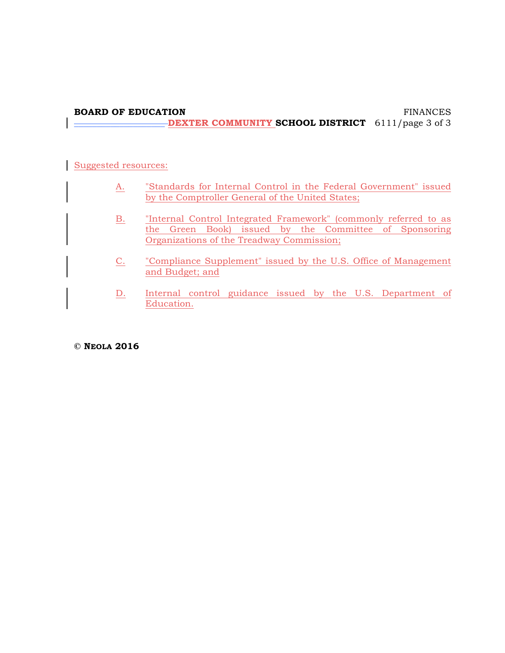Suggested resources:

- A. "Standards for Internal Control in the Federal Government" issued by the Comptroller General of the United States;
- B. "Internal Control Integrated Framework" (commonly referred to as the Green Book) issued by the Committee of Sponsoring Organizations of the Treadway Commission;
- C. "Compliance Supplement" issued by the U.S. Office of Management and Budget; and
- D. Internal control guidance issued by the U.S. Department of Education.

**© NEOLA 2016**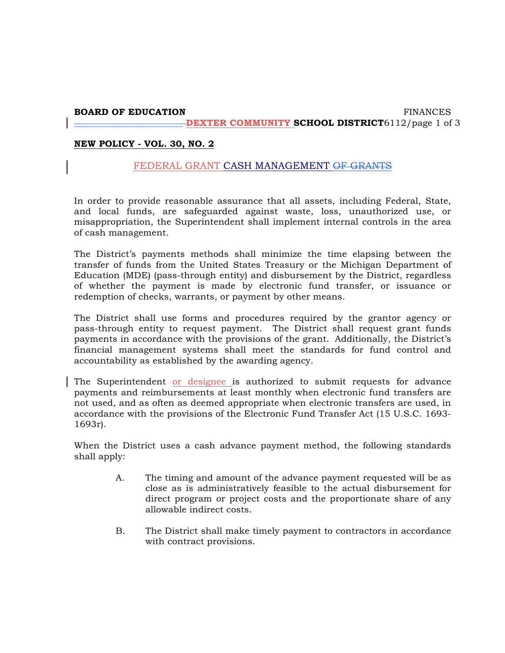# **-DEXTER COMMUNITY SCHOOL DISTRICT**6112/page 1 of 3

#### **NEW POLICY - VOL. 30, NO. 2**

### FEDERAL GRANT CASH MANAGEMENT OF GRANTS

In order to provide reasonable assurance that all assets, including Federal, State, and local funds, are safeguarded against waste, loss, unauthorized use, or misappropriation, the Superintendent shall implement internal controls in the area of cash management.

The District's payments methods shall minimize the time elapsing between the transfer of funds from the United States Treasury or the Michigan Department of Education (MDE) (pass-through entity) and disbursement by the District, regardless of whether the payment is made by electronic fund transfer, or issuance or redemption of checks, warrants, or payment by other means.

The District shall use forms and procedures required by the grantor agency or pass-through entity to request payment. The District shall request grant funds payments in accordance with the provisions of the grant. Additionally, the District's financial management systems shall meet the standards for fund control and accountability as established by the awarding agency.

The Superintendent or designee is authorized to submit requests for advance payments and reimbursements at least monthly when electronic fund transfers are not used, and as often as deemed appropriate when electronic transfers are used, in accordance with the provisions of the Electronic Fund Transfer Act (15 U.S.C. 1693- 1693r).

When the District uses a cash advance payment method, the following standards shall apply:

- A. The timing and amount of the advance payment requested will be as close as is administratively feasible to the actual disbursement for direct program or project costs and the proportionate share of any allowable indirect costs.
- B. The District shall make timely payment to contractors in accordance with contract provisions.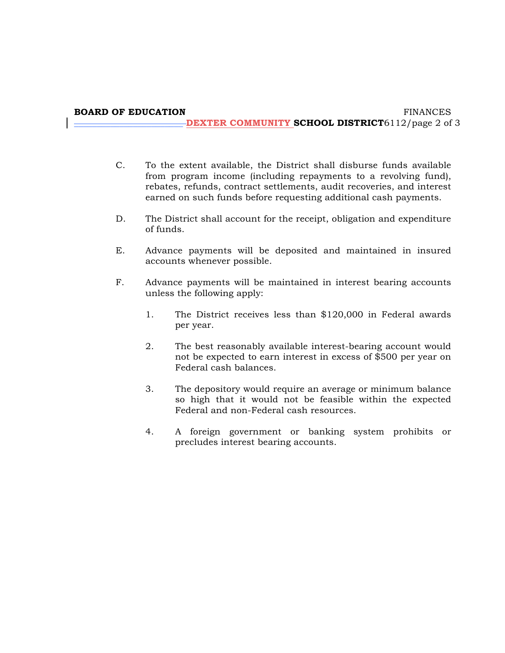- C. To the extent available, the District shall disburse funds available from program income (including repayments to a revolving fund), rebates, refunds, contract settlements, audit recoveries, and interest earned on such funds before requesting additional cash payments.
- D. The District shall account for the receipt, obligation and expenditure of funds.
- E. Advance payments will be deposited and maintained in insured accounts whenever possible.
- F. Advance payments will be maintained in interest bearing accounts unless the following apply:
	- 1. The District receives less than \$120,000 in Federal awards per year.
	- 2. The best reasonably available interest-bearing account would not be expected to earn interest in excess of \$500 per year on Federal cash balances.
	- 3. The depository would require an average or minimum balance so high that it would not be feasible within the expected Federal and non-Federal cash resources.
	- 4. A foreign government or banking system prohibits or precludes interest bearing accounts.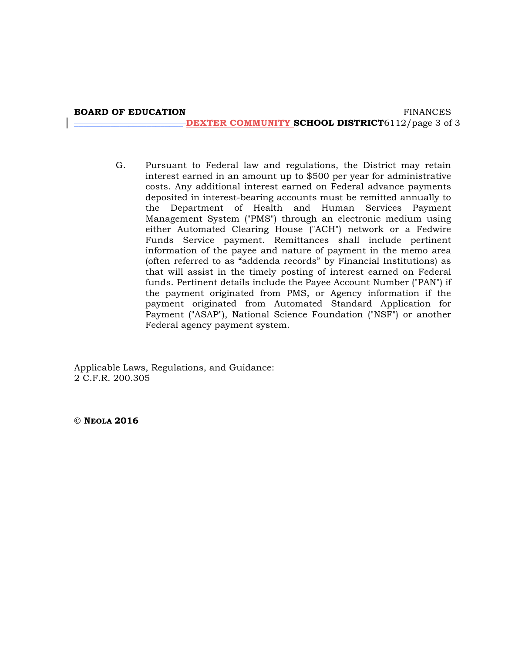G. Pursuant to Federal law and regulations, the District may retain interest earned in an amount up to \$500 per year for administrative costs. Any additional interest earned on Federal advance payments deposited in interest-bearing accounts must be remitted annually to the Department of Health and Human Services Payment Management System ("PMS") through an electronic medium using either Automated Clearing House ("ACH") network or a Fedwire Funds Service payment. Remittances shall include pertinent information of the payee and nature of payment in the memo area (often referred to as "addenda records" by Financial Institutions) as that will assist in the timely posting of interest earned on Federal funds. Pertinent details include the Payee Account Number ("PAN") if the payment originated from PMS, or Agency information if the payment originated from Automated Standard Application for Payment ("ASAP"), National Science Foundation ("NSF") or another Federal agency payment system.

Applicable Laws, Regulations, and Guidance: 2 C.F.R. 200.305

**© NEOLA 2016**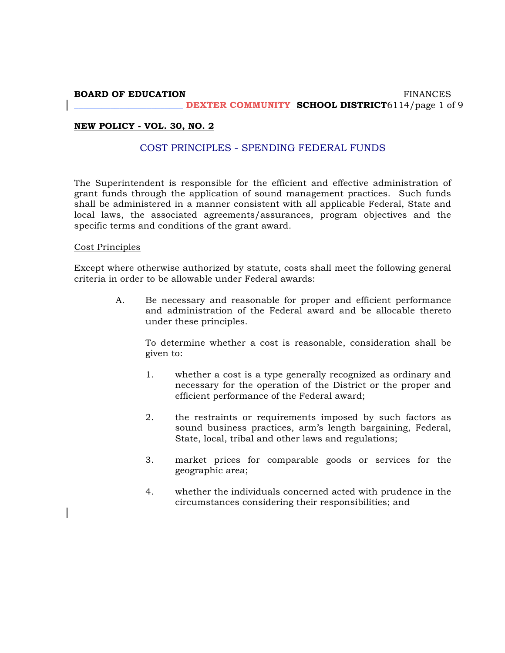#### **NEW POLICY - VOL. 30, NO. 2**

### COST PRINCIPLES - SPENDING FEDERAL FUNDS

The Superintendent is responsible for the efficient and effective administration of grant funds through the application of sound management practices. Such funds shall be administered in a manner consistent with all applicable Federal, State and local laws, the associated agreements/assurances, program objectives and the specific terms and conditions of the grant award.

#### Cost Principles

Except where otherwise authorized by statute, costs shall meet the following general criteria in order to be allowable under Federal awards:

> A. Be necessary and reasonable for proper and efficient performance and administration of the Federal award and be allocable thereto under these principles.

To determine whether a cost is reasonable, consideration shall be given to:

- 1. whether a cost is a type generally recognized as ordinary and necessary for the operation of the District or the proper and efficient performance of the Federal award;
- 2. the restraints or requirements imposed by such factors as sound business practices, arm's length bargaining, Federal, State, local, tribal and other laws and regulations;
- 3. market prices for comparable goods or services for the geographic area;
- 4. whether the individuals concerned acted with prudence in the circumstances considering their responsibilities; and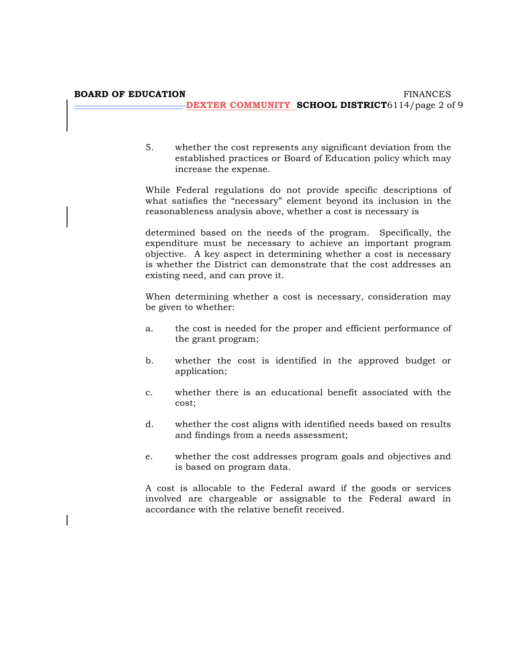5. whether the cost represents any significant deviation from the established practices or Board of Education policy which may increase the expense.

While Federal regulations do not provide specific descriptions of what satisfies the "necessary" element beyond its inclusion in the reasonableness analysis above, whether a cost is necessary is

determined based on the needs of the program. Specifically, the expenditure must be necessary to achieve an important program objective. A key aspect in determining whether a cost is necessary is whether the District can demonstrate that the cost addresses an existing need, and can prove it.

When determining whether a cost is necessary, consideration may be given to whether:

- a. the cost is needed for the proper and efficient performance of the grant program;
- b. whether the cost is identified in the approved budget or application;
- c. whether there is an educational benefit associated with the cost;
- d. whether the cost aligns with identified needs based on results and findings from a needs assessment;
- e. whether the cost addresses program goals and objectives and is based on program data.

A cost is allocable to the Federal award if the goods or services involved are chargeable or assignable to the Federal award in accordance with the relative benefit received.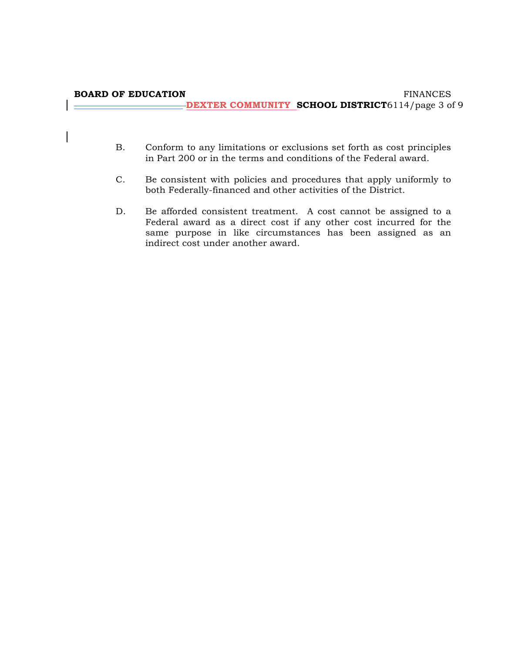# **BOARD OF EDUCATION EXECUTE: EXECUTE: EXECUTE: EXECUTE: EXECUTE: EXECUTE: EXECUTE: EXECUTE: EXECUTE: EXECUTE: EXECUTE: EXECUTE: EXECUTE: EXECUTE: EXECUTE: EXECUTE: EXECUTE: EXECUTE: EX \_\_\_\_DEXTER COMMUNITY SCHOOL DISTRICT**6114/page 3 of 9

- B. Conform to any limitations or exclusions set forth as cost principles in Part 200 or in the terms and conditions of the Federal award.
- C. Be consistent with policies and procedures that apply uniformly to both Federally-financed and other activities of the District.
- D. Be afforded consistent treatment. A cost cannot be assigned to a Federal award as a direct cost if any other cost incurred for the same purpose in like circumstances has been assigned as an indirect cost under another award.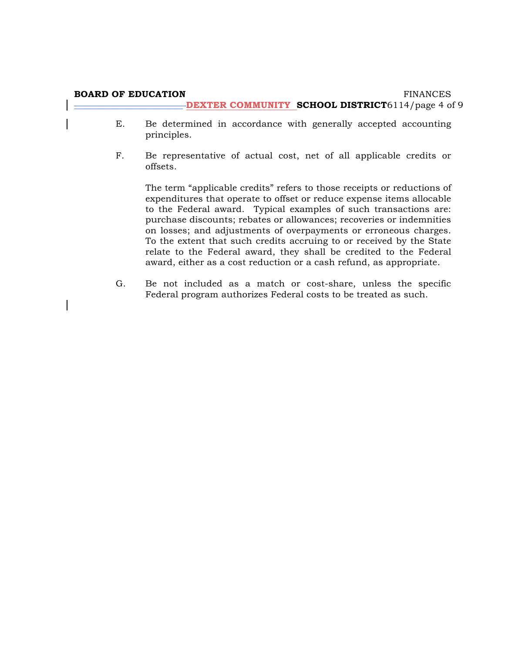# **-DEXTER COMMUNITY SCHOOL DISTRICT**6114/page 4 of 9

- E. Be determined in accordance with generally accepted accounting principles.
- F. Be representative of actual cost, net of all applicable credits or offsets.

The term "applicable credits" refers to those receipts or reductions of expenditures that operate to offset or reduce expense items allocable to the Federal award. Typical examples of such transactions are: purchase discounts; rebates or allowances; recoveries or indemnities on losses; and adjustments of overpayments or erroneous charges. To the extent that such credits accruing to or received by the State relate to the Federal award, they shall be credited to the Federal award, either as a cost reduction or a cash refund, as appropriate.

G. Be not included as a match or cost-share, unless the specific Federal program authorizes Federal costs to be treated as such.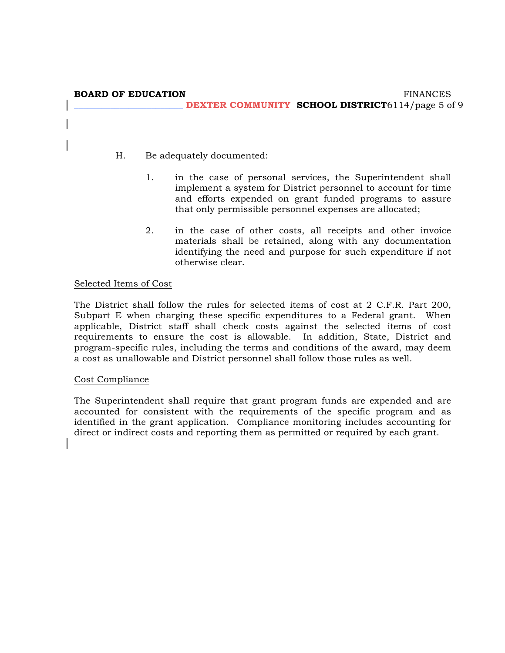- H. Be adequately documented:
	- 1. in the case of personal services, the Superintendent shall implement a system for District personnel to account for time and efforts expended on grant funded programs to assure that only permissible personnel expenses are allocated;
	- 2. in the case of other costs, all receipts and other invoice materials shall be retained, along with any documentation identifying the need and purpose for such expenditure if not otherwise clear.

### Selected Items of Cost

The District shall follow the rules for selected items of cost at 2 C.F.R. Part 200, Subpart E when charging these specific expenditures to a Federal grant. When applicable, District staff shall check costs against the selected items of cost requirements to ensure the cost is allowable. In addition, State, District and program-specific rules, including the terms and conditions of the award, may deem a cost as unallowable and District personnel shall follow those rules as well.

#### Cost Compliance

The Superintendent shall require that grant program funds are expended and are accounted for consistent with the requirements of the specific program and as identified in the grant application. Compliance monitoring includes accounting for direct or indirect costs and reporting them as permitted or required by each grant.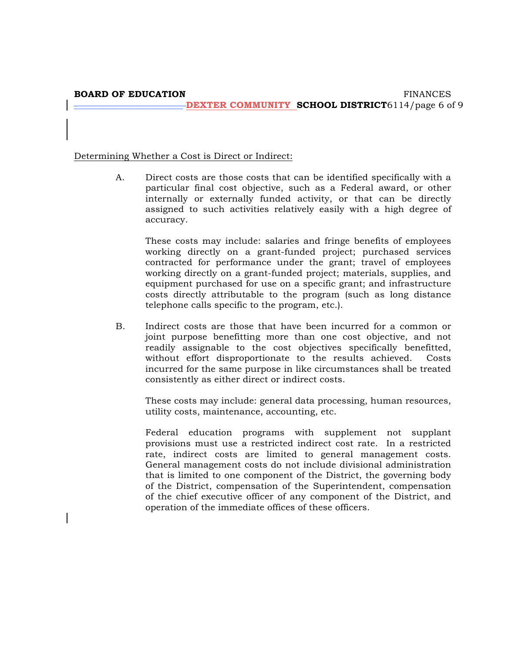#### Determining Whether a Cost is Direct or Indirect:

A. Direct costs are those costs that can be identified specifically with a particular final cost objective, such as a Federal award, or other internally or externally funded activity, or that can be directly assigned to such activities relatively easily with a high degree of accuracy.

These costs may include: salaries and fringe benefits of employees working directly on a grant-funded project; purchased services contracted for performance under the grant; travel of employees working directly on a grant-funded project; materials, supplies, and equipment purchased for use on a specific grant; and infrastructure costs directly attributable to the program (such as long distance telephone calls specific to the program, etc.).

B. Indirect costs are those that have been incurred for a common or joint purpose benefitting more than one cost objective, and not readily assignable to the cost objectives specifically benefitted, without effort disproportionate to the results achieved. Costs incurred for the same purpose in like circumstances shall be treated consistently as either direct or indirect costs.

These costs may include: general data processing, human resources, utility costs, maintenance, accounting, etc.

Federal education programs with supplement not supplant provisions must use a restricted indirect cost rate. In a restricted rate, indirect costs are limited to general management costs. General management costs do not include divisional administration that is limited to one component of the District, the governing body of the District, compensation of the Superintendent, compensation of the chief executive officer of any component of the District, and operation of the immediate offices of these officers.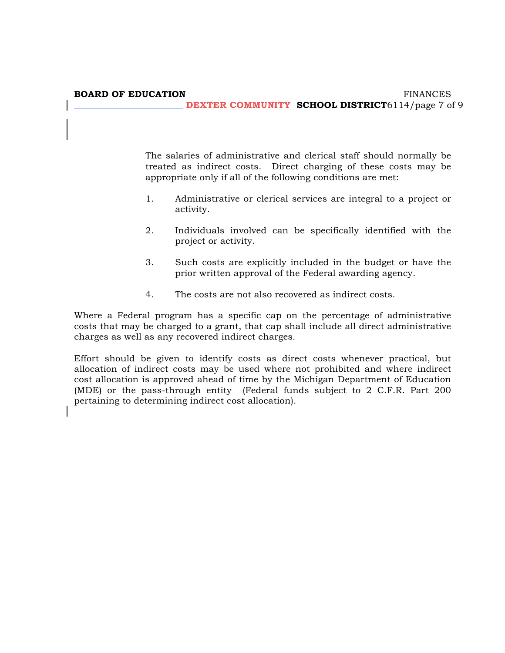The salaries of administrative and clerical staff should normally be treated as indirect costs. Direct charging of these costs may be appropriate only if all of the following conditions are met:

- 1. Administrative or clerical services are integral to a project or activity.
- 2. Individuals involved can be specifically identified with the project or activity.
- 3. Such costs are explicitly included in the budget or have the prior written approval of the Federal awarding agency.
- 4. The costs are not also recovered as indirect costs.

Where a Federal program has a specific cap on the percentage of administrative costs that may be charged to a grant, that cap shall include all direct administrative charges as well as any recovered indirect charges.

Effort should be given to identify costs as direct costs whenever practical, but allocation of indirect costs may be used where not prohibited and where indirect cost allocation is approved ahead of time by the Michigan Department of Education (MDE) or the pass-through entity (Federal funds subject to 2 C.F.R. Part 200 pertaining to determining indirect cost allocation).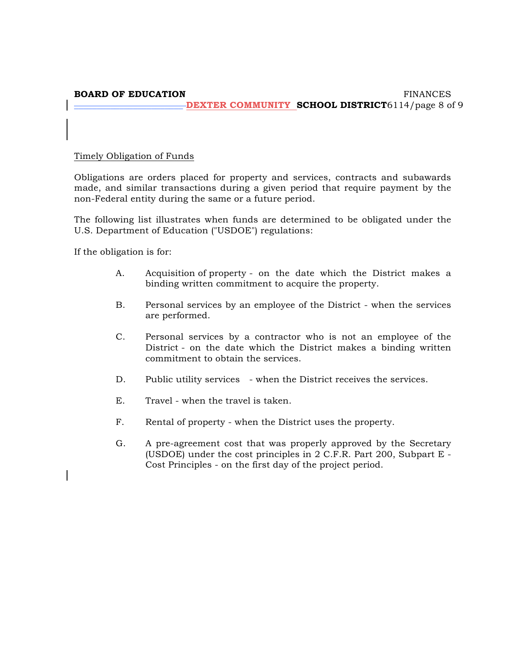#### Timely Obligation of Funds

Obligations are orders placed for property and services, contracts and subawards made, and similar transactions during a given period that require payment by the non-Federal entity during the same or a future period.

The following list illustrates when funds are determined to be obligated under the U.S. Department of Education ("USDOE") regulations:

If the obligation is for:

- A. Acquisition of property on the date which the District makes a binding written commitment to acquire the property.
- B. Personal services by an employee of the District when the services are performed.
- C. Personal services by a contractor who is not an employee of the District - on the date which the District makes a binding written commitment to obtain the services.
- D. Public utility services when the District receives the services.
- E. Travel when the travel is taken.
- F. Rental of property when the District uses the property.
- G. A pre-agreement cost that was properly approved by the Secretary (USDOE) under the cost principles in 2 C.F.R. Part 200, Subpart E - Cost Principles - on the first day of the project period.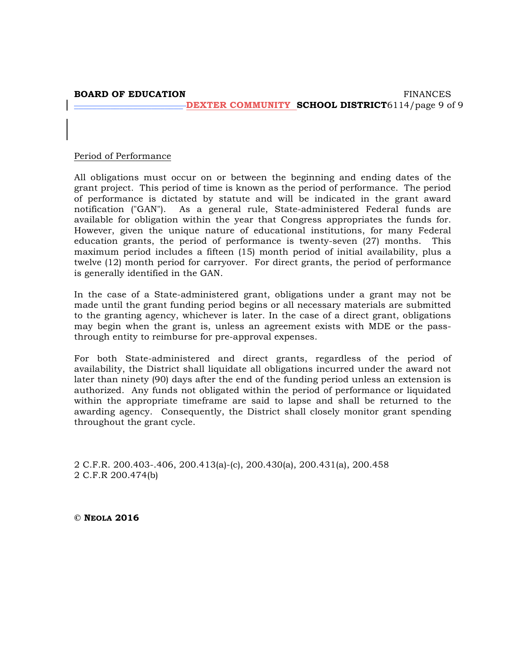#### Period of Performance

All obligations must occur on or between the beginning and ending dates of the grant project. This period of time is known as the period of performance. The period of performance is dictated by statute and will be indicated in the grant award notification ("GAN"). As a general rule, State-administered Federal funds are available for obligation within the year that Congress appropriates the funds for. However, given the unique nature of educational institutions, for many Federal education grants, the period of performance is twenty-seven (27) months. This maximum period includes a fifteen (15) month period of initial availability, plus a twelve (12) month period for carryover. For direct grants, the period of performance is generally identified in the GAN.

In the case of a State-administered grant, obligations under a grant may not be made until the grant funding period begins or all necessary materials are submitted to the granting agency, whichever is later. In the case of a direct grant, obligations may begin when the grant is, unless an agreement exists with MDE or the passthrough entity to reimburse for pre-approval expenses.

For both State-administered and direct grants, regardless of the period of availability, the District shall liquidate all obligations incurred under the award not later than ninety (90) days after the end of the funding period unless an extension is authorized. Any funds not obligated within the period of performance or liquidated within the appropriate timeframe are said to lapse and shall be returned to the awarding agency. Consequently, the District shall closely monitor grant spending throughout the grant cycle.

2 C.F.R. 200.403-.406, 200.413(a)-(c), 200.430(a), 200.431(a), 200.458 2 C.F.R 200.474(b)

**© NEOLA 2016**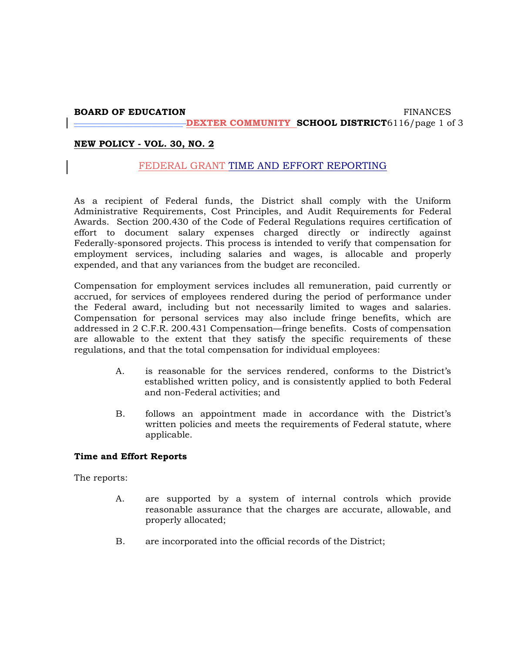# **\_\_\_\_\_\_\_\_\_\_\_\_\_\_\_\_\_\_\_\_\_\_\_\_ DEXTER COMMUNITY SCHOOL DISTRICT**6116/page 1 of 3

#### **NEW POLICY - VOL. 30, NO. 2**

### FEDERAL GRANT TIME AND EFFORT REPORTING

As a recipient of Federal funds, the District shall comply with the Uniform Administrative Requirements, Cost Principles, and Audit Requirements for Federal Awards. Section 200.430 of the Code of Federal Regulations requires certification of effort to document salary expenses charged directly or indirectly against Federally-sponsored projects. This process is intended to verify that compensation for employment services, including salaries and wages, is allocable and properly expended, and that any variances from the budget are reconciled.

Compensation for employment services includes all remuneration, paid currently or accrued, for services of employees rendered during the period of performance under the Federal award, including but not necessarily limited to wages and salaries. Compensation for personal services may also include fringe benefits, which are addressed in 2 C.F.R. 200.431 Compensation—fringe benefits. Costs of compensation are allowable to the extent that they satisfy the specific requirements of these regulations, and that the total compensation for individual employees:

- A. is reasonable for the services rendered, conforms to the District's established written policy, and is consistently applied to both Federal and non-Federal activities; and
- B. follows an appointment made in accordance with the District's written policies and meets the requirements of Federal statute, where applicable.

#### **Time and Effort Reports**

The reports:

- A. are supported by a system of internal controls which provide reasonable assurance that the charges are accurate, allowable, and properly allocated;
- B. are incorporated into the official records of the District;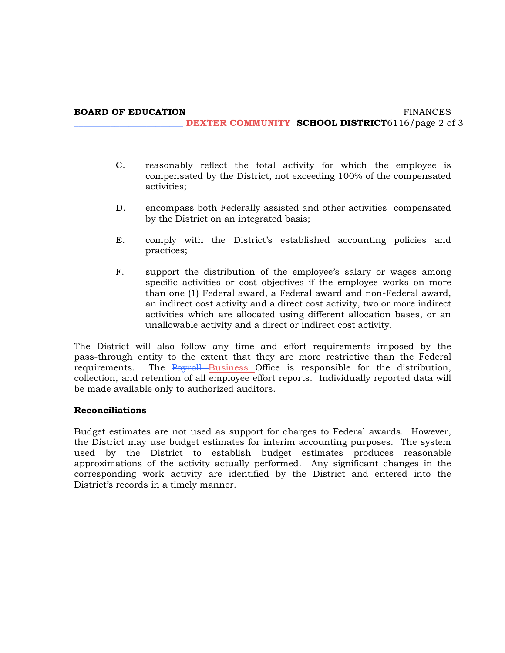- C. reasonably reflect the total activity for which the employee is compensated by the District, not exceeding 100% of the compensated activities;
- D. encompass both Federally assisted and other activities compensated by the District on an integrated basis;
- E. comply with the District's established accounting policies and practices;
- F. support the distribution of the employee's salary or wages among specific activities or cost objectives if the employee works on more than one (1) Federal award, a Federal award and non-Federal award, an indirect cost activity and a direct cost activity, two or more indirect activities which are allocated using different allocation bases, or an unallowable activity and a direct or indirect cost activity.

The District will also follow any time and effort requirements imposed by the pass-through entity to the extent that they are more restrictive than the Federal requirements. The Payroll Business Office is responsible for the distribution, collection, and retention of all employee effort reports. Individually reported data will be made available only to authorized auditors.

#### **Reconciliations**

Budget estimates are not used as support for charges to Federal awards. However, the District may use budget estimates for interim accounting purposes. The system used by the District to establish budget estimates produces reasonable approximations of the activity actually performed. Any significant changes in the corresponding work activity are identified by the District and entered into the District's records in a timely manner.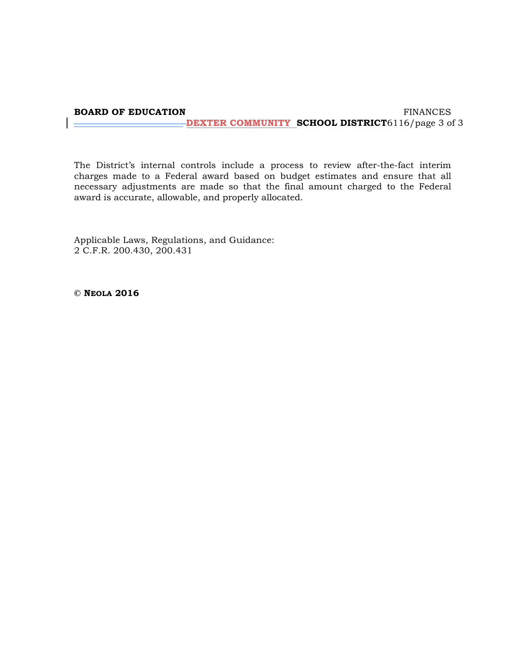**BOARD OF EDUCATION EXECUTE: EXECUTE: EXECUTE: EXECUTE: EXECUTE: EXECUTE: EXECUTE: EXECUTE: EXECUTE: EXECUTE: EXECUTE: EXECUTE: EXECUTE: EXECUTE: EXECUTE: EXECUTE: EXECUTE: EXECUTE: EX \_\_\_\_\_\_\_\_\_\_\_\_\_\_\_\_\_\_\_\_\_\_\_\_\_\_DEXTER COMMUNITY SCHOOL DISTRICT**6116/page 3 of 3

The District's internal controls include a process to review after-the-fact interim charges made to a Federal award based on budget estimates and ensure that all necessary adjustments are made so that the final amount charged to the Federal award is accurate, allowable, and properly allocated.

Applicable Laws, Regulations, and Guidance: 2 C.F.R. 200.430, 200.431

**© NEOLA 2016**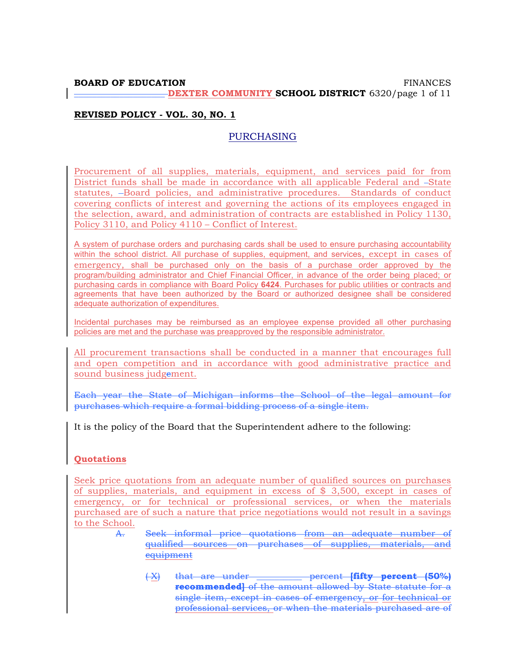#### **BOARD OF EDUCATION EXECUTE: EXECUTE: EXECUTE: EXECUTE: EXECUTE: EXECUTE: EXECUTE: EXECUTE: EXECUTE: EXECUTE: EXECUTE: EXECUTE: EXECUTE: EXECUTE: EXECUTE: EXECUTE: EXECUTE: EXECUTE: EX \_\_\_\_\_\_\_\_\_\_\_\_\_\_\_\_\_\_\_\_ DEXTER COMMUNITY SCHOOL DISTRICT** 6320/page 1 of 11

# **REVISED POLICY - VOL. 30, NO. 1**

# PURCHASING

Procurement of all supplies, materials, equipment, and services paid for from District funds shall be made in accordance with all applicable Federal and -State statutes, -Board policies, and administrative procedures. Standards of conduct covering conflicts of interest and governing the actions of its employees engaged in the selection, award, and administration of contracts are established in Policy 1130, Policy 3110, and Policy 4110 – Conflict of Interest.

A system of purchase orders and purchasing cards shall be used to ensure purchasing accountability within the school district. All purchase of supplies, equipment, and services, except in cases of emergency, shall be purchased only on the basis of a purchase order approved by the program/building administrator and Chief Financial Officer, in advance of the order being placed; or purchasing cards in compliance with Board Policy **6424**. Purchases for public utilities or contracts and agreements that have been authorized by the Board or authorized designee shall be considered adequate authorization of expenditures.

Incidental purchases may be reimbursed as an employee expense provided all other purchasing policies are met and the purchase was preapproved by the responsible administrator.

All procurement transactions shall be conducted in a manner that encourages full and open competition and in accordance with good administrative practice and sound business judgement.

Each year the State of Michigan informs the School of the legal amount for purchases which require a formal bidding process of a single item.

It is the policy of the Board that the Superintendent adhere to the following:

### **Quotations**

Seek price quotations from an adequate number of qualified sources on purchases of supplies, materials, and equipment in excess of  $$3,500$ , except in cases of emergency, or for technical or professional services, or when the materials purchased are of such a nature that price negotiations would not result in a savings to the School.

- A. Seek informal price quotations from an adequate number of qualified sources on purchases of supplies, materials, and equipment
	- ( X) that are under \_\_\_\_\_\_\_\_\_\_ percent **[fifty percent (50%) recommended]** of the amount allowed by State statute for a single item, except in cases of emergency, or for technical or professional services, or when the materials purchased are of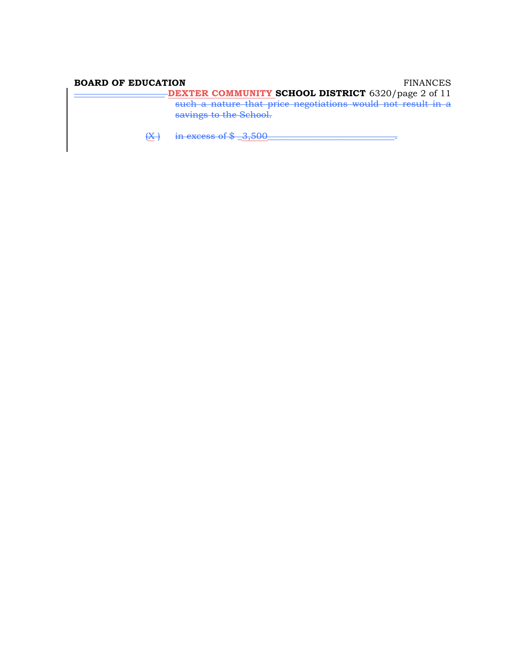### **BOARD OF EDUCATION** FINANCES

**DEXTER COMMUNITY SCHOOL DISTRICT** 6320/page 2 of 11

such a nature that price negotiations would not result in a savings to the School.

 $\frac{X}{X}$  in excess of \$ \_3,500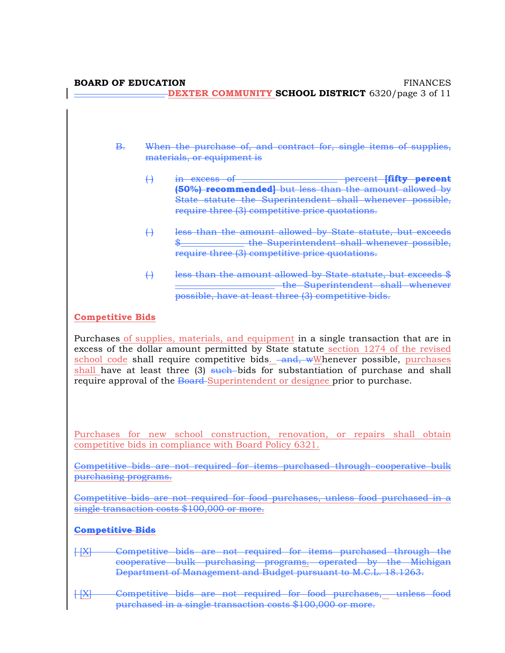- B. When the purchase of, and contract for, single items of supplies, materials, or equipment is
	- ( ) in excess of \_\_\_\_\_\_\_\_\_\_\_\_\_\_\_\_\_\_\_\_\_ percent **[fifty percent (50%) recommended]** but less than the amount allowed by State statute the Superintendent shall whenever possible, require three (3) competitive price quotations.
	- (a) less than the amount allowed by State statute, but exceeds the Superintendent shall whenever possible, require three (3) competitive price quotations.
	- $\left\{\right\}$  less than the amount allowed by State statute, but exceeds \$ the Superintendent shall whenever possible, have at least three (3) competitive bids.

### **Competitive Bids**

Purchases of supplies, materials, and equipment in a single transaction that are in excess of the dollar amount permitted by State statute section 1274 of the revised school code shall require competitive bids. and, wWhenever possible, purchases shall have at least three (3) such bids for substantiation of purchase and shall require approval of the Board-Superintendent or designee prior to purchase.

Purchases for new school construction, renovation, or repairs shall obtain competitive bids in compliance with Board Policy 6321.

Competitive bids are not required for items purchased through cooperative bulk purchasing programs.

Competitive bids are not required for food purchases, unless food purchased in a single transaction costs \$100,000 or more.

### **Competitive Bids**

- [ [X] Competitive bids are not required for items purchased through the cooperative bulk purchasing programs. operated by the Michigan Department of Management and Budget pursuant to M.C.L. 18.1263.
- [ X] Competitive bids are not required for food purchases, unless food purchased in a single transaction costs \$100,000 or more.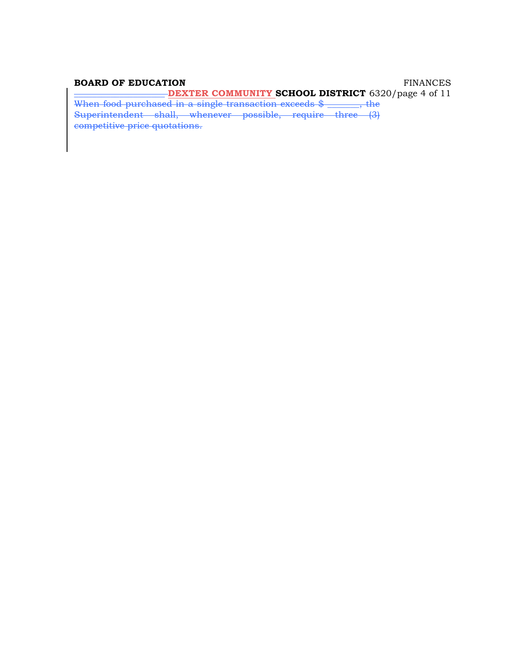## **BOARD OF EDUCATION** FINANCES

**LEADER COMMUNITY SCHOOL DISTRICT** 6320/page 4 of 11 When food purchased in a single transaction exceeds \$ \_\_\_\_\_, the Superintendent shall, whenever possible, require three (3) competitive price quotations.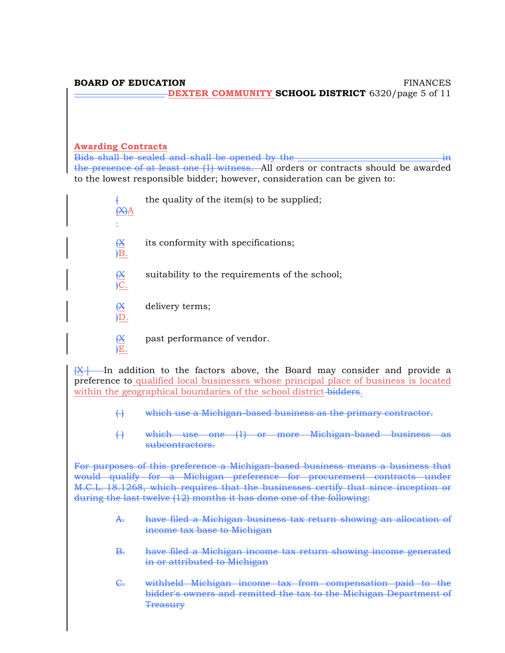## **BOARD OF EDUCATION EXECUTE: EXECUTE: EXECUTE: EXECUTE: EXECUTE: EXECUTE: EXECUTE: EXECUTE: EXECUTE: EXECUTE: EXECUTE: EXECUTE: EXECUTE: EXECUTE: EXECUTE: EXECUTE: EXECUTE: EXECUTE: EX \_\_\_\_\_\_\_\_\_\_\_\_\_\_\_\_\_\_\_\_ DEXTER COMMUNITY SCHOOL DISTRICT** 6320/page 5 of 11

## **Awarding Contracts**

Bids shall be sealed and shall be opened by the \_\_\_\_\_\_\_\_\_\_\_\_\_\_\_\_\_\_\_\_\_\_\_\_\_\_\_\_\_\_\_\_ in the presence of at least one (1) witness. All orders or contracts should be awarded to the lowest responsible bidder; however, consideration can be given to:

 $\overline{f}$  $\overline{A}$ . the quality of the item(s) to be supplied;  $\overline{\mathbf{X}}$  $\overline{AB}$ . its conformity with specifications;

- $\overline{\mathbf{X}}$  $\mathcal{C}$ . suitability to the requirements of the school;
- $\overline{\mathbf{X}}$ delivery terms;
- $\overline{\mathbf{X}}$ past performance of vendor.
- )E.

 $+D$ .

 $\frac{X}{X}$  In addition to the factors above, the Board may consider and provide a preference to qualified local businesses whose principal place of business is located within the geographical boundaries of the school district-bidders.

- () which use a Michigan-based business as the primary contractor.
- ( ) which use one (1) or more Michigan-based business as subcontractors.

For purposes of this preference a Michigan-based business means a business that would qualify for a Michigan preference for procurement contracts under M.C.L. 18.1268, which requires that the businesses certify that since inception or during the last twelve (12) months it has done one of the following:

- A. have filed a Michigan business tax return showing an allocation of income tax base to Michigan
- B. have filed a Michigan income tax return showing income generated in or attributed to Michigan
- C. withheld Michigan income tax from compensation paid to the bidder's owners and remitted the tax to the Michigan Department of **Treasury**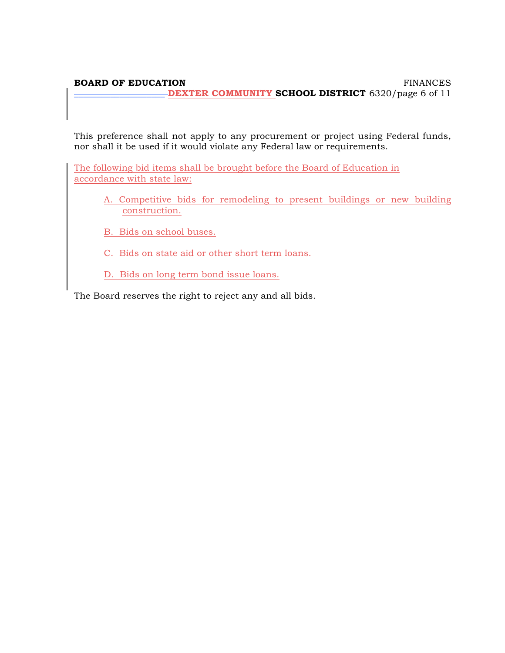**BOARD OF EDUCATION EXECUTE: EXECUTE: EXECUTE: EXECUTE: EXECUTE: EXECUTE: EXECUTE: EXECUTE: EXECUTE: EXECUTE: EXECUTE: EXECUTE: EXECUTE: EXECUTE: EXECUTE: EXECUTE: EXECUTE: EXECUTE: EX DEXTER COMMUNITY SCHOOL DISTRICT** 6320/page 6 of 11

This preference shall not apply to any procurement or project using Federal funds, nor shall it be used if it would violate any Federal law or requirements.

The following bid items shall be brought before the Board of Education in accordance with state law:

- A. Competitive bids for remodeling to present buildings or new building construction.
- B. Bids on school buses.
- C. Bids on state aid or other short term loans.
- D. Bids on long term bond issue loans.

The Board reserves the right to reject any and all bids.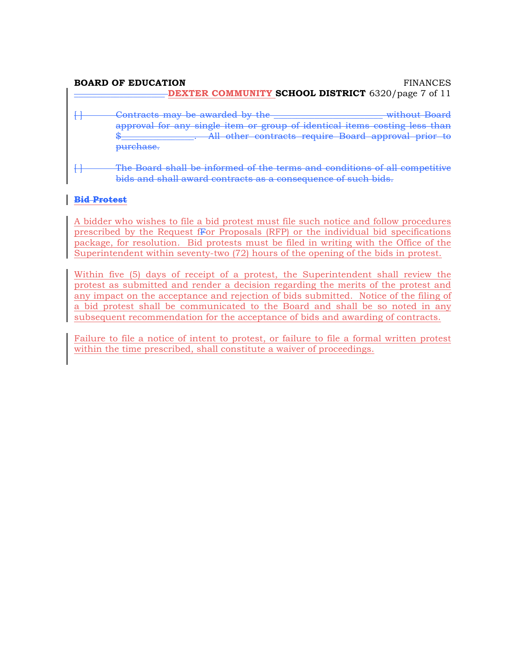**BOARD OF EDUCATION EXECUTE: EXECUTE: EXECUTE: EXECUTE: EXECUTE: EXECUTE: EXECUTE: EXECUTE: EXECUTE: EXECUTE: EXECUTE: EXECUTE: EXECUTE: EXECUTE: EXECUTE: EXECUTE: EXECUTE: EXECUTE: EX \_\_\_\_\_DEXTER COMMUNITY SCHOOL DISTRICT** 6320/page 7 of 11

- [ ] Contracts may be awarded by the \_\_\_\_\_\_\_\_\_\_\_\_\_\_\_\_\_\_\_\_\_\_\_\_ without Board approval for any single item or group of identical items costing less than \$\_\_\_\_\_\_\_\_\_\_\_\_\_\_\_\_. All other contracts require Board approval prior to purchase.
- The Board shall be informed of the terms and conditions of all competitive bids and shall award contracts as a consequence of such bids.

## **Bid Protest**

A bidder who wishes to file a bid protest must file such notice and follow procedures prescribed by the Request fFor Proposals (RFP) or the individual bid specifications package, for resolution. Bid protests must be filed in writing with the Office of the Superintendent within seventy-two (72) hours of the opening of the bids in protest.

Within five (5) days of receipt of a protest, the Superintendent shall review the protest as submitted and render a decision regarding the merits of the protest and any impact on the acceptance and rejection of bids submitted. Notice of the filing of a bid protest shall be communicated to the Board and shall be so noted in any subsequent recommendation for the acceptance of bids and awarding of contracts.

Failure to file a notice of intent to protest, or failure to file a formal written protest within the time prescribed, shall constitute a waiver of proceedings.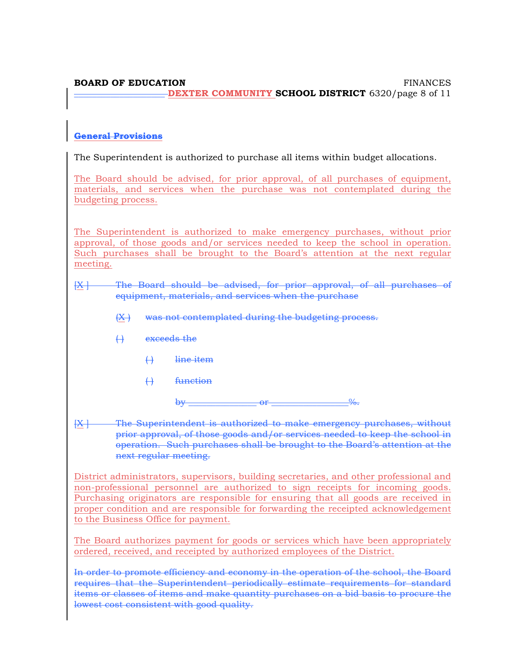**BOARD OF EDUCATION EXECUTE: EXECUTE: EXECUTE: EXECUTE: EXECUTE: EXECUTE: EXECUTE: EXECUTE: EXECUTE: EXECUTE: EXECUTE: EXECUTE: EXECUTE: EXECUTE: EXECUTE: EXECUTE: EXECUTE: EXECUTE: EX \_\_\_\_\_\_\_\_\_\_\_\_\_\_\_\_\_\_DEXTER COMMUNITY SCHOOL DISTRICT** 6320/page 8 of 11

## **General Provisions**

The Superintendent is authorized to purchase all items within budget allocations.

The Board should be advised, for prior approval, of all purchases of equipment, materials, and services when the purchase was not contemplated during the budgeting process.

The Superintendent is authorized to make emergency purchases, without prior approval, of those goods and/or services needed to keep the school in operation. Such purchases shall be brought to the Board's attention at the next regular meeting.

- [X ] The Board should be advised, for prior approval, of all purchases of equipment, materials, and services when the purchase
	- $(X)$  was not contemplated during the budgeting process.
	- (a) exceeds the
		- $\theta$  line item
		- $H$  function

 $\frac{1}{2}$  by  $\frac{1}{2}$  or  $\frac{1}{2}$ 

 $|X|$  The Superintendent is authorized to make emergency purchases, without prior approval, of those goods and/or services needed to keep the school in operation. Such purchases shall be brought to the Board's attention at the next regular meeting.

District administrators, supervisors, building secretaries, and other professional and non-professional personnel are authorized to sign receipts for incoming goods. Purchasing originators are responsible for ensuring that all goods are received in proper condition and are responsible for forwarding the receipted acknowledgement to the Business Office for payment.

The Board authorizes payment for goods or services which have been appropriately ordered, received, and receipted by authorized employees of the District.

In order to promote efficiency and economy in the operation of the school, the Board requires that the Superintendent periodically estimate requirements for standard items or classes of items and make quantity purchases on a bid basis to procure the lowest cost consistent with good quality.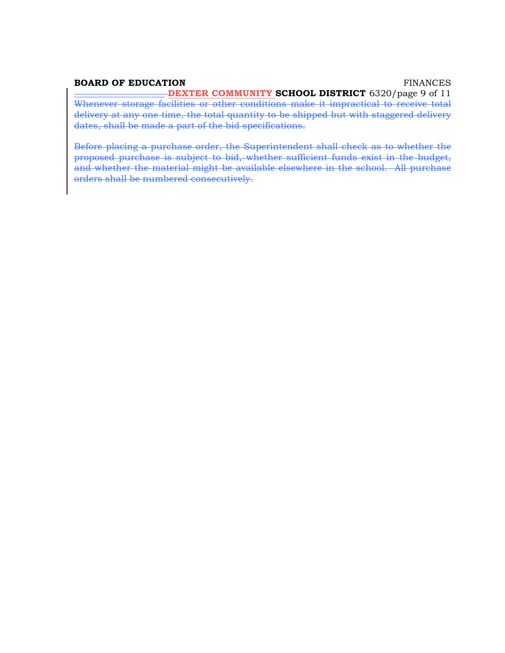## **BOARD OF EDUCATION EXECUTE: EXECUTE: EXECUTE: EXECUTE: EXECUTE: EXECUTE: EXECUTE: EXECUTE: EXECUTE: EXECUTE: EXECUTE: EXECUTE: EXECUTE: EXECUTE: EXECUTE: EXECUTE: EXECUTE: EXECUTE: EX**

**\_\_DEXTER COMMUNITY SCHOOL DISTRICT** 6320/page 9 of 11 Whenever storage facilities or other conditions make it impractical to receive total delivery at any one time, the total quantity to be shipped but with staggered delivery dates, shall be made a part of the bid specifications.

Before placing a purchase order, the Superintendent shall check as to whether the proposed purchase is subject to bid, whether sufficient funds exist in the budget, and whether the material might be available elsewhere in the school. All purchase orders shall be numbered consecutively.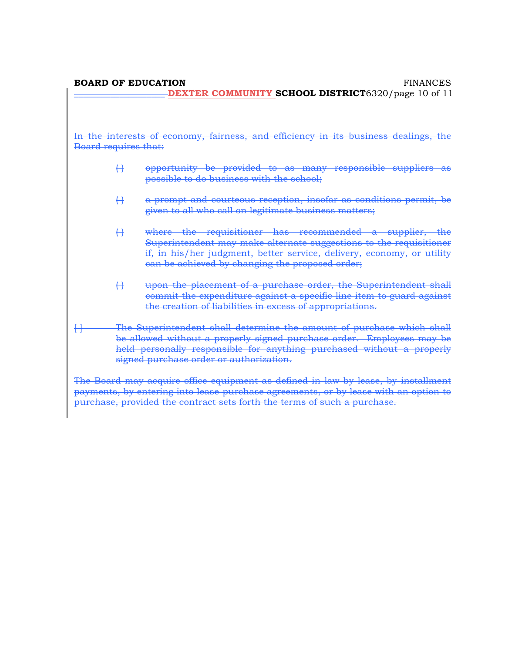In the interests of economy, fairness, and efficiency in its business dealings, the Board requires that:

- (a) opportunity be provided to as many responsible suppliers as possible to do business with the school;
- ( ) a prompt and courteous reception, insofar as conditions permit, be given to all who call on legitimate business matters;
- ( ) where the requisitioner has recommended a supplier, the Superintendent may make alternate suggestions to the requisitioner if, in his/her judgment, better service, delivery, economy, or utility can be achieved by changing the proposed order;
- () upon the placement of a purchase order, the Superintendent shall commit the expenditure against a specific line item to guard against the creation of liabilities in excess of appropriations.

## [ ] The Superintendent shall determine the amount of purchase which shall be allowed without a properly signed purchase order. Employees may be held personally responsible for anything purchased without a properly signed purchase order or authorization.

The Board may acquire office equipment as defined in law by lease, by installment payments, by entering into lease-purchase agreements, or by lease with an option to purchase, provided the contract sets forth the terms of such a purchase.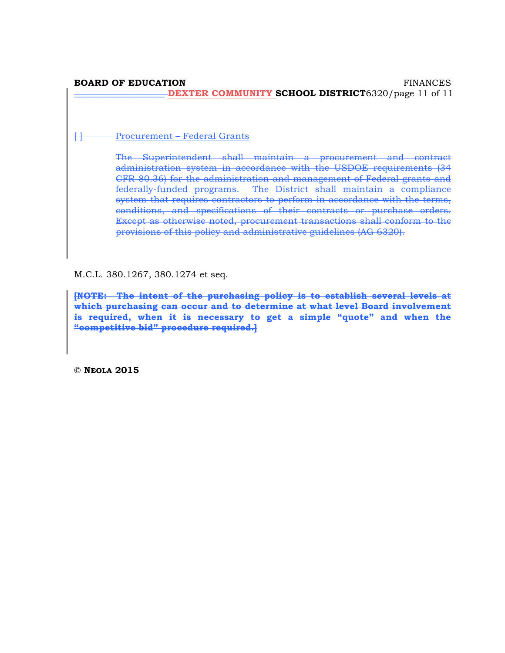**BOARD OF EDUCATION EXECUTE: EXECUTE: EXECUTE: EXECUTE: EXECUTE: EXECUTE: EXECUTE: EXECUTE: EXECUTE: EXECUTE: EXECUTE: EXECUTE: EXECUTE: EXECUTE: EXECUTE: EXECUTE: EXECUTE: EXECUTE: EX \_\_\_\_\_\_\_\_\_\_\_\_\_\_\_\_\_\_\_\_ DEXTER COMMUNITY SCHOOL DISTRICT**6320/page 11 of 11

### [ ] Procurement – Federal Grants

The Superintendent shall maintain a procurement and contract administration system in accordance with the USDOE requirements (34 CFR 80.36) for the administration and management of Federal grants and federally-funded programs. The District shall maintain a compliance system that requires contractors to perform in accordance with the terms, conditions, and specifications of their contracts or purchase orders. Except as otherwise noted, procurement transactions shall conform to the provisions of this policy and administrative guidelines (AG 6320).

M.C.L. 380.1267, 380.1274 et seq.

**[NOTE: The intent of the purchasing policy is to establish several levels at which purchasing can occur and to determine at what level Board involvement is required, when it is necessary to get a simple "quote" and when the "competitive bid" procedure required.]**

**© NEOLA 2015**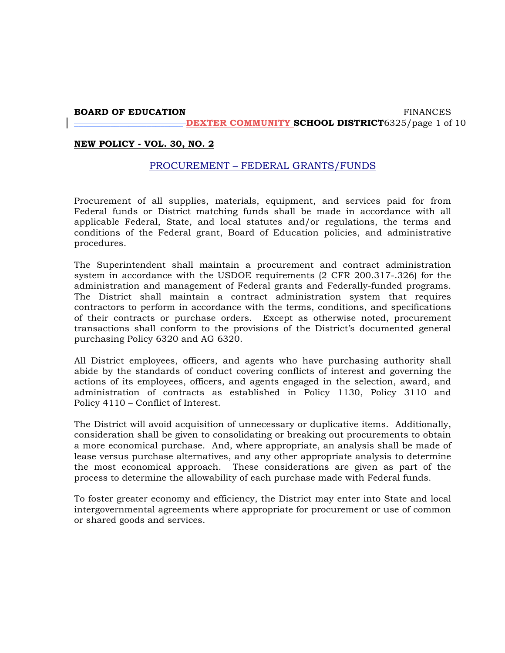### **BOARD OF EDUCATION EXECUTE: EXECUTE: EXECUTE: EXECUTE: EXECUTE: EXECUTE: EXECUTE: EXECUTE: EXECUTE: EXECUTE: EXECUTE: EXECUTE: EXECUTE: EXECUTE: EXECUTE: EXECUTE: EXECUTE: EXECUTE: EX**

## **\_\_\_\_\_\_\_\_\_\_\_\_\_\_\_\_\_\_\_\_\_\_\_\_ DEXTER COMMUNITY SCHOOL DISTRICT**6325/page 1 of 10

### **NEW POLICY - VOL. 30, NO. 2**

## PROCUREMENT – FEDERAL GRANTS/FUNDS

Procurement of all supplies, materials, equipment, and services paid for from Federal funds or District matching funds shall be made in accordance with all applicable Federal, State, and local statutes and/or regulations, the terms and conditions of the Federal grant, Board of Education policies, and administrative procedures.

The Superintendent shall maintain a procurement and contract administration system in accordance with the USDOE requirements (2 CFR 200.317-.326) for the administration and management of Federal grants and Federally-funded programs. The District shall maintain a contract administration system that requires contractors to perform in accordance with the terms, conditions, and specifications of their contracts or purchase orders. Except as otherwise noted, procurement transactions shall conform to the provisions of the District's documented general purchasing Policy 6320 and AG 6320.

All District employees, officers, and agents who have purchasing authority shall abide by the standards of conduct covering conflicts of interest and governing the actions of its employees, officers, and agents engaged in the selection, award, and administration of contracts as established in Policy 1130, Policy 3110 and Policy 4110 – Conflict of Interest.

The District will avoid acquisition of unnecessary or duplicative items. Additionally, consideration shall be given to consolidating or breaking out procurements to obtain a more economical purchase. And, where appropriate, an analysis shall be made of lease versus purchase alternatives, and any other appropriate analysis to determine the most economical approach. These considerations are given as part of the process to determine the allowability of each purchase made with Federal funds.

To foster greater economy and efficiency, the District may enter into State and local intergovernmental agreements where appropriate for procurement or use of common or shared goods and services.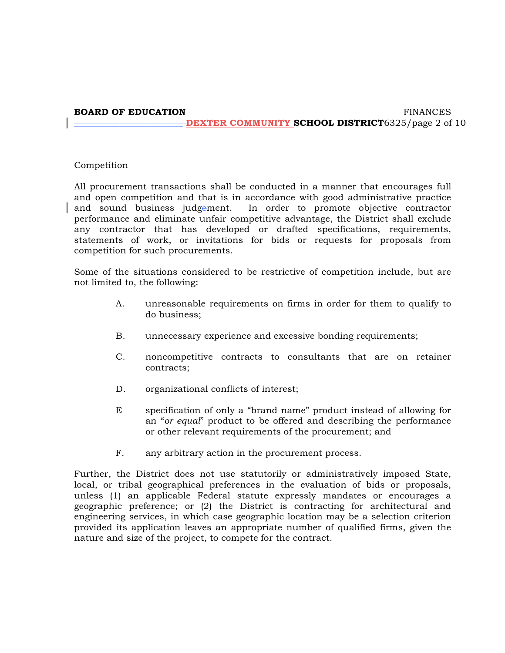### **BOARD OF EDUCATION EXECUTE: EXECUTE: EXECUTE: EXECUTE: EXECUTE: EXECUTE: EXECUTE: EXECUTE: EXECUTE: EXECUTE: EXECUTE: EXECUTE: EXECUTE: EXECUTE: EXECUTE: EXECUTE: EXECUTE: EXECUTE: EX \_\_\_\_\_\_\_\_\_\_\_\_\_\_\_\_\_\_\_\_\_\_\_\_ DEXTER COMMUNITY SCHOOL DISTRICT**6325/page 2 of 10

## Competition

All procurement transactions shall be conducted in a manner that encourages full and open competition and that is in accordance with good administrative practice and sound business judgement. In order to promote objective contractor performance and eliminate unfair competitive advantage, the District shall exclude any contractor that has developed or drafted specifications, requirements, statements of work, or invitations for bids or requests for proposals from competition for such procurements.

Some of the situations considered to be restrictive of competition include, but are not limited to, the following:

- A. unreasonable requirements on firms in order for them to qualify to do business;
- B. unnecessary experience and excessive bonding requirements;
- C. noncompetitive contracts to consultants that are on retainer contracts;
- D. organizational conflicts of interest;
- E specification of only a "brand name" product instead of allowing for an "*or equal*" product to be offered and describing the performance or other relevant requirements of the procurement; and
- F. any arbitrary action in the procurement process.

Further, the District does not use statutorily or administratively imposed State, local, or tribal geographical preferences in the evaluation of bids or proposals, unless (1) an applicable Federal statute expressly mandates or encourages a geographic preference; or (2) the District is contracting for architectural and engineering services, in which case geographic location may be a selection criterion provided its application leaves an appropriate number of qualified firms, given the nature and size of the project, to compete for the contract.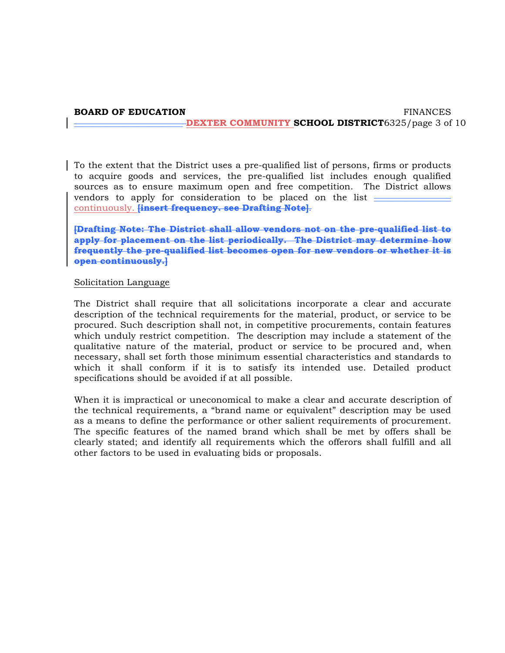To the extent that the District uses a pre-qualified list of persons, firms or products to acquire goods and services, the pre-qualified list includes enough qualified sources as to ensure maximum open and free competition. The District allows vendors to apply for consideration to be placed on the list  $\frac{1}{\sqrt{2\pi}}$ continuously. **[insert frequency. see Drafting Note]**.

**[Drafting Note: The District shall allow vendors not on the pre-qualified list to apply for placement on the list periodically. The District may determine how frequently the pre-qualified list becomes open for new vendors or whether it is open continuously.]**

### Solicitation Language

The District shall require that all solicitations incorporate a clear and accurate description of the technical requirements for the material, product, or service to be procured. Such description shall not, in competitive procurements, contain features which unduly restrict competition. The description may include a statement of the qualitative nature of the material, product or service to be procured and, when necessary, shall set forth those minimum essential characteristics and standards to which it shall conform if it is to satisfy its intended use. Detailed product specifications should be avoided if at all possible.

When it is impractical or uneconomical to make a clear and accurate description of the technical requirements, a "brand name or equivalent" description may be used as a means to define the performance or other salient requirements of procurement. The specific features of the named brand which shall be met by offers shall be clearly stated; and identify all requirements which the offerors shall fulfill and all other factors to be used in evaluating bids or proposals.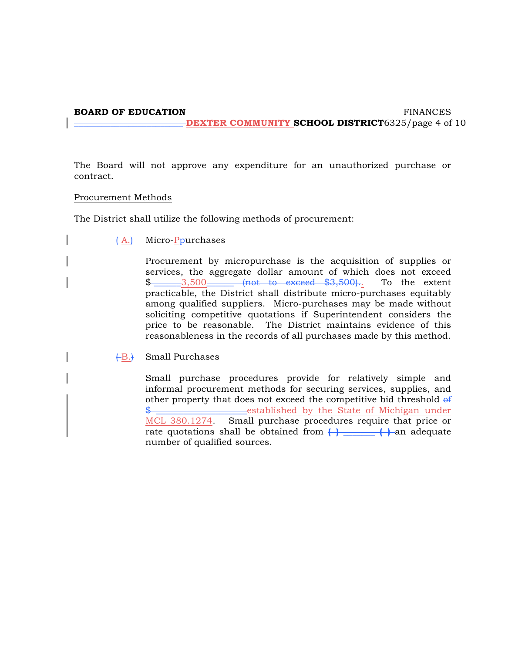## **BOARD OF EDUCATION EXECUTE: EXECUTE: EXECUTE: EXECUTE: EXECUTE: EXECUTE: EXECUTE: EXECUTE: EXECUTE: EXECUTE: EXECUTE: EXECUTE: EXECUTE: EXECUTE: EXECUTE: EXECUTE: EXECUTE: EXECUTE: EX**

**\_\_\_\_\_\_\_\_\_\_\_\_\_\_\_\_\_\_\_\_\_\_\_\_ DEXTER COMMUNITY SCHOOL DISTRICT**6325/page 4 of 10

The Board will not approve any expenditure for an unauthorized purchase or contract.

## Procurement Methods

The District shall utilize the following methods of procurement:

 $\overline{+A}$ . Micro-P<sub>p</sub>urchases

Procurement by micropurchase is the acquisition of supplies or services, the aggregate dollar amount of which does not exceed  $\frac{1}{2}$   $\frac{3,500}{1}$  (not to exceed \$3,500)... To the extent practicable, the District shall distribute micro-purchases equitably among qualified suppliers. Micro-purchases may be made without soliciting competitive quotations if Superintendent considers the price to be reasonable. The District maintains evidence of this reasonableness in the records of all purchases made by this method.

( B.) Small Purchases

Small purchase procedures provide for relatively simple and informal procurement methods for securing services, supplies, and other property that does not exceed the competitive bid threshold  $\theta$ s established by the State of Michigan under MCL 380.1274. Small purchase procedures require that price or rate quotations shall be obtained from **( )** \_\_\_\_\_\_\_ **( )** an adequate number of qualified sources.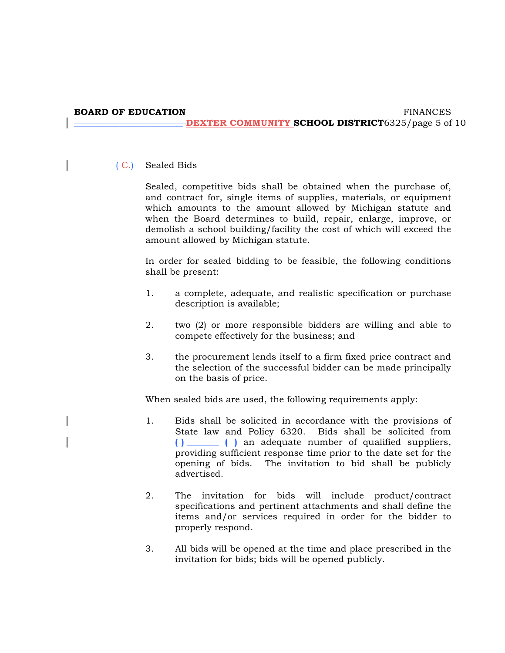## $\leftarrow C$ .) Sealed Bids

Sealed, competitive bids shall be obtained when the purchase of, and contract for, single items of supplies, materials, or equipment which amounts to the amount allowed by Michigan statute and when the Board determines to build, repair, enlarge, improve, or demolish a school building/facility the cost of which will exceed the amount allowed by Michigan statute.

In order for sealed bidding to be feasible, the following conditions shall be present:

- 1. a complete, adequate, and realistic specification or purchase description is available;
- 2. two (2) or more responsible bidders are willing and able to compete effectively for the business; and
- 3. the procurement lends itself to a firm fixed price contract and the selection of the successful bidder can be made principally on the basis of price.

When sealed bids are used, the following requirements apply:

- 1. Bids shall be solicited in accordance with the provisions of State law and Policy 6320. Bids shall be solicited from **( )** \_\_\_\_\_\_\_ **( )** an adequate number of qualified suppliers, providing sufficient response time prior to the date set for the opening of bids. The invitation to bid shall be publicly advertised.
- 2. The invitation for bids will include product/contract specifications and pertinent attachments and shall define the items and/or services required in order for the bidder to properly respond.
- 3. All bids will be opened at the time and place prescribed in the invitation for bids; bids will be opened publicly.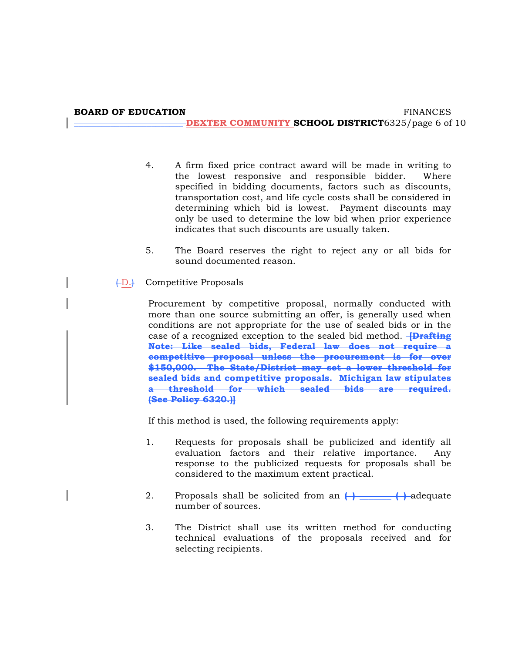- 4. A firm fixed price contract award will be made in writing to the lowest responsive and responsible bidder. Where specified in bidding documents, factors such as discounts, transportation cost, and life cycle costs shall be considered in determining which bid is lowest. Payment discounts may only be used to determine the low bid when prior experience indicates that such discounts are usually taken.
- 5. The Board reserves the right to reject any or all bids for sound documented reason.
- ( D.) Competitive Proposals

Procurement by competitive proposal, normally conducted with more than one source submitting an offer, is generally used when conditions are not appropriate for the use of sealed bids or in the case of a recognized exception to the sealed bid method. *Prafting* **Note: Like sealed bids, Federal law does not require a competitive proposal unless the procurement is for over \$150,000. The State/District may set a lower threshold for sealed bids and competitive proposals. Michigan law stipulates a threshold for which sealed bids are required. (See Policy 6320.)]** 

If this method is used, the following requirements apply:

- 1. Requests for proposals shall be publicized and identify all evaluation factors and their relative importance. Any response to the publicized requests for proposals shall be considered to the maximum extent practical.
- 2. Proposals shall be solicited from an **( )** \_\_\_\_\_\_\_ **( )** adequate number of sources.
- 3. The District shall use its written method for conducting technical evaluations of the proposals received and for selecting recipients.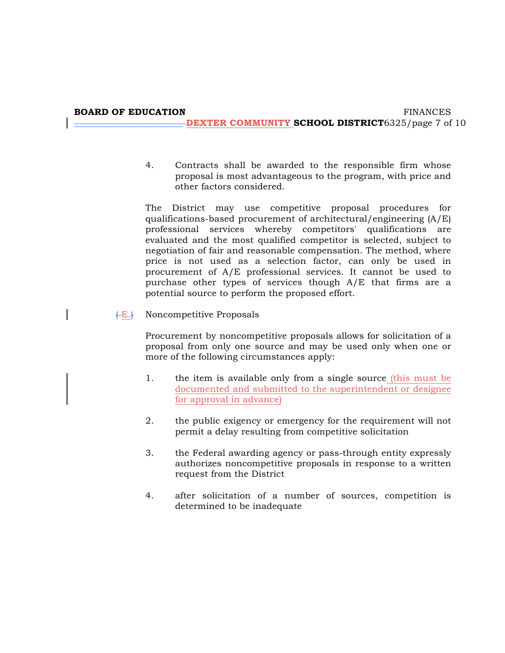4. Contracts shall be awarded to the responsible firm whose proposal is most advantageous to the program, with price and other factors considered.

The District may use competitive proposal procedures for qualifications-based procurement of architectural/engineering (A/E) professional services whereby competitors' qualifications are evaluated and the most qualified competitor is selected, subject to negotiation of fair and reasonable compensation. The method, where price is not used as a selection factor, can only be used in procurement of A/E professional services. It cannot be used to purchase other types of services though A/E that firms are a potential source to perform the proposed effort.

 $+E.$  Noncompetitive Proposals

Procurement by noncompetitive proposals allows for solicitation of a proposal from only one source and may be used only when one or more of the following circumstances apply:

- 1. the item is available only from a single source (this must be documented and submitted to the superintendent or designee for approval in advance)
- 2. the public exigency or emergency for the requirement will not permit a delay resulting from competitive solicitation
- 3. the Federal awarding agency or pass-through entity expressly authorizes noncompetitive proposals in response to a written request from the District
- 4. after solicitation of a number of sources, competition is determined to be inadequate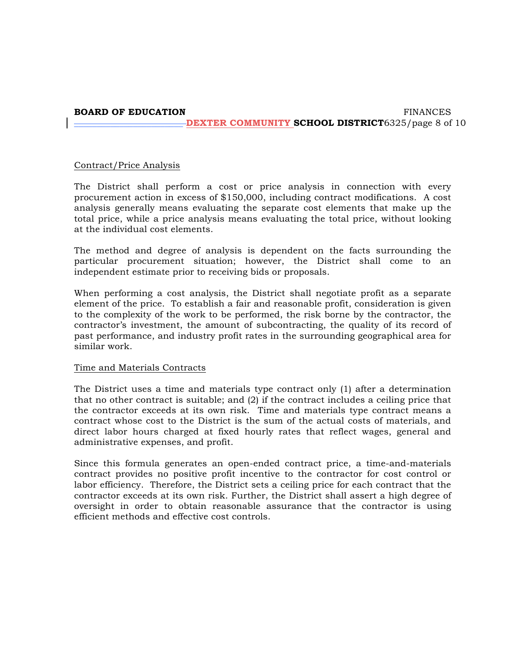### **BOARD OF EDUCATION EXECUTE: EXECUTE: EXECUTE: EXECUTE: EXECUTE: EXECUTE: EXECUTE: EXECUTE: EXECUTE: EXECUTE: EXECUTE: EXECUTE: EXECUTE: EXECUTE: EXECUTE: EXECUTE: EXECUTE: EXECUTE: EX DEXTER COMMUNITY SCHOOL DISTRICT**6325/page 8 of 10

## Contract/Price Analysis

The District shall perform a cost or price analysis in connection with every procurement action in excess of \$150,000, including contract modifications. A cost analysis generally means evaluating the separate cost elements that make up the total price, while a price analysis means evaluating the total price, without looking at the individual cost elements.

The method and degree of analysis is dependent on the facts surrounding the particular procurement situation; however, the District shall come to an independent estimate prior to receiving bids or proposals.

When performing a cost analysis, the District shall negotiate profit as a separate element of the price. To establish a fair and reasonable profit, consideration is given to the complexity of the work to be performed, the risk borne by the contractor, the contractor's investment, the amount of subcontracting, the quality of its record of past performance, and industry profit rates in the surrounding geographical area for similar work.

## Time and Materials Contracts

The District uses a time and materials type contract only (1) after a determination that no other contract is suitable; and (2) if the contract includes a ceiling price that the contractor exceeds at its own risk. Time and materials type contract means a contract whose cost to the District is the sum of the actual costs of materials, and direct labor hours charged at fixed hourly rates that reflect wages, general and administrative expenses, and profit.

Since this formula generates an open-ended contract price, a time-and-materials contract provides no positive profit incentive to the contractor for cost control or labor efficiency. Therefore, the District sets a ceiling price for each contract that the contractor exceeds at its own risk. Further, the District shall assert a high degree of oversight in order to obtain reasonable assurance that the contractor is using efficient methods and effective cost controls.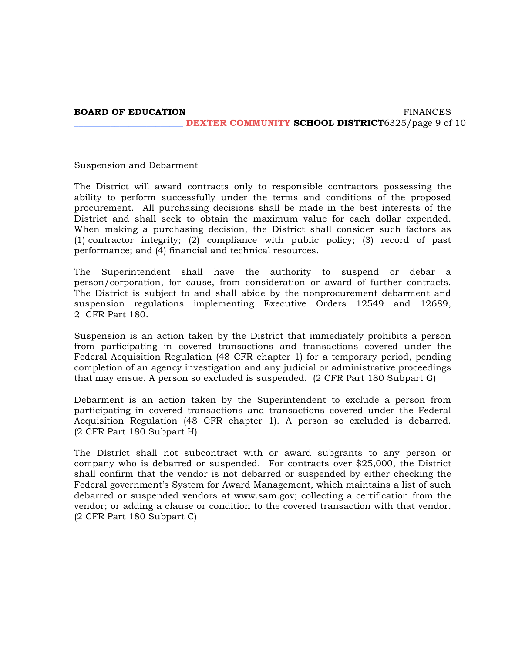## Suspension and Debarment

The District will award contracts only to responsible contractors possessing the ability to perform successfully under the terms and conditions of the proposed procurement. All purchasing decisions shall be made in the best interests of the District and shall seek to obtain the maximum value for each dollar expended. When making a purchasing decision, the District shall consider such factors as (1) contractor integrity; (2) compliance with public policy; (3) record of past performance; and (4) financial and technical resources.

The Superintendent shall have the authority to suspend or debar a person/corporation, for cause, from consideration or award of further contracts. The District is subject to and shall abide by the nonprocurement debarment and suspension regulations implementing Executive Orders 12549 and 12689, 2 CFR Part 180.

Suspension is an action taken by the District that immediately prohibits a person from participating in covered transactions and transactions covered under the Federal Acquisition Regulation (48 CFR chapter 1) for a temporary period, pending completion of an agency investigation and any judicial or administrative proceedings that may ensue. A person so excluded is suspended. (2 CFR Part 180 Subpart G)

Debarment is an action taken by the Superintendent to exclude a person from participating in covered transactions and transactions covered under the Federal Acquisition Regulation (48 CFR chapter 1). A person so excluded is debarred. (2 CFR Part 180 Subpart H)

The District shall not subcontract with or award subgrants to any person or company who is debarred or suspended. For contracts over \$25,000, the District shall confirm that the vendor is not debarred or suspended by either checking the Federal government's System for Award Management, which maintains a list of such debarred or suspended vendors at www.sam.gov; collecting a certification from the vendor; or adding a clause or condition to the covered transaction with that vendor. (2 CFR Part 180 Subpart C)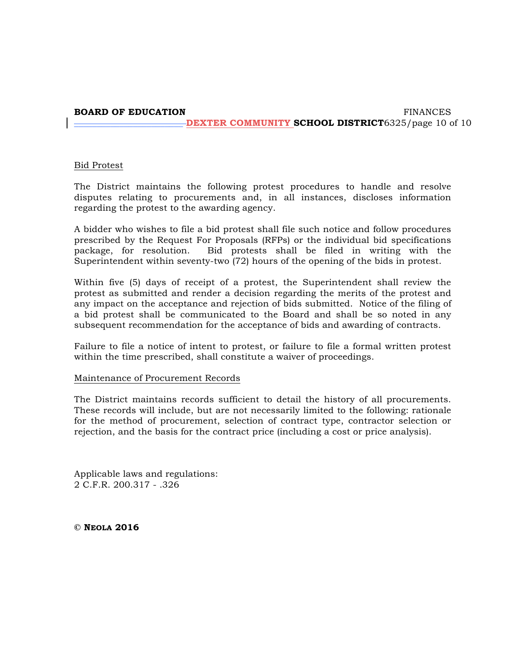### **BOARD OF EDUCATION EXECUTE: EXECUTE: EXECUTE: EXECUTE: EXECUTE: EXECUTE: EXECUTE: EXECUTE: EXECUTE: EXECUTE: EXECUTE: EXECUTE: EXECUTE: EXECUTE: EXECUTE: EXECUTE: EXECUTE: EXECUTE: EX \_\_\_\_\_\_\_\_\_\_\_\_\_\_\_\_\_\_\_\_\_\_\_\_ DEXTER COMMUNITY SCHOOL DISTRICT**6325/page 10 of 10

### Bid Protest

The District maintains the following protest procedures to handle and resolve disputes relating to procurements and, in all instances, discloses information regarding the protest to the awarding agency.

A bidder who wishes to file a bid protest shall file such notice and follow procedures prescribed by the Request For Proposals (RFPs) or the individual bid specifications package, for resolution. Bid protests shall be filed in writing with the Superintendent within seventy-two (72) hours of the opening of the bids in protest.

Within five (5) days of receipt of a protest, the Superintendent shall review the protest as submitted and render a decision regarding the merits of the protest and any impact on the acceptance and rejection of bids submitted. Notice of the filing of a bid protest shall be communicated to the Board and shall be so noted in any subsequent recommendation for the acceptance of bids and awarding of contracts.

Failure to file a notice of intent to protest, or failure to file a formal written protest within the time prescribed, shall constitute a waiver of proceedings.

## Maintenance of Procurement Records

The District maintains records sufficient to detail the history of all procurements. These records will include, but are not necessarily limited to the following: rationale for the method of procurement, selection of contract type, contractor selection or rejection, and the basis for the contract price (including a cost or price analysis).

Applicable laws and regulations: 2 C.F.R. 200.317 - .326

**© NEOLA 2016**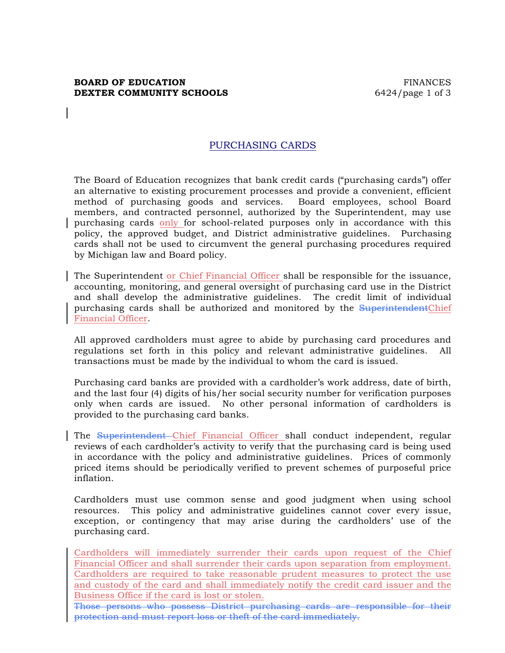## **BOARD OF EDUCATION EXECUTE: EXECUTE: EXECUTE: EXECUTE: EXECUTE: EXECUTE: EXECUTE: EXECUTE: EXECUTE: EXECUTE: EXECUTE: EXECUTE: EXECUTE: EXECUTE: EXECUTE: EXECUTE: EXECUTE: EXECUTE: EX DEXTER COMMUNITY SCHOOLS** 6424/page 1 of 3

## PURCHASING CARDS

The Board of Education recognizes that bank credit cards ("purchasing cards") offer an alternative to existing procurement processes and provide a convenient, efficient method of purchasing goods and services. Board employees, school Board members, and contracted personnel, authorized by the Superintendent, may use purchasing cards only for school-related purposes only in accordance with this policy, the approved budget, and District administrative guidelines. Purchasing cards shall not be used to circumvent the general purchasing procedures required by Michigan law and Board policy.

The Superintendent or Chief Financial Officer shall be responsible for the issuance, accounting, monitoring, and general oversight of purchasing card use in the District and shall develop the administrative guidelines. The credit limit of individual purchasing cards shall be authorized and monitored by the SuperintendentChief Financial Officer.

All approved cardholders must agree to abide by purchasing card procedures and regulations set forth in this policy and relevant administrative guidelines. All transactions must be made by the individual to whom the card is issued.

Purchasing card banks are provided with a cardholder's work address, date of birth, and the last four (4) digits of his/her social security number for verification purposes only when cards are issued. No other personal information of cardholders is provided to the purchasing card banks.

The Superintendent Chief Financial Officer shall conduct independent, regular reviews of each cardholder's activity to verify that the purchasing card is being used in accordance with the policy and administrative guidelines. Prices of commonly priced items should be periodically verified to prevent schemes of purposeful price inflation.

Cardholders must use common sense and good judgment when using school resources. This policy and administrative guidelines cannot cover every issue, exception, or contingency that may arise during the cardholders' use of the purchasing card.

Cardholders will immediately surrender their cards upon request of the Chief Financial Officer and shall surrender their cards upon separation from employment. Cardholders are required to take reasonable prudent measures to protect the use and custody of the card and shall immediately notify the credit card issuer and the Business Office if the card is lost or stolen.

Those persons who possess District purchasing cards are responsible for their protection and must report loss or theft of the card immediately.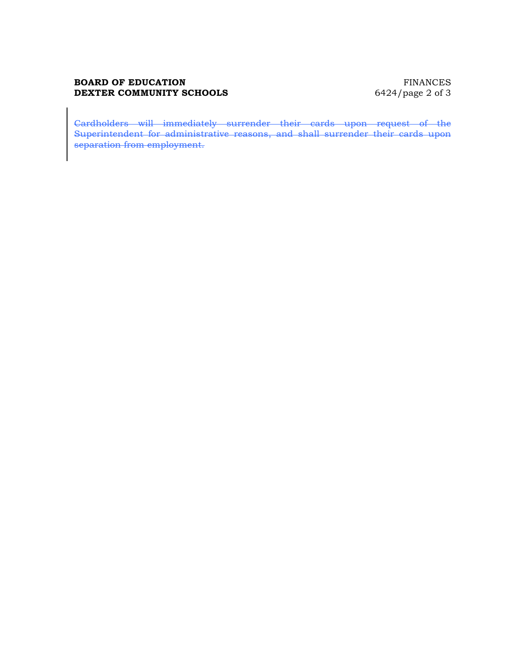## **BOARD OF EDUCATION** FINANCES **DEXTER COMMUNITY SCHOOLS** 6424/page 2 of 3

Cardholders will immediately surrender their cards upon request of the Superintendent for administrative reasons, and shall surrender their cards upon separation from employment.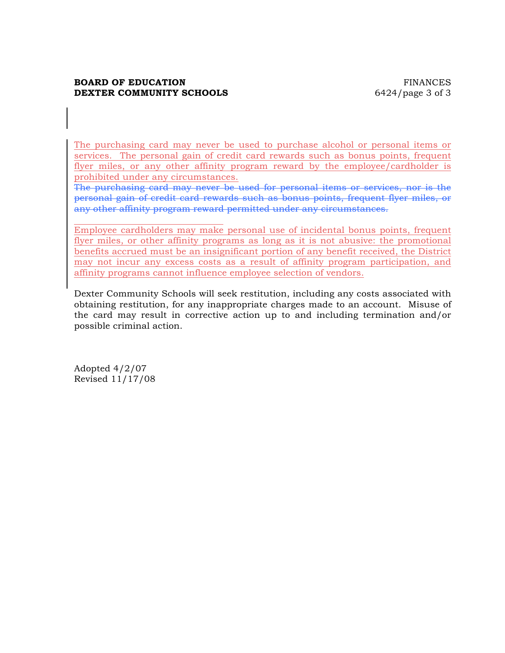## **BOARD OF EDUCATION EXECUTE: EXECUTE: EXECUTE: EXECUTE: EXECUTE: EXECUTE: EXECUTE: EXECUTE: EXECUTE: EXECUTE: EXECUTE: EXECUTE: EXECUTE: EXECUTE: EXECUTE: EXECUTE: EXECUTE: EXECUTE: EX DEXTER COMMUNITY SCHOOLS** 6424/page 3 of 3

The purchasing card may never be used to purchase alcohol or personal items or services. The personal gain of credit card rewards such as bonus points, frequent flyer miles, or any other affinity program reward by the employee/cardholder is prohibited under any circumstances.

The purchasing card may never be used for personal items or services, nor is the personal gain of credit card rewards such as bonus points, frequent flyer miles, or any other affinity program reward permitted under any circumstances.

Employee cardholders may make personal use of incidental bonus points, frequent flyer miles, or other affinity programs as long as it is not abusive: the promotional benefits accrued must be an insignificant portion of any benefit received, the District may not incur any excess costs as a result of affinity program participation, and affinity programs cannot influence employee selection of vendors.

Dexter Community Schools will seek restitution, including any costs associated with obtaining restitution, for any inappropriate charges made to an account. Misuse of the card may result in corrective action up to and including termination and/or possible criminal action.

Adopted 4/2/07 Revised 11/17/08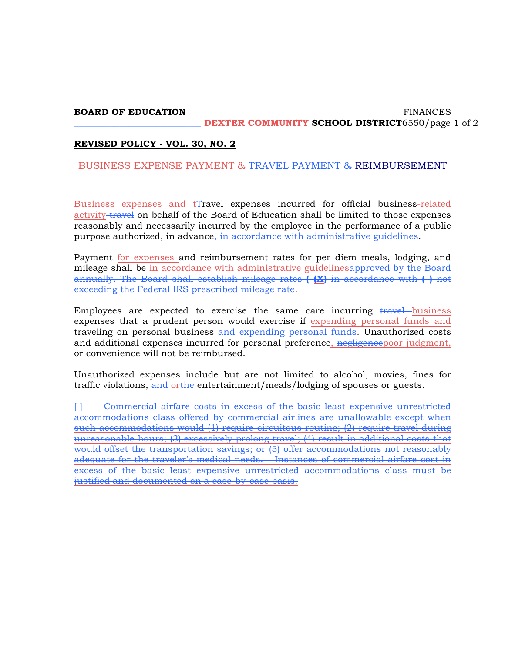## **BOARD OF EDUCATION EXECUTE: EXECUTE: EXECUTE: EXECUTE: EXECUTE: EXECUTE: EXECUTE: EXECUTE: EXECUTE: EXECUTE: EXECUTE: EXECUTE: EXECUTE: EXECUTE: EXECUTE: EXECUTE: EXECUTE: EXECUTE: EX**

# **DEXTER COMMUNITY SCHOOL DISTRICT**6550/page 1 of 2

## **REVISED POLICY - VOL. 30, NO. 2**

## BUSINESS EXPENSE PAYMENT & TRAVEL PAYMENT & REIMBURSEMENT

Business expenses and tTravel expenses incurred for official business-related activity travel on behalf of the Board of Education shall be limited to those expenses reasonably and necessarily incurred by the employee in the performance of a public purpose authorized, in advance, in accordance with administrative guidelines.

Payment for expenses and reimbursement rates for per diem meals, lodging, and mileage shall be in accordance with administrative guidelinesapproved by the Board annually. The Board shall establish mileage rates **( (X)** in accordance with **( )** not exceeding the Federal IRS prescribed mileage rate.

Employees are expected to exercise the same care incurring  $\frac{1}{2}$  travel business expenses that a prudent person would exercise if expending personal funds and traveling on personal business–and expending personal funds. Unauthorized costs and additional expenses incurred for personal preference, negligencepoor judgment, or convenience will not be reimbursed.

Unauthorized expenses include but are not limited to alcohol, movies, fines for traffic violations, and orthe entertainment/meals/lodging of spouses or guests.

[ ] Commercial airfare costs in excess of the basic least expensive unrestricted accommodations class offered by commercial airlines are unallowable except when such accommodations would (1) require circuitous routing; (2) require travel during unreasonable hours; (3) excessively prolong travel; (4) result in additional costs that would offset the transportation savings; or (5) offer accommodations not reasonably adequate for the traveler's medical needs. Instances of commercial airfare cost in excess of the basic least expensive unrestricted accommodations class must be justified and documented on a case-by-case basis.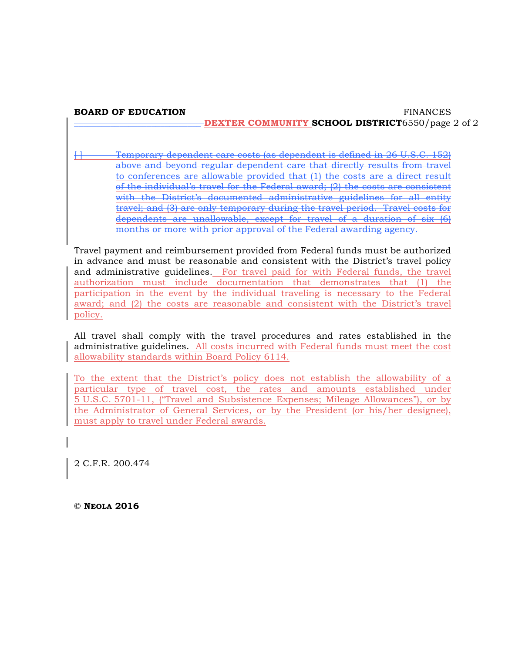## **BOARD OF EDUCATION EXECUTE: EXECUTE: EXECUTE: EXECUTE: EXECUTE: EXECUTE: EXECUTE: EXECUTE: EXECUTE: EXECUTE: EXECUTE: EXECUTE: EXECUTE: EXECUTE: EXECUTE: EXECUTE: EXECUTE: EXECUTE: EX DEXTER COMMUNITY SCHOOL DISTRICT**6550/page 2 of 2

[ ] Temporary dependent care costs (as dependent is defined in 26 U.S.C. 152) above and beyond regular dependent care that directly results from travel to conferences are allowable provided that (1) the costs are a direct result of the individual's travel for the Federal award; (2) the costs are consistent with the District's documented administrative guidelines for all entity travel; and (3) are only temporary during the travel period. Travel costs for dependents are unallowable, except for travel of a duration of six (6) months or more with prior approval of the Federal awarding agency.

Travel payment and reimbursement provided from Federal funds must be authorized in advance and must be reasonable and consistent with the District's travel policy and administrative guidelines. For travel paid for with Federal funds, the travel authorization must include documentation that demonstrates that (1) the participation in the event by the individual traveling is necessary to the Federal award; and (2) the costs are reasonable and consistent with the District's travel policy.

All travel shall comply with the travel procedures and rates established in the administrative guidelines. All costs incurred with Federal funds must meet the cost allowability standards within Board Policy 6114.

To the extent that the District's policy does not establish the allowability of a particular type of travel cost, the rates and amounts established under 5 U.S.C. 5701-11, ("Travel and Subsistence Expenses; Mileage Allowances"), or by the Administrator of General Services, or by the President (or his/her designee), must apply to travel under Federal awards.

2 C.F.R. 200.474

**© NEOLA 2016**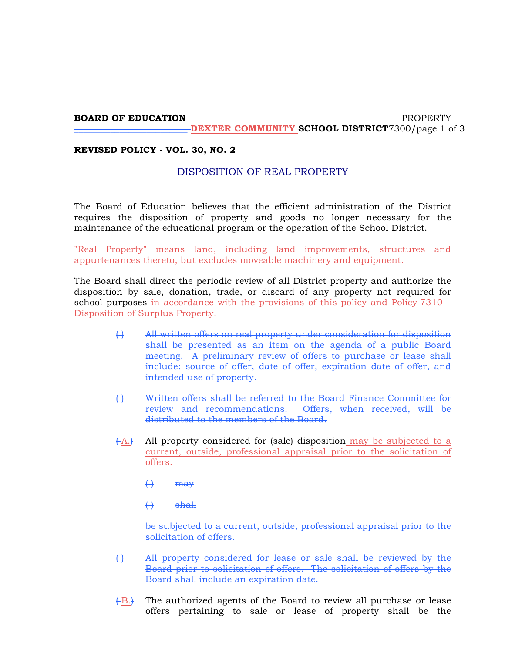## **BOARD OF EDUCATION PROPERTY**

**-DEXTER COMMUNITY SCHOOL DISTRICT**7300/page 1 of 3

## **REVISED POLICY - VOL. 30, NO. 2**

## DISPOSITION OF REAL PROPERTY

The Board of Education believes that the efficient administration of the District requires the disposition of property and goods no longer necessary for the maintenance of the educational program or the operation of the School District.

"Real Property" means land, including land improvements, structures and appurtenances thereto, but excludes moveable machinery and equipment.

The Board shall direct the periodic review of all District property and authorize the disposition by sale, donation, trade, or discard of any property not required for school purposes in accordance with the provisions of this policy and Policy 7310 – Disposition of Surplus Property.

- $\left( \cdot \right)$  All written offers on real property under consideration for disposition shall be presented as an item on the agenda of a public Board meeting. A preliminary review of offers to purchase or lease shall include: source of offer, date of offer, expiration date of offer, and intended use of property.
- ( ) Written offers shall be referred to the Board Finance Committee for review and recommendations. Offers, when received, will be distributed to the members of the Board.
- $\{\overline{A}\}$  All property considered for (sale) disposition may be subjected to a current, outside, professional appraisal prior to the solicitation of offers.
	- $\theta$  may
	- $\theta$   $\theta$  shall

be subjected to a current, outside, professional appraisal prior to the solicitation of offers.

- ( ) All property considered for lease or sale shall be reviewed by the Board prior to solicitation of offers. The solicitation of offers by the Board shall include an expiration date.
- $\{B\}$ . The authorized agents of the Board to review all purchase or lease offers pertaining to sale or lease of property shall be the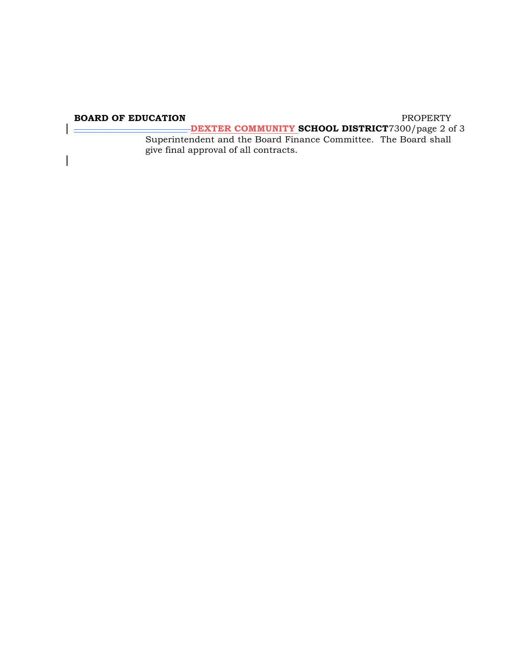## **BOARD OF EDUCATION** PROPERTY

**\_\_\_\_\_\_\_\_\_\_\_\_\_\_\_\_\_\_\_\_\_\_\_\_\_ DEXTER COMMUNITY SCHOOL DISTRICT**7300/page 2 of 3 Superintendent and the Board Finance Committee. The Board shall give final approval of all contracts.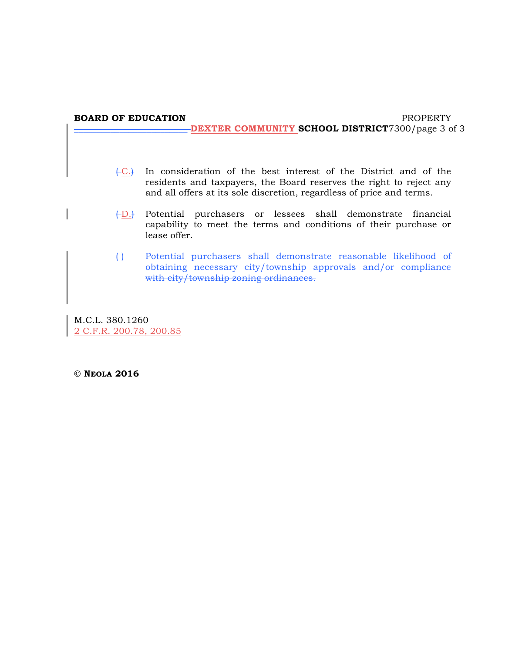**BOARD OF EDUCATION PROPERTY \_\_\_\_\_\_\_\_\_\_\_\_\_\_\_\_\_\_\_\_\_\_\_\_\_ DEXTER COMMUNITY SCHOOL DISTRICT**7300/page 3 of 3

- $\left\{\{-C.\right\}\right\}$  In consideration of the best interest of the District and of the residents and taxpayers, the Board reserves the right to reject any and all offers at its sole discretion, regardless of price and terms.
- $(D.)$  Potential purchasers or lessees shall demonstrate financial capability to meet the terms and conditions of their purchase or lease offer.
- ( ) Potential purchasers shall demonstrate reasonable likelihood of obtaining necessary city/township approvals and/or compliance with city/township zoning ordinances.

M.C.L. 380.1260 2 C.F.R. 200.78, 200.85

**© NEOLA 2016**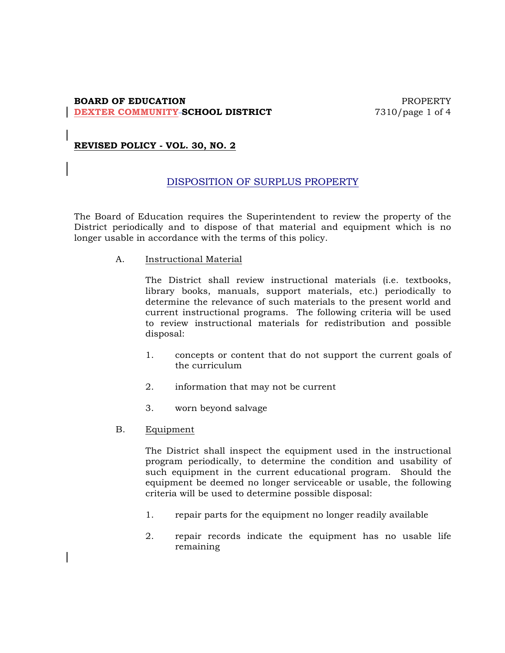## **BOARD OF EDUCATION PROPERTY DEXTER COMMUNITY-SCHOOL DISTRICT** 7310/page 1 of 4

## **REVISED POLICY - VOL. 30, NO. 2**

## DISPOSITION OF SURPLUS PROPERTY

The Board of Education requires the Superintendent to review the property of the District periodically and to dispose of that material and equipment which is no longer usable in accordance with the terms of this policy.

A. Instructional Material

The District shall review instructional materials (i.e. textbooks, library books, manuals, support materials, etc.) periodically to determine the relevance of such materials to the present world and current instructional programs. The following criteria will be used to review instructional materials for redistribution and possible disposal:

- 1. concepts or content that do not support the current goals of the curriculum
- 2. information that may not be current
- 3. worn beyond salvage
- B. Equipment

The District shall inspect the equipment used in the instructional program periodically, to determine the condition and usability of such equipment in the current educational program. Should the equipment be deemed no longer serviceable or usable, the following criteria will be used to determine possible disposal:

- 1. repair parts for the equipment no longer readily available
- 2. repair records indicate the equipment has no usable life remaining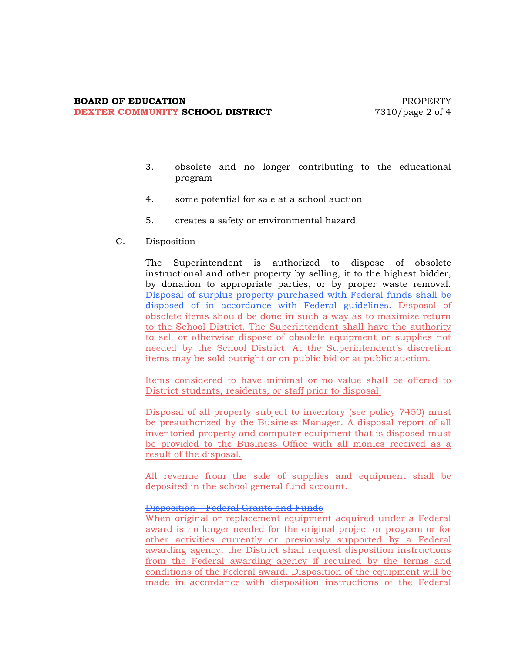- 3. obsolete and no longer contributing to the educational program
- 4. some potential for sale at a school auction
- 5. creates a safety or environmental hazard
- C. Disposition

The Superintendent is authorized to dispose of obsolete instructional and other property by selling, it to the highest bidder, by donation to appropriate parties, or by proper waste removal. Disposal of surplus property purchased with Federal funds shall be disposed of in accordance with Federal guidelines. Disposal of obsolete items should be done in such a way as to maximize return to the School District. The Superintendent shall have the authority to sell or otherwise dispose of obsolete equipment or supplies not needed by the School District. At the Superintendent's discretion items may be sold outright or on public bid or at public auction.

Items considered to have minimal or no value shall be offered to District students, residents, or staff prior to disposal.

Disposal of all property subject to inventory (see policy 7450) must be preauthorized by the Business Manager. A disposal report of all inventoried property and computer equipment that is disposed must be provided to the Business Office with all monies received as a result of the disposal.

All revenue from the sale of supplies and equipment shall be deposited in the school general fund account.

## Disposition – Federal Grants and Funds

When original or replacement equipment acquired under a Federal award is no longer needed for the original project or program or for other activities currently or previously supported by a Federal awarding agency, the District shall request disposition instructions from the Federal awarding agency if required by the terms and conditions of the Federal award. Disposition of the equipment will be made in accordance with disposition instructions of the Federal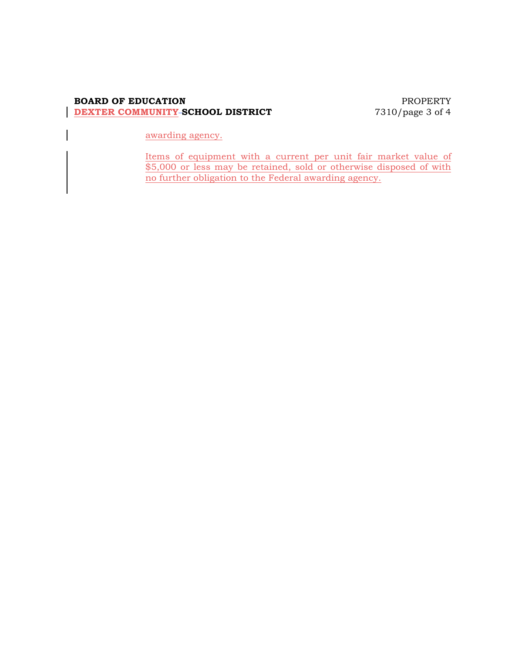## **BOARD OF EDUCATION** PROPERTY **DEXTER COMMUNITY-SCHOOL DISTRICT** 7310/page 3 of 4

awarding agency.

Items of equipment with a current per unit fair market value of \$5,000 or less may be retained, sold or otherwise disposed of with no further obligation to the Federal awarding agency.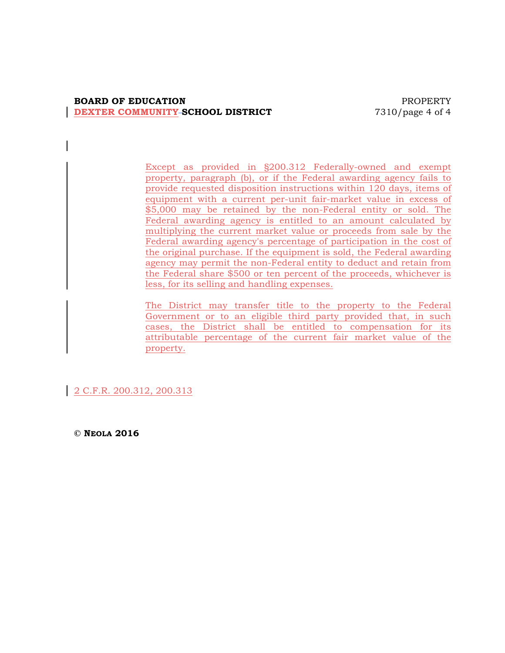## **BOARD OF EDUCATION PROPERTY DEXTER COMMUNITY-SCHOOL DISTRICT** 7310/page 4 of 4

Except as provided in §200.312 Federally-owned and exempt property, paragraph (b), or if the Federal awarding agency fails to provide requested disposition instructions within 120 days, items of equipment with a current per-unit fair-market value in excess of \$5,000 may be retained by the non-Federal entity or sold. The Federal awarding agency is entitled to an amount calculated by multiplying the current market value or proceeds from sale by the Federal awarding agency's percentage of participation in the cost of the original purchase. If the equipment is sold, the Federal awarding agency may permit the non-Federal entity to deduct and retain from the Federal share \$500 or ten percent of the proceeds, whichever is less, for its selling and handling expenses.

The District may transfer title to the property to the Federal Government or to an eligible third party provided that, in such cases, the District shall be entitled to compensation for its attributable percentage of the current fair market value of the property.

2 C.F.R. 200.312, 200.313

**© NEOLA 2016**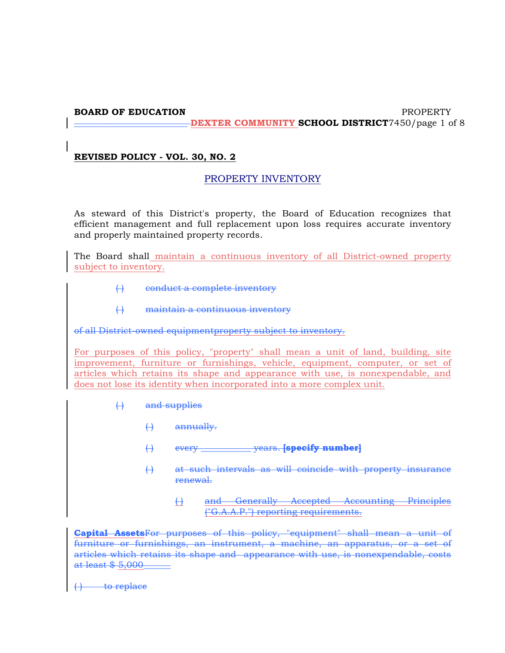## **BOARD OF EDUCATION PROPERTY**

**DEXTER COMMUNITY SCHOOL DISTRICT**7450/page 1 of 8

## **REVISED POLICY - VOL. 30, NO. 2**

## PROPERTY INVENTORY

As steward of this District's property, the Board of Education recognizes that efficient management and full replacement upon loss requires accurate inventory and properly maintained property records.

The Board shall maintain a continuous inventory of all District-owned property subject to inventory.

- () conduct a complete inventory
- ( ) maintain a continuous inventory

of all District-owned equipmentproperty subject to inventory.

For purposes of this policy, "property" shall mean a unit of land, building, site improvement, furniture or furnishings, vehicle, equipment, computer, or set of articles which retains its shape and appearance with use, is nonexpendable, and does not lose its identity when incorporated into a more complex unit.

- $\theta$  and supplies
	- $\theta$  annually.
	- ( ) every \_\_\_\_\_\_\_\_\_\_\_ years. **[specify number]**
	- ( ) at such intervals as will coincide with property insurance renewal.
		- ( ) and Generally Accepted Accounting Principles ("G.A.A.P.") reporting requirements.

**Capital Assets**For purposes of this policy, "equipment" shall mean a unit of furniture or furnishings, an instrument, a machine, an apparatus, or a set of articles which retains its shape and appearance with use, is nonexpendable, costs at least \$ 5,000\_\_\_\_\_\_

 $\theta$  to replace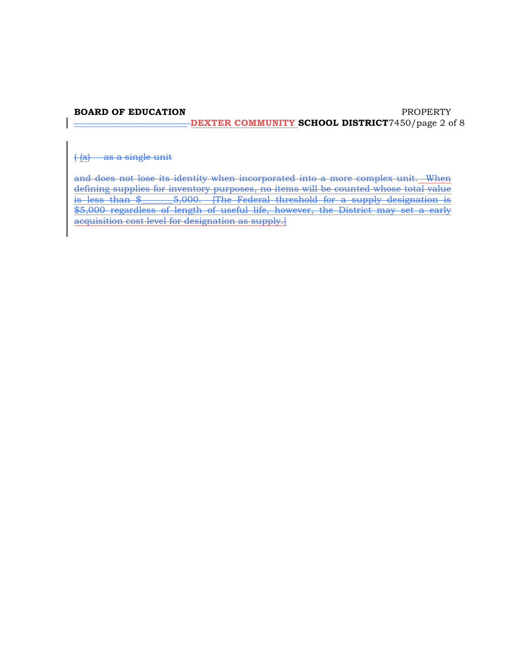## **BOARD OF EDUCATION PROPERTY \_\_\_\_\_\_\_\_\_\_\_\_\_\_\_\_\_\_\_\_\_\_\_\_\_ DEXTER COMMUNITY SCHOOL DISTRICT**7450/page 2 of 8

## $\frac{f(x)}{g(x)}$  as a single unit

and does not lose its identity when incorporated into a more complex unit. When defining supplies for inventory purposes, no items will be counted whose total value is less than \$\_\_\_\_\_\_\_5,000. [The Federal threshold for a supply designation is \$5,000 regardless of length of useful life, however, the District may set a early acquisition cost level for designation as supply.]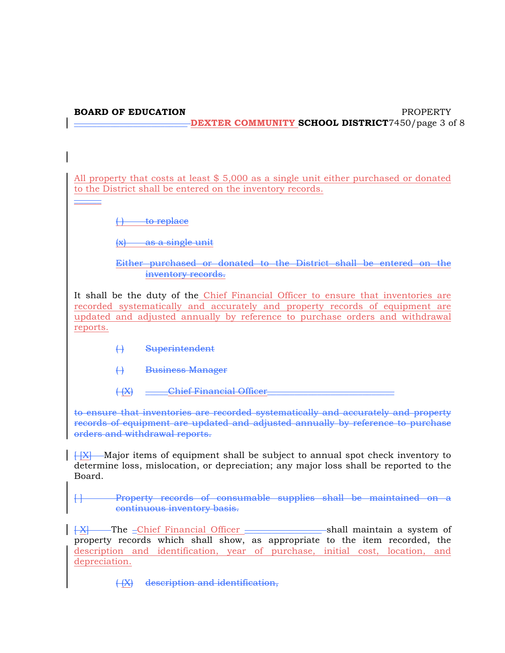$\overline{\phantom{a}}$ 

## **BOARD OF EDUCATION EXECUTE: PROPERTY -DEXTER COMMUNITY SCHOOL DISTRICT**7450/page 3 of 8

All property that costs at least \$ 5,000 as a single unit either purchased or donated to the District shall be entered on the inventory records.

 $\left\{ \right\}$  to replace

 $(x)$  as a single unit

Either purchased or donated to the District shall be entered on the inventory records.

It shall be the duty of the Chief Financial Officer to ensure that inventories are recorded systematically and accurately and property records of equipment are updated and adjusted annually by reference to purchase orders and withdrawal reports.

- $\theta$  Superintendent
- ( ) Business Manager
- $(X)$   $\longrightarrow$  Chief Financial Officer

to ensure that inventories are recorded systematically and accurately and property records of equipment are updated and adjusted annually by reference to purchase orders and withdrawal reports.

 $[\frac{X}{X}]$  Major items of equipment shall be subject to annual spot check inventory to determine loss, mislocation, or depreciation; any major loss shall be reported to the Board.

[ ] Property records of consumable supplies shall be maintained on a continuous inventory basis.

[ X] The \_Chief Financial Officer \_\_\_\_\_\_\_\_\_\_\_\_\_\_\_\_\_ shall maintain a system of property records which shall show, as appropriate to the item recorded, the description and identification, year of purchase, initial cost, location, and depreciation.

( (X) description and identification,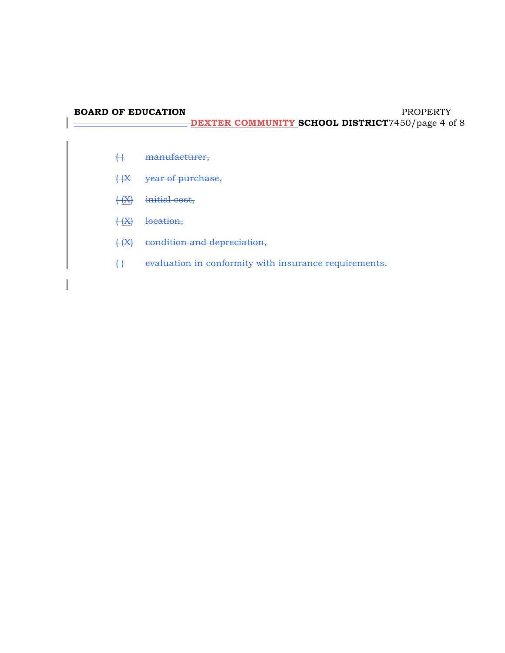## **BOARD OF EDUCATION** PROPERTY **\_\_\_\_\_\_\_\_\_\_\_\_\_\_\_\_\_\_\_\_\_\_\_\_\_ DEXTER COMMUNITY SCHOOL DISTRICT**7450/page 4 of 8

- $\left(\cdot\right)$  manufacturer,
- $\bigoplus_{x}$  year of purchase,
- $(\underline{X})$  initial cost,
- $(X)$  location,
- $(\frac{X}{X})$  condition and depreciation,
- $\left( \cdot \right)$  evaluation in conformity with insurance requirements.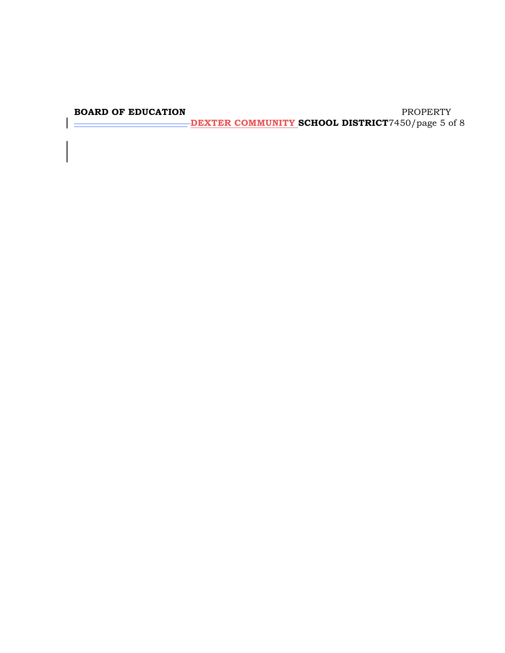**BOARD OF EDUCATION** PROPERTY **\_\_\_\_\_\_\_\_\_\_\_\_\_\_\_\_\_\_\_\_\_\_\_\_\_ DEXTER COMMUNITY SCHOOL DISTRICT**7450/page 5 of 8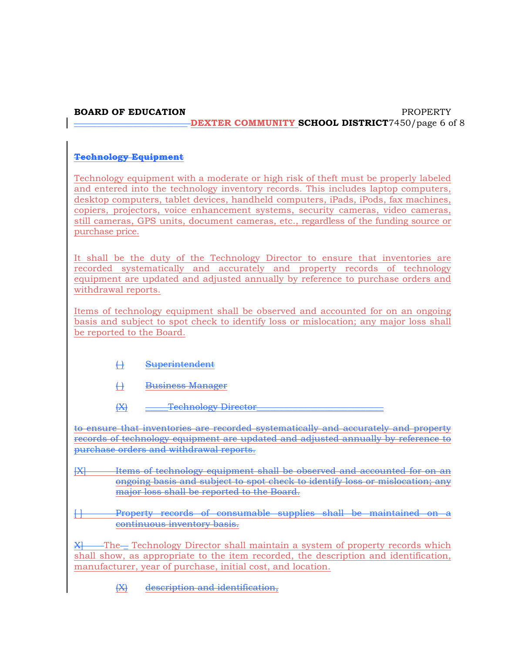## **BOARD OF EDUCATION EXECUTE: PROPERTY -DEXTER COMMUNITY SCHOOL DISTRICT**7450/page 6 of 8

## **Technology Equipment**

Technology equipment with a moderate or high risk of theft must be properly labeled and entered into the technology inventory records. This includes laptop computers, desktop computers, tablet devices, handheld computers, iPads, iPods, fax machines, copiers, projectors, voice enhancement systems, security cameras, video cameras, still cameras, GPS units, document cameras, etc., regardless of the funding source or purchase price.

It shall be the duty of the Technology Director to ensure that inventories are recorded systematically and accurately and property records of technology equipment are updated and adjusted annually by reference to purchase orders and withdrawal reports.

Items of technology equipment shall be observed and accounted for on an ongoing basis and subject to spot check to identify loss or mislocation; any major loss shall be reported to the Board.

- ( ) Superintendent
- ( ) Business Manager
- $\overline{f}$   $\overline{f}$   $\overline{f}$   $\overline{f}$   $\overline{f}$   $\overline{f}$   $\overline{f}$   $\overline{f}$   $\overline{f}$   $\overline{f}$   $\overline{f}$   $\overline{f}$   $\overline{f}$   $\overline{f}$   $\overline{f}$   $\overline{f}$   $\overline{f}$   $\overline{f}$   $\overline{f}$   $\overline{f}$   $\overline{f}$   $\overline{f}$   $\overline{f}$   $\overline{f}$   $\overline{$

to ensure that inventories are recorded systematically and accurately and property records of technology equipment are updated and adjusted annually by reference to purchase orders and withdrawal reports.

[X] Items of technology equipment shall be observed and accounted for on an ongoing basis and subject to spot check to identify loss or mislocation; any major loss shall be reported to the Board.

 $\Box$  Property records of consumable supplies shall be maintained on a continuous inventory basis.

X<sup>-1</sup> The Technology Director shall maintain a system of property records which shall show, as appropriate to the item recorded, the description and identification, manufacturer, year of purchase, initial cost, and location.

(X) description and identification,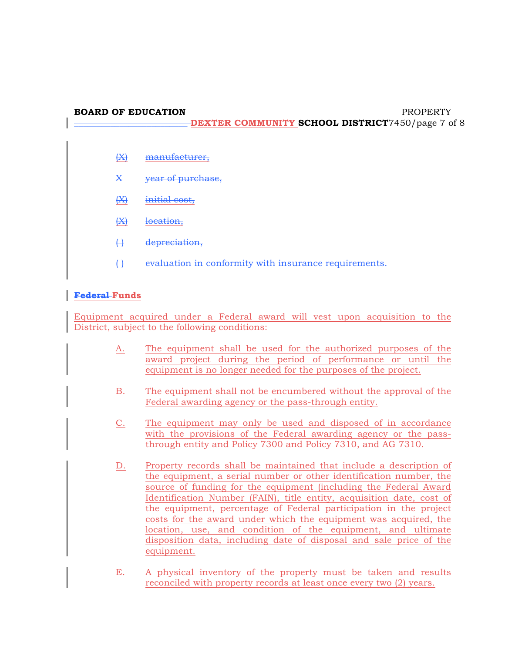## **BOARD OF EDUCATION EXECUTE: PROPERTY \_\_\_\_\_\_\_\_\_\_\_\_\_\_\_\_\_\_\_\_\_\_\_\_\_ DEXTER COMMUNITY SCHOOL DISTRICT**7450/page 7 of 8

- (X) manufacturer,
- X year of purchase,
- (X) initial cost,
- (X) location,
- (a) depreciation,
- $\Theta$  evaluation in conformity with insurance requirements.

## **Federal Funds**

Equipment acquired under a Federal award will vest upon acquisition to the District, subject to the following conditions:

- A. The equipment shall be used for the authorized purposes of the award project during the period of performance or until the equipment is no longer needed for the purposes of the project.
- B. The equipment shall not be encumbered without the approval of the Federal awarding agency or the pass-through entity.
- C. The equipment may only be used and disposed of in accordance with the provisions of the Federal awarding agency or the passthrough entity and Policy 7300 and Policy 7310, and AG 7310.
- D. Property records shall be maintained that include a description of the equipment, a serial number or other identification number, the source of funding for the equipment (including the Federal Award Identification Number (FAIN), title entity, acquisition date, cost of the equipment, percentage of Federal participation in the project costs for the award under which the equipment was acquired, the location, use, and condition of the equipment, and ultimate disposition data, including date of disposal and sale price of the equipment.
- E. A physical inventory of the property must be taken and results reconciled with property records at least once every two (2) years.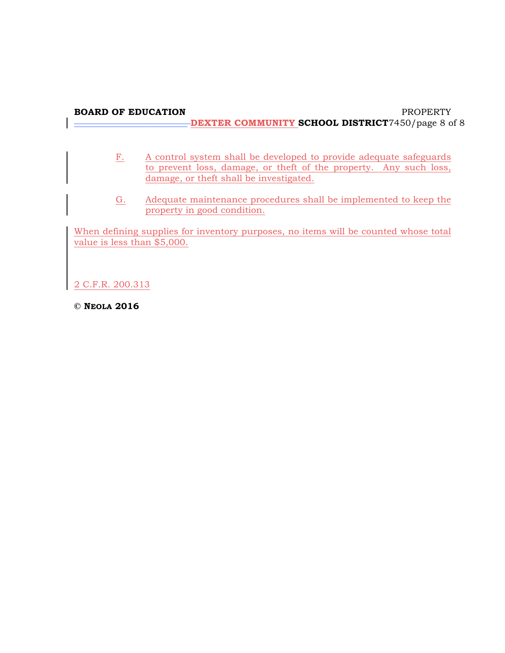## **BOARD OF EDUCATION PROPERTY \_\_\_\_\_\_\_\_\_\_\_\_\_\_\_\_\_\_\_\_\_\_\_\_\_ DEXTER COMMUNITY SCHOOL DISTRICT**7450/page 8 of 8

- F. A control system shall be developed to provide adequate safeguards to prevent loss, damage, or theft of the property. Any such loss, damage, or theft shall be investigated.
- G. Adequate maintenance procedures shall be implemented to keep the property in good condition.

When defining supplies for inventory purposes, no items will be counted whose total value is less than \$5,000.

2 C.F.R. 200.313

**© NEOLA 2016**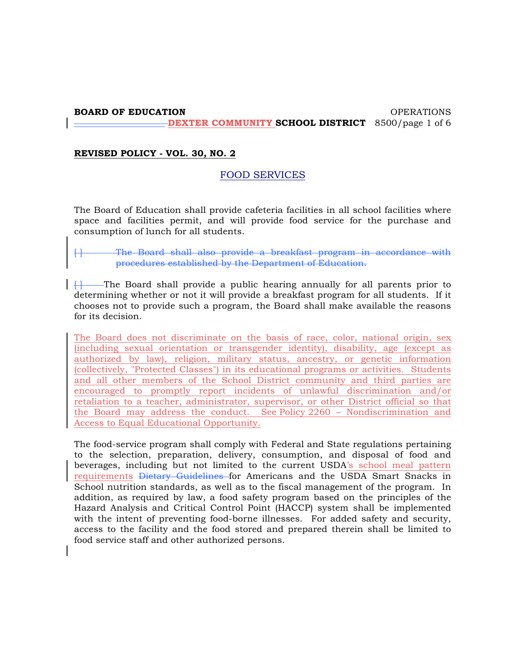### **BOARD OF EDUCATION CONSUMING A REGISTER OF EXAMPLE ASSESSED ASSOCIATE** OPERATIONS

# **DEXTER COMMUNITY SCHOOL DISTRICT** 8500/page 1 of 6

## **REVISED POLICY - VOL. 30, NO. 2**

# FOOD SERVICES

The Board of Education shall provide cafeteria facilities in all school facilities where space and facilities permit, and will provide food service for the purchase and consumption of lunch for all students.

[ ] The Board shall also provide a breakfast program in accordance with procedures established by the Department of Education.

 $\Box$  The Board shall provide a public hearing annually for all parents prior to determining whether or not it will provide a breakfast program for all students. If it chooses not to provide such a program, the Board shall make available the reasons for its decision.

The Board does not discriminate on the basis of race, color, national origin, sex (including sexual orientation or transgender identity), disability, age (except as authorized by law), religion, military status, ancestry, or genetic information (collectively, "Protected Classes") in its educational programs or activities. Students and all other members of the School District community and third parties are encouraged to promptly report incidents of unlawful discrimination and/or retaliation to a teacher, administrator, supervisor, or other District official so that the Board may address the conduct. See Policy 2260 – Nondiscrimination and Access to Equal Educational Opportunity.

The food-service program shall comply with Federal and State regulations pertaining to the selection, preparation, delivery, consumption, and disposal of food and beverages, including but not limited to the current USDA's school meal pattern requirements Dietary Guidelines for Americans and the USDA Smart Snacks in School nutrition standards, as well as to the fiscal management of the program. In addition, as required by law, a food safety program based on the principles of the Hazard Analysis and Critical Control Point (HACCP) system shall be implemented with the intent of preventing food-borne illnesses. For added safety and security, access to the facility and the food stored and prepared therein shall be limited to food service staff and other authorized persons.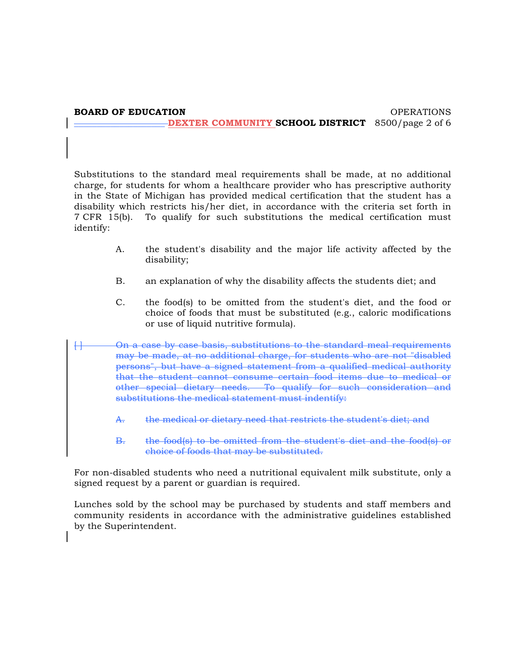**BOARD OF EDUCATION CONSUMING A REAL PROPERATIONS DEXTER COMMUNITY SCHOOL DISTRICT** 8500/page 2 of 6

Substitutions to the standard meal requirements shall be made, at no additional charge, for students for whom a healthcare provider who has prescriptive authority in the State of Michigan has provided medical certification that the student has a disability which restricts his/her diet, in accordance with the criteria set forth in 7 CFR 15(b). To qualify for such substitutions the medical certification must identify:

- A. the student's disability and the major life activity affected by the disability;
- B. an explanation of why the disability affects the students diet; and
- C. the food(s) to be omitted from the student's diet, and the food or choice of foods that must be substituted (e.g., caloric modifications or use of liquid nutritive formula).

[ ] On a case by case basis, substitutions to the standard meal requirements may be made, at no additional charge, for students who are not "disabled persons", but have a signed statement from a qualified medical authority that the student cannot consume certain food items due to medical or other special dietary needs. To qualify for such consideration and substitutions the medical statement must indentify:

- A. the medical or dietary need that restricts the student's diet; and
- B. the food(s) to be omitted from the student's diet and the food(s) or choice of foods that may be substituted.

For non-disabled students who need a nutritional equivalent milk substitute, only a signed request by a parent or guardian is required.

Lunches sold by the school may be purchased by students and staff members and community residents in accordance with the administrative guidelines established by the Superintendent.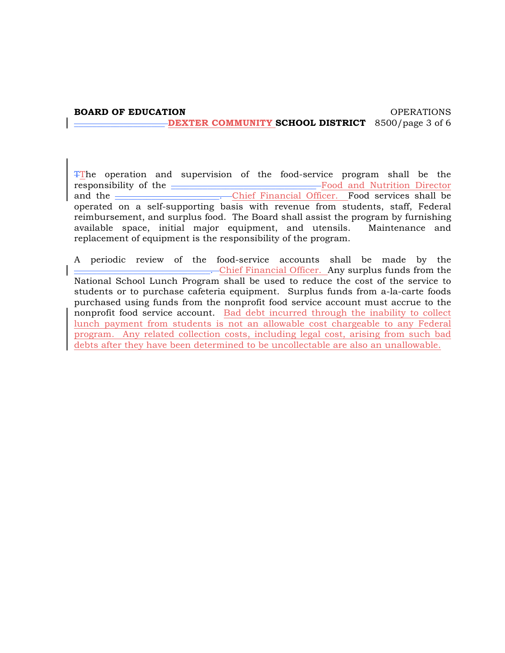TThe operation and supervision of the food-service program shall be the responsibility of the \_\_\_\_\_\_\_\_\_\_\_\_\_\_\_\_\_\_\_\_\_\_\_\_\_\_\_\_\_\_\_\_ Food and Nutrition Director and the \_\_\_\_\_\_\_\_\_\_\_\_\_\_\_\_\_\_\_\_. Chief Financial Officer. Food services shall be operated on a self-supporting basis with revenue from students, staff, Federal reimbursement, and surplus food. The Board shall assist the program by furnishing available space, initial major equipment, and utensils. Maintenance and replacement of equipment is the responsibility of the program.

A periodic review of the food-service accounts shall be made by the -Chief Financial Officer. Any surplus funds from the National School Lunch Program shall be used to reduce the cost of the service to students or to purchase cafeteria equipment. Surplus funds from a-la-carte foods purchased using funds from the nonprofit food service account must accrue to the nonprofit food service account. Bad debt incurred through the inability to collect lunch payment from students is not an allowable cost chargeable to any Federal program. Any related collection costs, including legal cost, arising from such bad debts after they have been determined to be uncollectable are also an unallowable.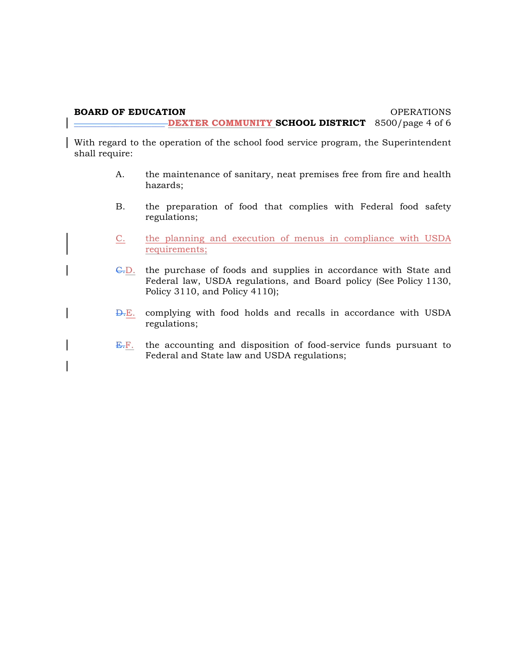### **BOARD OF EDUCATION CONSUMING A REAL PROPERATIONS**

**DEXTER COMMUNITY SCHOOL DISTRICT** 8500/page 4 of 6

With regard to the operation of the school food service program, the Superintendent shall require:

- A. the maintenance of sanitary, neat premises free from fire and health hazards;
- B. the preparation of food that complies with Federal food safety regulations;
- C. the planning and execution of menus in compliance with USDA requirements;
- C.D. the purchase of foods and supplies in accordance with State and Federal law, USDA regulations, and Board policy (See Policy 1130, Policy 3110, and Policy 4110);
- D.E. complying with food holds and recalls in accordance with USDA regulations;
- $E-F$ . the accounting and disposition of food-service funds pursuant to Federal and State law and USDA regulations;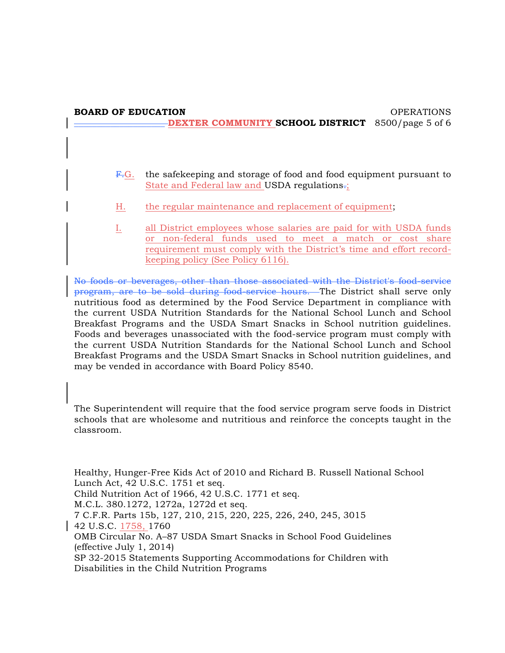- F.G. the safekeeping and storage of food and food equipment pursuant to State and Federal law and USDA regulations.;
- H. the regular maintenance and replacement of equipment;
- I. all District employees whose salaries are paid for with USDA funds or non-federal funds used to meet a match or cost share requirement must comply with the District's time and effort recordkeeping policy (See Policy 6116).

No foods or beverages, other than those associated with the District's food-service program, are to be sold during food-service hours. The District shall serve only nutritious food as determined by the Food Service Department in compliance with the current USDA Nutrition Standards for the National School Lunch and School Breakfast Programs and the USDA Smart Snacks in School nutrition guidelines. Foods and beverages unassociated with the food-service program must comply with the current USDA Nutrition Standards for the National School Lunch and School Breakfast Programs and the USDA Smart Snacks in School nutrition guidelines, and may be vended in accordance with Board Policy 8540.

The Superintendent will require that the food service program serve foods in District schools that are wholesome and nutritious and reinforce the concepts taught in the classroom.

Healthy, Hunger-Free Kids Act of 2010 and Richard B. Russell National School Lunch Act, 42 U.S.C. 1751 et seq. Child Nutrition Act of 1966, 42 U.S.C. 1771 et seq. M.C.L. 380.1272, 1272a, 1272d et seq. 7 C.F.R. Parts 15b, 127, 210, 215, 220, 225, 226, 240, 245, 3015 42 U.S.C. 1758, 1760 OMB Circular No. A–87 USDA Smart Snacks in School Food Guidelines (effective July 1, 2014) SP 32-2015 Statements Supporting Accommodations for Children with Disabilities in the Child Nutrition Programs